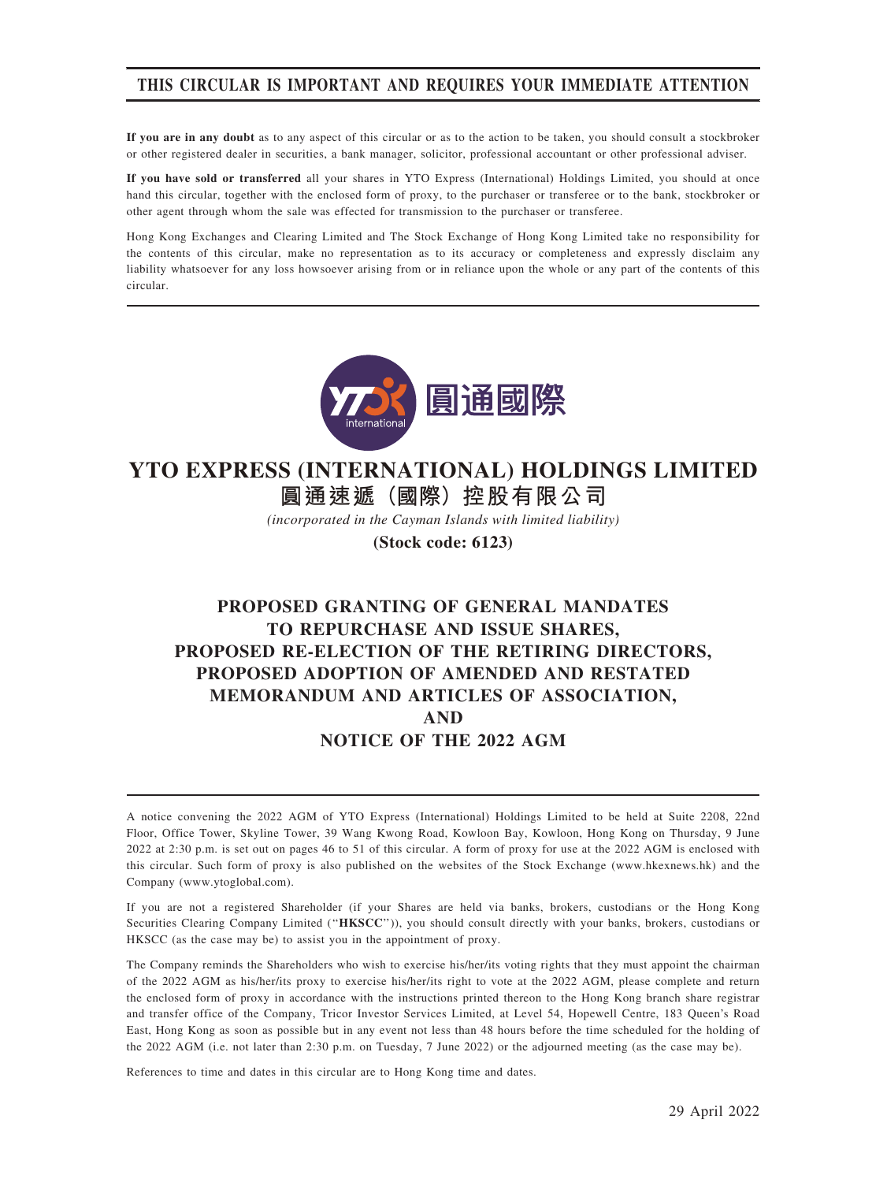## THIS CIRCULAR IS IMPORTANT AND REQUIRES YOUR IMMEDIATE ATTENTION

If you are in any doubt as to any aspect of this circular or as to the action to be taken, you should consult a stockbroker or other registered dealer in securities, a bank manager, solicitor, professional accountant or other professional adviser.

If you have sold or transferred all your shares in YTO Express (International) Holdings Limited, you should at once hand this circular, together with the enclosed form of proxy, to the purchaser or transferee or to the bank, stockbroker or other agent through whom the sale was effected for transmission to the purchaser or transferee.

Hong Kong Exchanges and Clearing Limited and The Stock Exchange of Hong Kong Limited take no responsibility for the contents of this circular, make no representation as to its accuracy or completeness and expressly disclaim any liability whatsoever for any loss howsoever arising from or in reliance upon the whole or any part of the contents of this circular.



# **YTO EXPRESS (INTERNATIONAL) HOLDINGS LIMITED**

**圓通速遞(國際)控股有限公司**

*(incorporated in the Cayman Islands with limited liability)*

**(Stock code: 6123)**

## PROPOSED GRANTING OF GENERAL MANDATES TO REPURCHASE AND ISSUE SHARES, PROPOSED RE-ELECTION OF THE RETIRING DIRECTORS, PROPOSED ADOPTION OF AMENDED AND RESTATED MEMORANDUM AND ARTICLES OF ASSOCIATION, AND NOTICE OF THE 2022 AGM

A notice convening the 2022 AGM of YTO Express (International) Holdings Limited to be held at Suite 2208, 22nd Floor, Office Tower, Skyline Tower, 39 Wang Kwong Road, Kowloon Bay, Kowloon, Hong Kong on Thursday, 9 June 2022 at 2:30 p.m. is set out on pages 46 to 51 of this circular. A form of proxy for use at the 2022 AGM is enclosed with this circular. Such form of proxy is also published on the websites of the Stock Exchange (www.hkexnews.hk) and the Company (www.ytoglobal.com).

If you are not a registered Shareholder (if your Shares are held via banks, brokers, custodians or the Hong Kong Securities Clearing Company Limited ("HKSCC")), you should consult directly with your banks, brokers, custodians or HKSCC (as the case may be) to assist you in the appointment of proxy.

The Company reminds the Shareholders who wish to exercise his/her/its voting rights that they must appoint the chairman of the 2022 AGM as his/her/its proxy to exercise his/her/its right to vote at the 2022 AGM, please complete and return the enclosed form of proxy in accordance with the instructions printed thereon to the Hong Kong branch share registrar and transfer office of the Company, Tricor Investor Services Limited, at Level 54, Hopewell Centre, 183 Queen's Road East, Hong Kong as soon as possible but in any event not less than 48 hours before the time scheduled for the holding of the 2022 AGM (i.e. not later than 2:30 p.m. on Tuesday, 7 June 2022) or the adjourned meeting (as the case may be).

References to time and dates in this circular are to Hong Kong time and dates.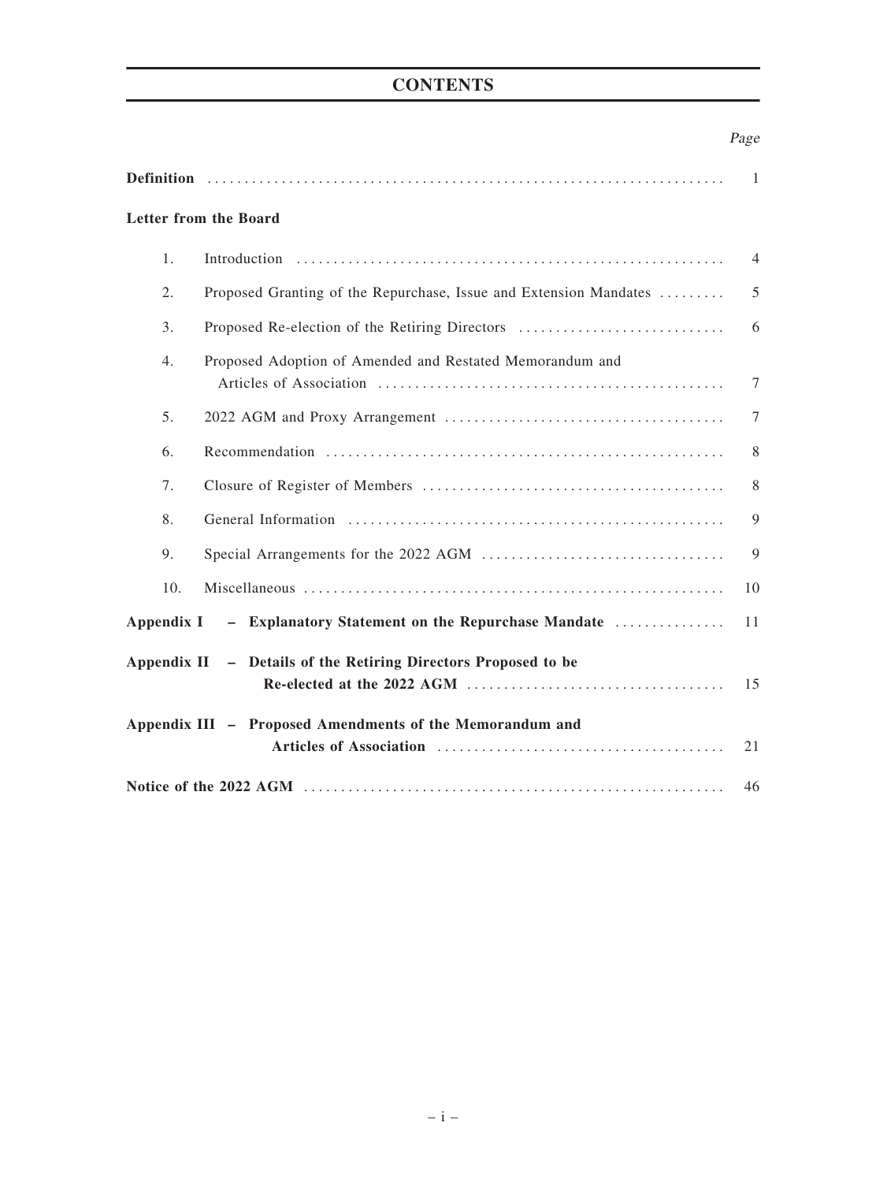## **CONTENTS**

## Page

|                |                                                                   | $\overline{1}$ |
|----------------|-------------------------------------------------------------------|----------------|
|                | <b>Letter from the Board</b>                                      |                |
| 1.             |                                                                   | $\overline{4}$ |
| 2.             | Proposed Granting of the Repurchase, Issue and Extension Mandates | 5              |
| 3.             | Proposed Re-election of the Retiring Directors                    | 6              |
| 4.             | Proposed Adoption of Amended and Restated Memorandum and          | $\tau$         |
| 5 <sub>1</sub> |                                                                   | $\tau$         |
| 6.             |                                                                   | 8              |
| 7.             |                                                                   | 8              |
| 8.             |                                                                   | 9              |
| 9.             |                                                                   | 9              |
| 10.            |                                                                   | 10             |
|                | Appendix I - Explanatory Statement on the Repurchase Mandate      | 11             |
|                | Appendix II - Details of the Retiring Directors Proposed to be    | 15             |
|                | Appendix III - Proposed Amendments of the Memorandum and          | 21             |
|                |                                                                   | 46             |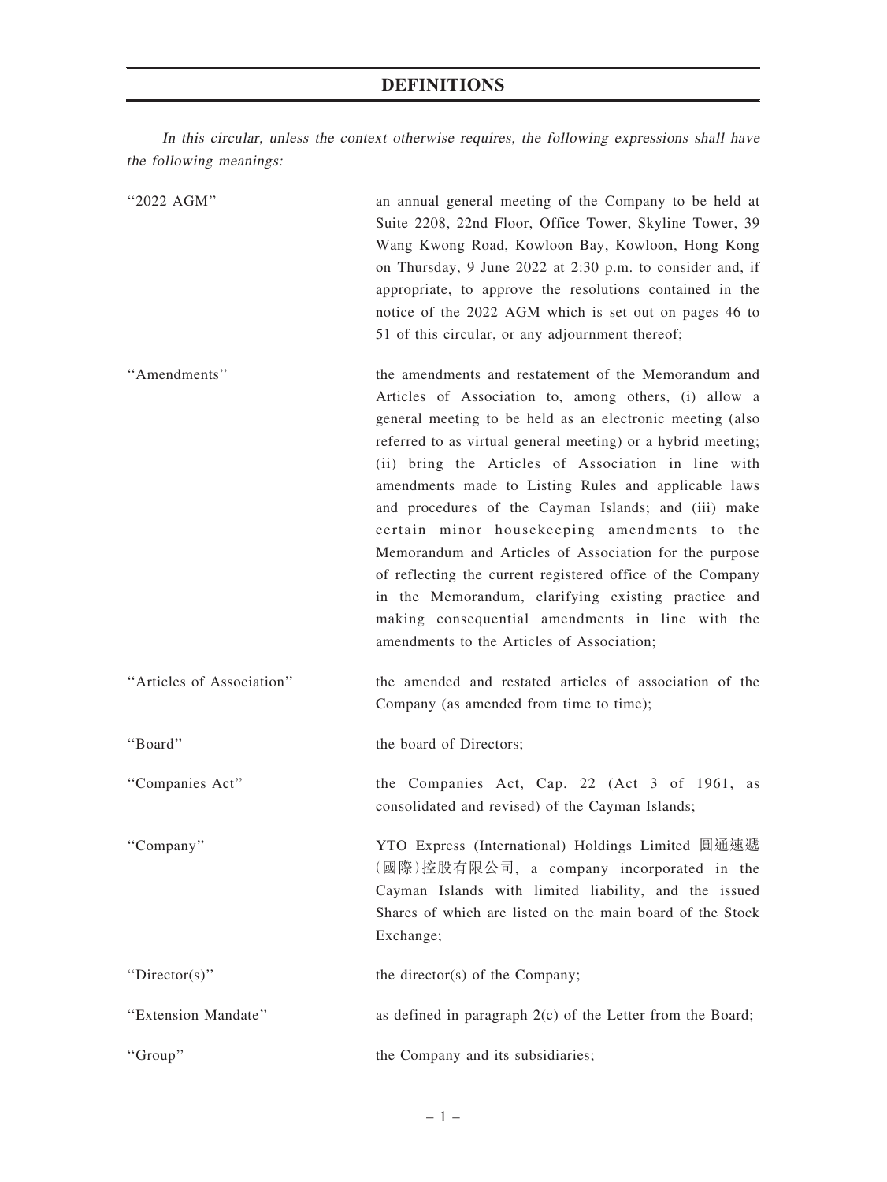## DEFINITIONS

In this circular, unless the context otherwise requires, the following expressions shall have the following meanings:

| "2022 AGM"                | an annual general meeting of the Company to be held at<br>Suite 2208, 22nd Floor, Office Tower, Skyline Tower, 39<br>Wang Kwong Road, Kowloon Bay, Kowloon, Hong Kong<br>on Thursday, 9 June 2022 at 2:30 p.m. to consider and, if<br>appropriate, to approve the resolutions contained in the<br>notice of the 2022 AGM which is set out on pages 46 to<br>51 of this circular, or any adjournment thereof;                                                                                                                                                                                                                                                                                                                                       |
|---------------------------|----------------------------------------------------------------------------------------------------------------------------------------------------------------------------------------------------------------------------------------------------------------------------------------------------------------------------------------------------------------------------------------------------------------------------------------------------------------------------------------------------------------------------------------------------------------------------------------------------------------------------------------------------------------------------------------------------------------------------------------------------|
| "Amendments"              | the amendments and restatement of the Memorandum and<br>Articles of Association to, among others, (i) allow a<br>general meeting to be held as an electronic meeting (also<br>referred to as virtual general meeting) or a hybrid meeting;<br>(ii) bring the Articles of Association in line with<br>amendments made to Listing Rules and applicable laws<br>and procedures of the Cayman Islands; and (iii) make<br>certain minor housekeeping amendments to the<br>Memorandum and Articles of Association for the purpose<br>of reflecting the current registered office of the Company<br>in the Memorandum, clarifying existing practice and<br>making consequential amendments in line with the<br>amendments to the Articles of Association; |
| "Articles of Association" | the amended and restated articles of association of the<br>Company (as amended from time to time);                                                                                                                                                                                                                                                                                                                                                                                                                                                                                                                                                                                                                                                 |
| "Board"                   | the board of Directors;                                                                                                                                                                                                                                                                                                                                                                                                                                                                                                                                                                                                                                                                                                                            |
| "Companies Act"           | the Companies Act, Cap. 22 (Act 3 of 1961, as<br>consolidated and revised) of the Cayman Islands;                                                                                                                                                                                                                                                                                                                                                                                                                                                                                                                                                                                                                                                  |
| "Company"                 | YTO Express (International) Holdings Limited 圓通速遞<br>(國際)控股有限公司, a company incorporated in the<br>Cayman Islands with limited liability, and the issued<br>Shares of which are listed on the main board of the Stock<br>Exchange;                                                                                                                                                                                                                                                                                                                                                                                                                                                                                                                  |
| "Director(s)"             | the director(s) of the Company;                                                                                                                                                                                                                                                                                                                                                                                                                                                                                                                                                                                                                                                                                                                    |
| "Extension Mandate"       | as defined in paragraph $2(c)$ of the Letter from the Board;                                                                                                                                                                                                                                                                                                                                                                                                                                                                                                                                                                                                                                                                                       |
| "Group"                   | the Company and its subsidiaries;                                                                                                                                                                                                                                                                                                                                                                                                                                                                                                                                                                                                                                                                                                                  |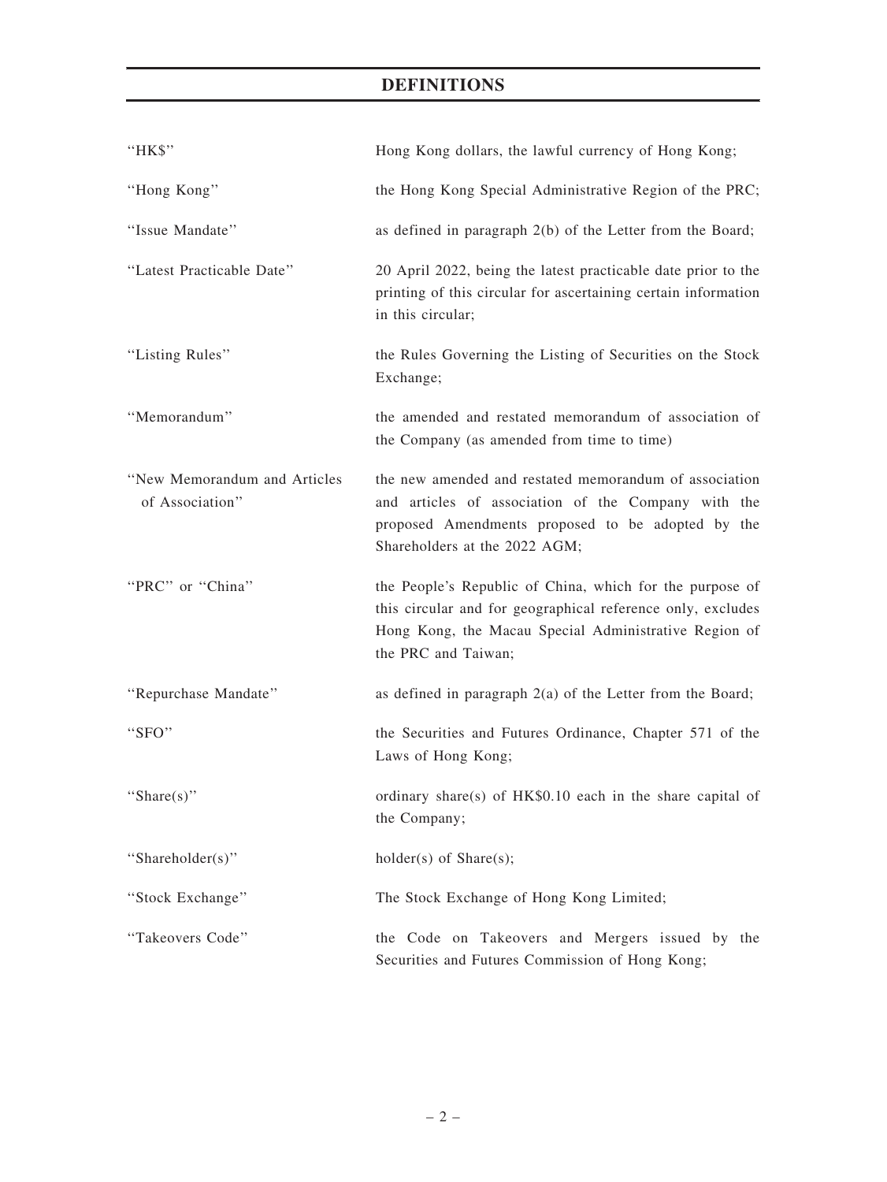## DEFINITIONS

| "HK\$"                                          | Hong Kong dollars, the lawful currency of Hong Kong;                                                                                                                                                    |
|-------------------------------------------------|---------------------------------------------------------------------------------------------------------------------------------------------------------------------------------------------------------|
| "Hong Kong"                                     | the Hong Kong Special Administrative Region of the PRC;                                                                                                                                                 |
| "Issue Mandate"                                 | as defined in paragraph 2(b) of the Letter from the Board;                                                                                                                                              |
| "Latest Practicable Date"                       | 20 April 2022, being the latest practicable date prior to the<br>printing of this circular for ascertaining certain information<br>in this circular;                                                    |
| "Listing Rules"                                 | the Rules Governing the Listing of Securities on the Stock<br>Exchange;                                                                                                                                 |
| "Memorandum"                                    | the amended and restated memorandum of association of<br>the Company (as amended from time to time)                                                                                                     |
| "New Memorandum and Articles<br>of Association" | the new amended and restated memorandum of association<br>and articles of association of the Company with the<br>proposed Amendments proposed to be adopted by the<br>Shareholders at the 2022 AGM;     |
| "PRC" or "China"                                | the People's Republic of China, which for the purpose of<br>this circular and for geographical reference only, excludes<br>Hong Kong, the Macau Special Administrative Region of<br>the PRC and Taiwan; |
| "Repurchase Mandate"                            | as defined in paragraph $2(a)$ of the Letter from the Board;                                                                                                                                            |
| "SFO"                                           | the Securities and Futures Ordinance, Chapter 571 of the<br>Laws of Hong Kong;                                                                                                                          |
| "Share $(s)$ "                                  | ordinary share(s) of HK\$0.10 each in the share capital of<br>the Company;                                                                                                                              |
| "Shareholder(s)"                                | $holder(s)$ of Share $(s)$ ;                                                                                                                                                                            |
| "Stock Exchange"                                | The Stock Exchange of Hong Kong Limited;                                                                                                                                                                |
| "Takeovers Code"                                | the Code on Takeovers and Mergers issued by the<br>Securities and Futures Commission of Hong Kong;                                                                                                      |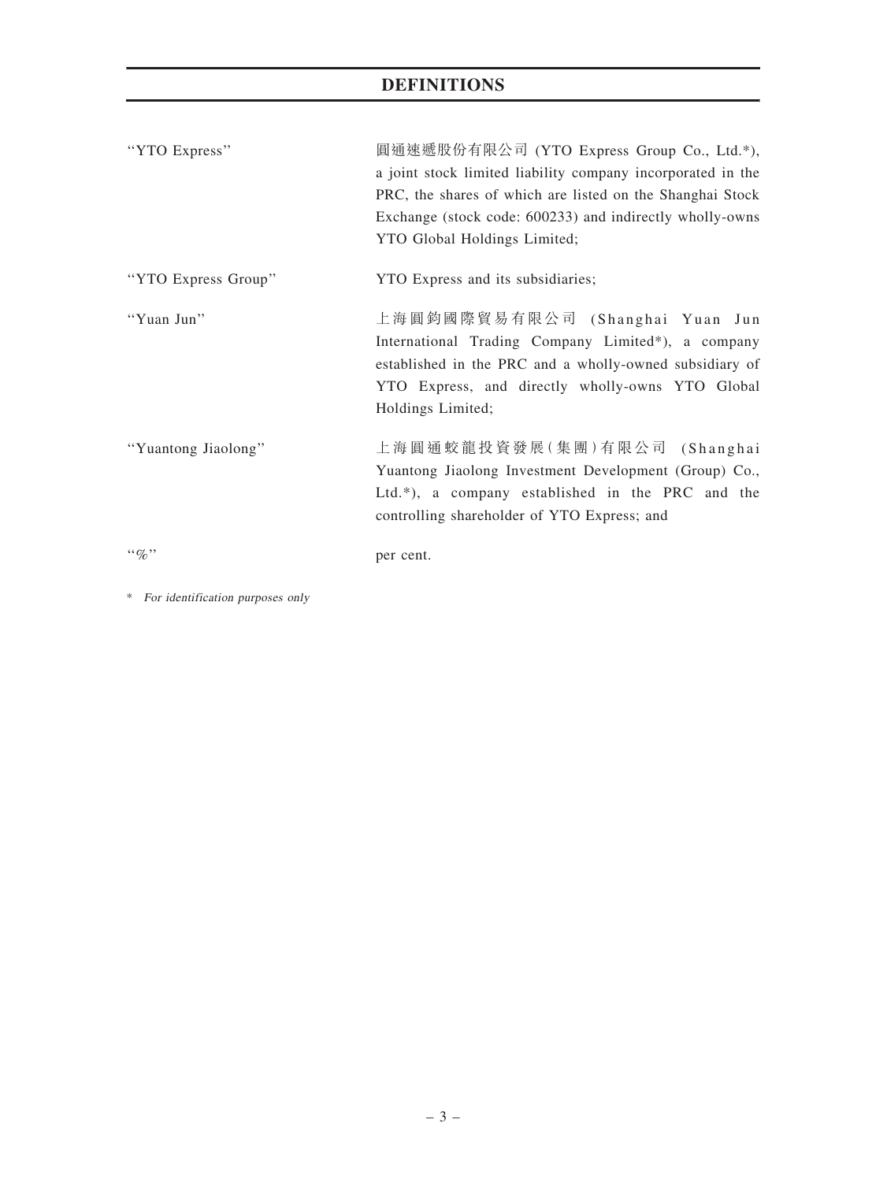## DEFINITIONS

| "YTO Express"       | 圓通速遞股份有限公司 (YTO Express Group Co., Ltd.*),<br>a joint stock limited liability company incorporated in the<br>PRC, the shares of which are listed on the Shanghai Stock<br>Exchange (stock code: 600233) and indirectly wholly-owns<br>YTO Global Holdings Limited; |
|---------------------|--------------------------------------------------------------------------------------------------------------------------------------------------------------------------------------------------------------------------------------------------------------------|
| "YTO Express Group" | YTO Express and its subsidiaries;                                                                                                                                                                                                                                  |
| "Yuan Jun"          | 上海圓鈞國際貿易有限公司 (Shanghai Yuan Jun<br>International Trading Company Limited*), a company<br>established in the PRC and a wholly-owned subsidiary of<br>YTO Express, and directly wholly-owns YTO Global<br>Holdings Limited;                                          |
| "Yuantong Jiaolong" | 上海圓通蛟龍投資發展(集團)有限公司 (Shanghai<br>Yuantong Jiaolong Investment Development (Group) Co.,<br>Ltd.*), a company established in the PRC and the<br>controlling shareholder of YTO Express; and                                                                           |
| $\lq\lq q_0$ "      | per cent.                                                                                                                                                                                                                                                          |

\* For identification purposes only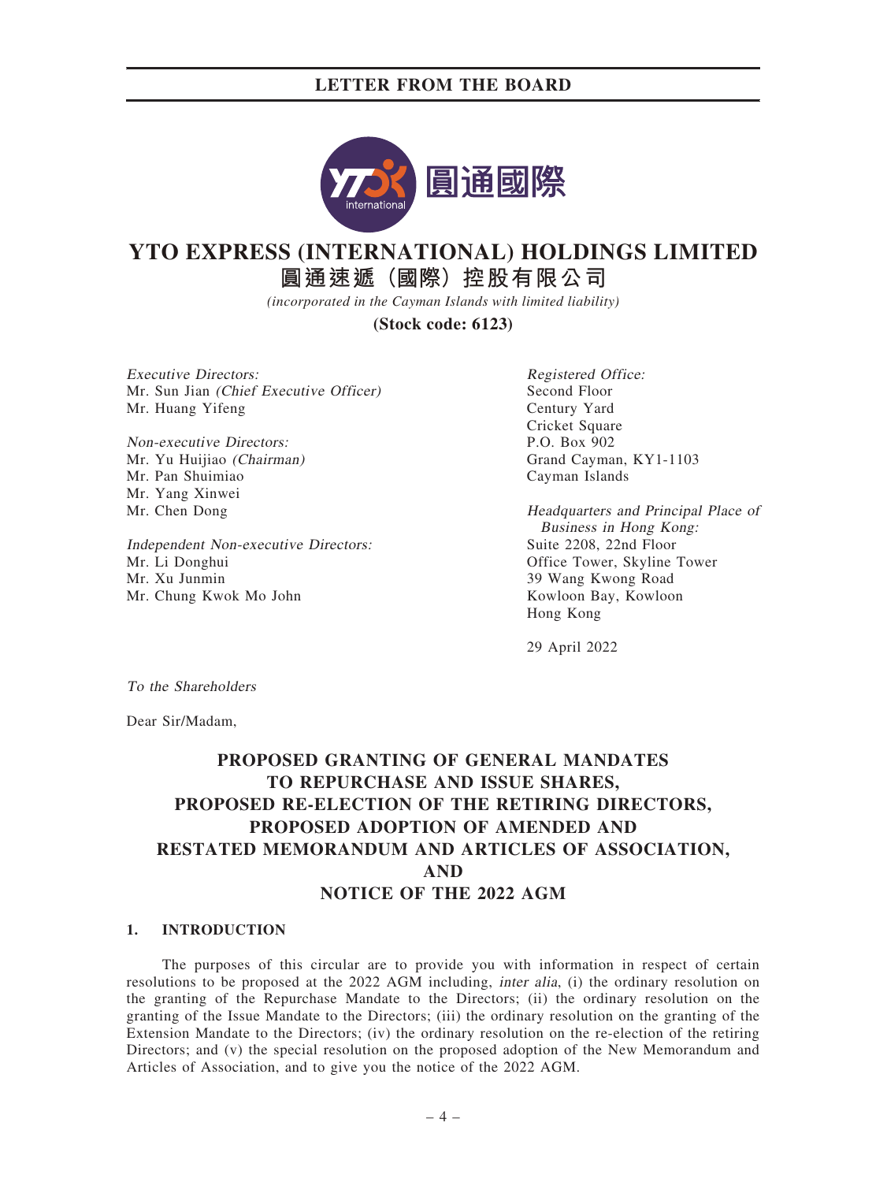

## **YTO EXPRESS (INTERNATIONAL) HOLDINGS LIMITED**

**圓通速遞(國際)控股有限公司**

*(incorporated in the Cayman Islands with limited liability)*

**(Stock code: 6123)**

Executive Directors: Mr. Sun Jian (Chief Executive Officer) Mr. Huang Yifeng

Non-executive Directors: Mr. Yu Huijiao (Chairman) Mr. Pan Shuimiao Mr. Yang Xinwei Mr. Chen Dong

Independent Non-executive Directors: Mr. Li Donghui Mr. Xu Junmin Mr. Chung Kwok Mo John

Registered Office: Second Floor Century Yard Cricket Square P.O. Box 902 Grand Cayman, KY1-1103 Cayman Islands

Headquarters and Principal Place of Business in Hong Kong: Suite 2208, 22nd Floor Office Tower, Skyline Tower 39 Wang Kwong Road Kowloon Bay, Kowloon Hong Kong

29 April 2022

To the Shareholders

Dear Sir/Madam,

## PROPOSED GRANTING OF GENERAL MANDATES TO REPURCHASE AND ISSUE SHARES, PROPOSED RE-ELECTION OF THE RETIRING DIRECTORS, PROPOSED ADOPTION OF AMENDED AND RESTATED MEMORANDUM AND ARTICLES OF ASSOCIATION, AND NOTICE OF THE 2022 AGM

#### 1. INTRODUCTION

The purposes of this circular are to provide you with information in respect of certain resolutions to be proposed at the 2022 AGM including, inter alia, (i) the ordinary resolution on the granting of the Repurchase Mandate to the Directors; (ii) the ordinary resolution on the granting of the Issue Mandate to the Directors; (iii) the ordinary resolution on the granting of the Extension Mandate to the Directors; (iv) the ordinary resolution on the re-election of the retiring Directors; and (v) the special resolution on the proposed adoption of the New Memorandum and Articles of Association, and to give you the notice of the 2022 AGM.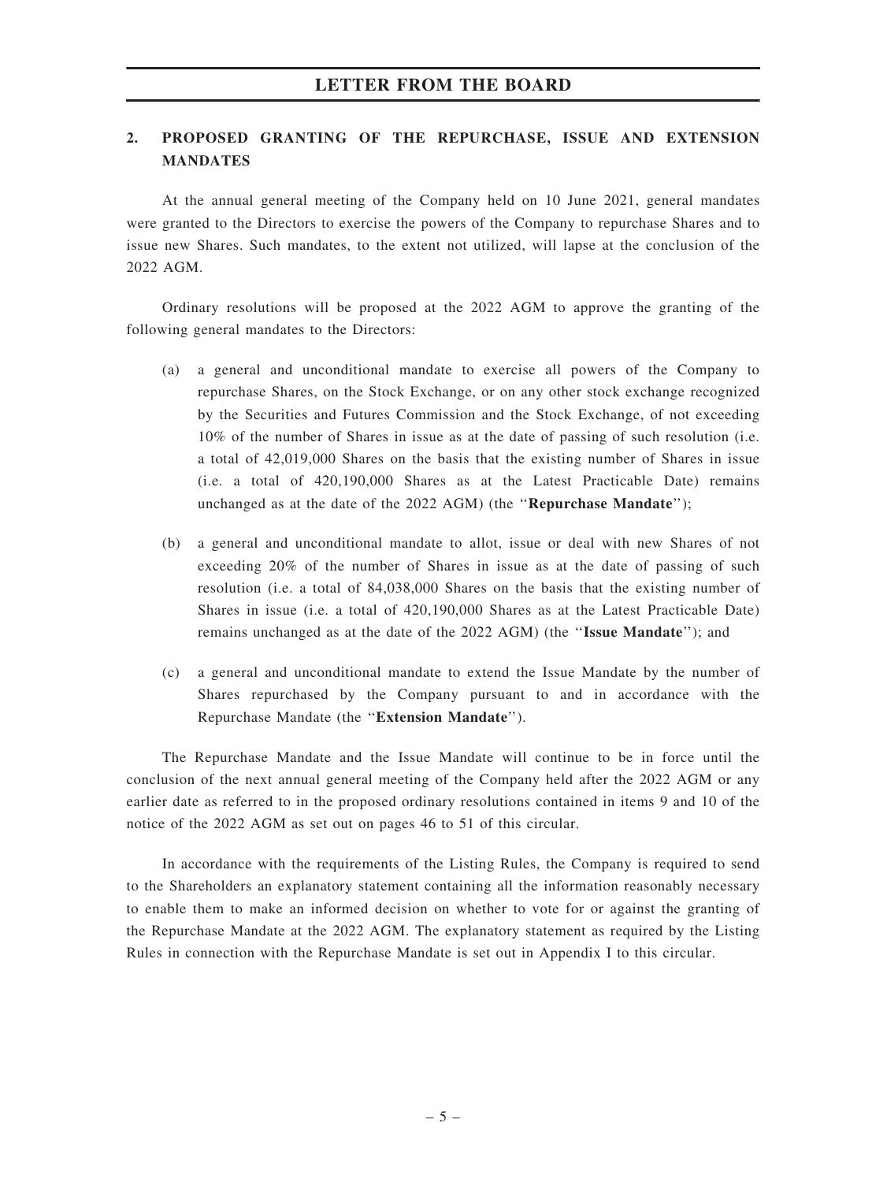### 2. PROPOSED GRANTING OF THE REPURCHASE, ISSUE AND EXTENSION **MANDATES**

At the annual general meeting of the Company held on 10 June 2021, general mandates were granted to the Directors to exercise the powers of the Company to repurchase Shares and to issue new Shares. Such mandates, to the extent not utilized, will lapse at the conclusion of the 2022 AGM.

Ordinary resolutions will be proposed at the 2022 AGM to approve the granting of the following general mandates to the Directors:

- (a) a general and unconditional mandate to exercise all powers of the Company to repurchase Shares, on the Stock Exchange, or on any other stock exchange recognized by the Securities and Futures Commission and the Stock Exchange, of not exceeding 10% of the number of Shares in issue as at the date of passing of such resolution (i.e. a total of 42,019,000 Shares on the basis that the existing number of Shares in issue (i.e. a total of 420,190,000 Shares as at the Latest Practicable Date) remains unchanged as at the date of the 2022 AGM) (the "Repurchase Mandate");
- (b) a general and unconditional mandate to allot, issue or deal with new Shares of not exceeding 20% of the number of Shares in issue as at the date of passing of such resolution (i.e. a total of 84,038,000 Shares on the basis that the existing number of Shares in issue (i.e. a total of 420,190,000 Shares as at the Latest Practicable Date) remains unchanged as at the date of the 2022 AGM) (the ''Issue Mandate''); and
- (c) a general and unconditional mandate to extend the Issue Mandate by the number of Shares repurchased by the Company pursuant to and in accordance with the Repurchase Mandate (the ''Extension Mandate'').

The Repurchase Mandate and the Issue Mandate will continue to be in force until the conclusion of the next annual general meeting of the Company held after the 2022 AGM or any earlier date as referred to in the proposed ordinary resolutions contained in items 9 and 10 of the notice of the 2022 AGM as set out on pages 46 to 51 of this circular.

In accordance with the requirements of the Listing Rules, the Company is required to send to the Shareholders an explanatory statement containing all the information reasonably necessary to enable them to make an informed decision on whether to vote for or against the granting of the Repurchase Mandate at the 2022 AGM. The explanatory statement as required by the Listing Rules in connection with the Repurchase Mandate is set out in Appendix I to this circular.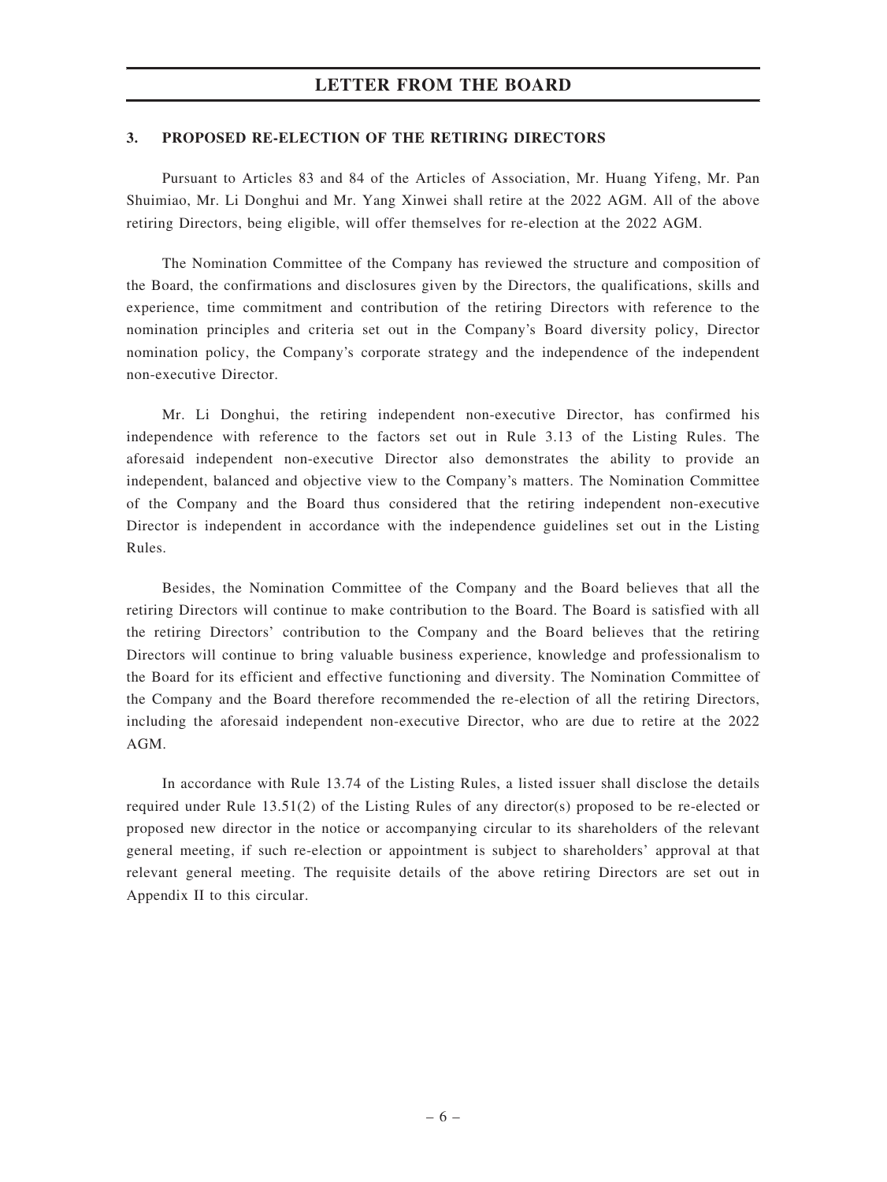#### 3. PROPOSED RE-ELECTION OF THE RETIRING DIRECTORS

Pursuant to Articles 83 and 84 of the Articles of Association, Mr. Huang Yifeng, Mr. Pan Shuimiao, Mr. Li Donghui and Mr. Yang Xinwei shall retire at the 2022 AGM. All of the above retiring Directors, being eligible, will offer themselves for re-election at the 2022 AGM.

The Nomination Committee of the Company has reviewed the structure and composition of the Board, the confirmations and disclosures given by the Directors, the qualifications, skills and experience, time commitment and contribution of the retiring Directors with reference to the nomination principles and criteria set out in the Company's Board diversity policy, Director nomination policy, the Company's corporate strategy and the independence of the independent non-executive Director.

Mr. Li Donghui, the retiring independent non-executive Director, has confirmed his independence with reference to the factors set out in Rule 3.13 of the Listing Rules. The aforesaid independent non-executive Director also demonstrates the ability to provide an independent, balanced and objective view to the Company's matters. The Nomination Committee of the Company and the Board thus considered that the retiring independent non-executive Director is independent in accordance with the independence guidelines set out in the Listing Rules.

Besides, the Nomination Committee of the Company and the Board believes that all the retiring Directors will continue to make contribution to the Board. The Board is satisfied with all the retiring Directors' contribution to the Company and the Board believes that the retiring Directors will continue to bring valuable business experience, knowledge and professionalism to the Board for its efficient and effective functioning and diversity. The Nomination Committee of the Company and the Board therefore recommended the re-election of all the retiring Directors, including the aforesaid independent non-executive Director, who are due to retire at the 2022 AGM.

In accordance with Rule 13.74 of the Listing Rules, a listed issuer shall disclose the details required under Rule 13.51(2) of the Listing Rules of any director(s) proposed to be re-elected or proposed new director in the notice or accompanying circular to its shareholders of the relevant general meeting, if such re-election or appointment is subject to shareholders' approval at that relevant general meeting. The requisite details of the above retiring Directors are set out in Appendix II to this circular.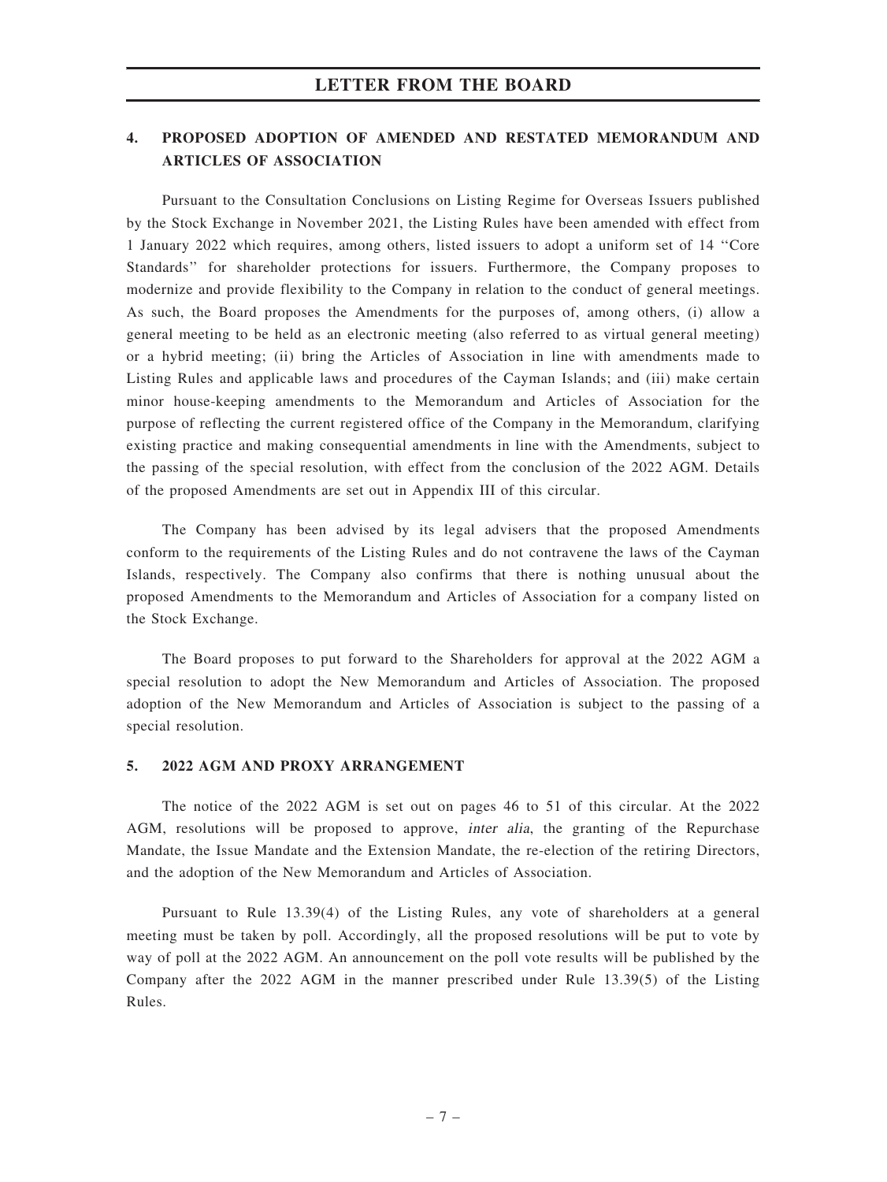### 4. PROPOSED ADOPTION OF AMENDED AND RESTATED MEMORANDUM AND ARTICLES OF ASSOCIATION

Pursuant to the Consultation Conclusions on Listing Regime for Overseas Issuers published by the Stock Exchange in November 2021, the Listing Rules have been amended with effect from 1 January 2022 which requires, among others, listed issuers to adopt a uniform set of 14 ''Core Standards'' for shareholder protections for issuers. Furthermore, the Company proposes to modernize and provide flexibility to the Company in relation to the conduct of general meetings. As such, the Board proposes the Amendments for the purposes of, among others, (i) allow a general meeting to be held as an electronic meeting (also referred to as virtual general meeting) or a hybrid meeting; (ii) bring the Articles of Association in line with amendments made to Listing Rules and applicable laws and procedures of the Cayman Islands; and (iii) make certain minor house-keeping amendments to the Memorandum and Articles of Association for the purpose of reflecting the current registered office of the Company in the Memorandum, clarifying existing practice and making consequential amendments in line with the Amendments, subject to the passing of the special resolution, with effect from the conclusion of the 2022 AGM. Details of the proposed Amendments are set out in Appendix III of this circular.

The Company has been advised by its legal advisers that the proposed Amendments conform to the requirements of the Listing Rules and do not contravene the laws of the Cayman Islands, respectively. The Company also confirms that there is nothing unusual about the proposed Amendments to the Memorandum and Articles of Association for a company listed on the Stock Exchange.

The Board proposes to put forward to the Shareholders for approval at the 2022 AGM a special resolution to adopt the New Memorandum and Articles of Association. The proposed adoption of the New Memorandum and Articles of Association is subject to the passing of a special resolution.

#### 5. 2022 AGM AND PROXY ARRANGEMENT

The notice of the 2022 AGM is set out on pages 46 to 51 of this circular. At the 2022 AGM, resolutions will be proposed to approve, inter alia, the granting of the Repurchase Mandate, the Issue Mandate and the Extension Mandate, the re-election of the retiring Directors, and the adoption of the New Memorandum and Articles of Association.

Pursuant to Rule 13.39(4) of the Listing Rules, any vote of shareholders at a general meeting must be taken by poll. Accordingly, all the proposed resolutions will be put to vote by way of poll at the 2022 AGM. An announcement on the poll vote results will be published by the Company after the 2022 AGM in the manner prescribed under Rule 13.39(5) of the Listing Rules.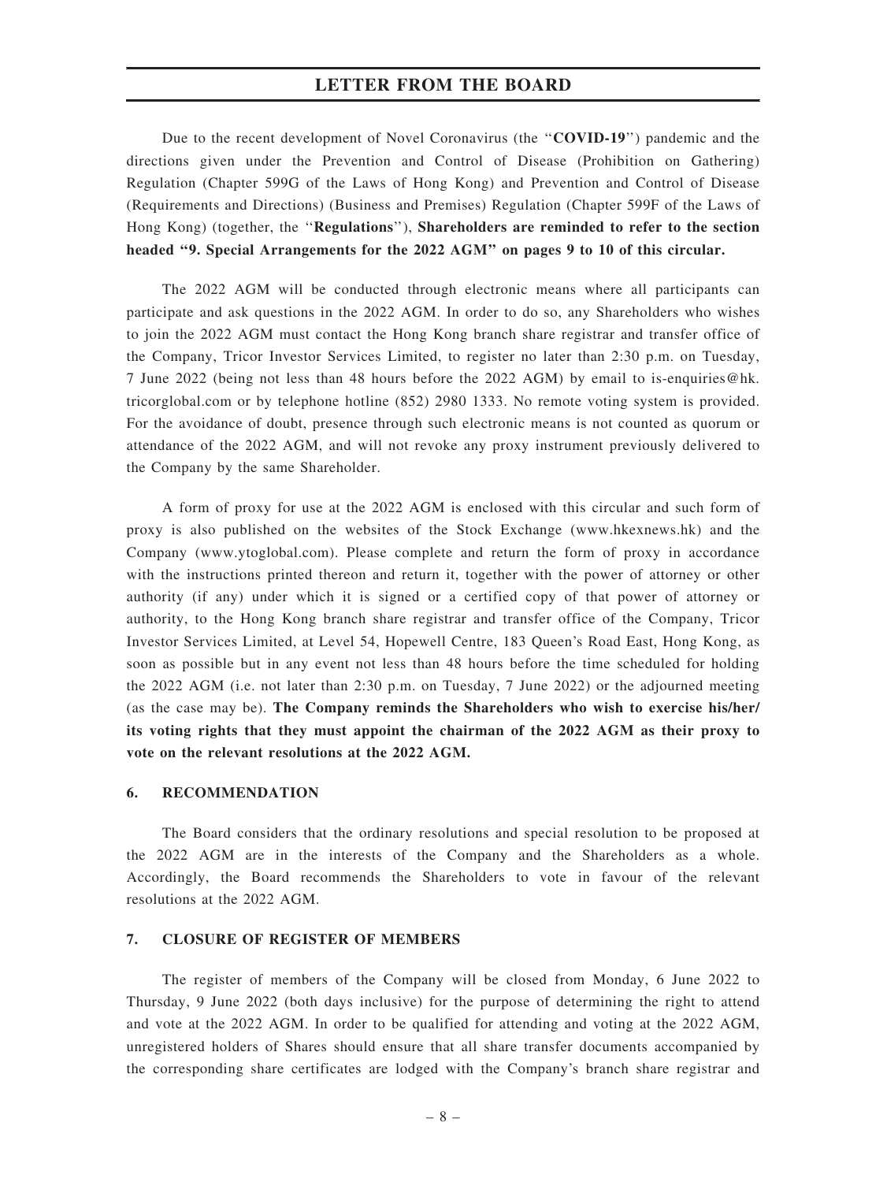Due to the recent development of Novel Coronavirus (the ''COVID-19'') pandemic and the directions given under the Prevention and Control of Disease (Prohibition on Gathering) Regulation (Chapter 599G of the Laws of Hong Kong) and Prevention and Control of Disease (Requirements and Directions) (Business and Premises) Regulation (Chapter 599F of the Laws of Hong Kong) (together, the ''Regulations''), Shareholders are reminded to refer to the section headed "9. Special Arrangements for the 2022 AGM" on pages 9 to 10 of this circular.

The 2022 AGM will be conducted through electronic means where all participants can participate and ask questions in the 2022 AGM. In order to do so, any Shareholders who wishes to join the 2022 AGM must contact the Hong Kong branch share registrar and transfer office of the Company, Tricor Investor Services Limited, to register no later than 2:30 p.m. on Tuesday, 7 June 2022 (being not less than 48 hours before the 2022 AGM) by email to is-enquiries@hk. tricorglobal.com or by telephone hotline (852) 2980 1333. No remote voting system is provided. For the avoidance of doubt, presence through such electronic means is not counted as quorum or attendance of the 2022 AGM, and will not revoke any proxy instrument previously delivered to the Company by the same Shareholder.

A form of proxy for use at the 2022 AGM is enclosed with this circular and such form of proxy is also published on the websites of the Stock Exchange (www.hkexnews.hk) and the Company (www.ytoglobal.com). Please complete and return the form of proxy in accordance with the instructions printed thereon and return it, together with the power of attorney or other authority (if any) under which it is signed or a certified copy of that power of attorney or authority, to the Hong Kong branch share registrar and transfer office of the Company, Tricor Investor Services Limited, at Level 54, Hopewell Centre, 183 Queen's Road East, Hong Kong, as soon as possible but in any event not less than 48 hours before the time scheduled for holding the 2022 AGM (i.e. not later than 2:30 p.m. on Tuesday, 7 June 2022) or the adjourned meeting (as the case may be). The Company reminds the Shareholders who wish to exercise his/her/ its voting rights that they must appoint the chairman of the 2022 AGM as their proxy to vote on the relevant resolutions at the 2022 AGM.

#### 6. RECOMMENDATION

The Board considers that the ordinary resolutions and special resolution to be proposed at the 2022 AGM are in the interests of the Company and the Shareholders as a whole. Accordingly, the Board recommends the Shareholders to vote in favour of the relevant resolutions at the 2022 AGM.

#### 7. CLOSURE OF REGISTER OF MEMBERS

The register of members of the Company will be closed from Monday, 6 June 2022 to Thursday, 9 June 2022 (both days inclusive) for the purpose of determining the right to attend and vote at the 2022 AGM. In order to be qualified for attending and voting at the 2022 AGM, unregistered holders of Shares should ensure that all share transfer documents accompanied by the corresponding share certificates are lodged with the Company's branch share registrar and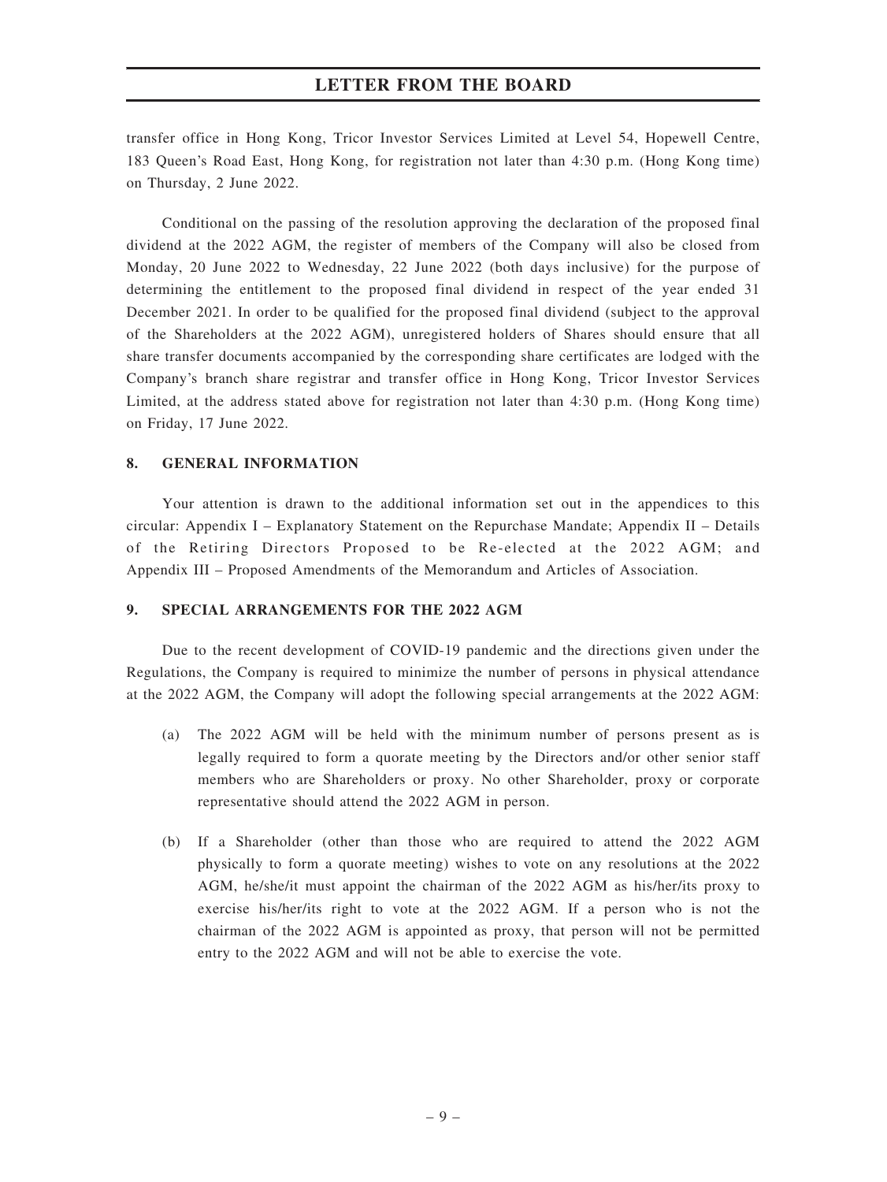transfer office in Hong Kong, Tricor Investor Services Limited at Level 54, Hopewell Centre, 183 Queen's Road East, Hong Kong, for registration not later than 4:30 p.m. (Hong Kong time) on Thursday, 2 June 2022.

Conditional on the passing of the resolution approving the declaration of the proposed final dividend at the 2022 AGM, the register of members of the Company will also be closed from Monday, 20 June 2022 to Wednesday, 22 June 2022 (both days inclusive) for the purpose of determining the entitlement to the proposed final dividend in respect of the year ended 31 December 2021. In order to be qualified for the proposed final dividend (subject to the approval of the Shareholders at the 2022 AGM), unregistered holders of Shares should ensure that all share transfer documents accompanied by the corresponding share certificates are lodged with the Company's branch share registrar and transfer office in Hong Kong, Tricor Investor Services Limited, at the address stated above for registration not later than 4:30 p.m. (Hong Kong time) on Friday, 17 June 2022.

#### 8. GENERAL INFORMATION

Your attention is drawn to the additional information set out in the appendices to this circular: Appendix I – Explanatory Statement on the Repurchase Mandate; Appendix II – Details of the Retiring Directors Proposed to be Re-elected at the 2022 AGM; and Appendix III – Proposed Amendments of the Memorandum and Articles of Association.

#### 9. SPECIAL ARRANGEMENTS FOR THE 2022 AGM

Due to the recent development of COVID-19 pandemic and the directions given under the Regulations, the Company is required to minimize the number of persons in physical attendance at the 2022 AGM, the Company will adopt the following special arrangements at the 2022 AGM:

- (a) The 2022 AGM will be held with the minimum number of persons present as is legally required to form a quorate meeting by the Directors and/or other senior staff members who are Shareholders or proxy. No other Shareholder, proxy or corporate representative should attend the 2022 AGM in person.
- (b) If a Shareholder (other than those who are required to attend the 2022 AGM physically to form a quorate meeting) wishes to vote on any resolutions at the 2022 AGM, he/she/it must appoint the chairman of the 2022 AGM as his/her/its proxy to exercise his/her/its right to vote at the 2022 AGM. If a person who is not the chairman of the 2022 AGM is appointed as proxy, that person will not be permitted entry to the 2022 AGM and will not be able to exercise the vote.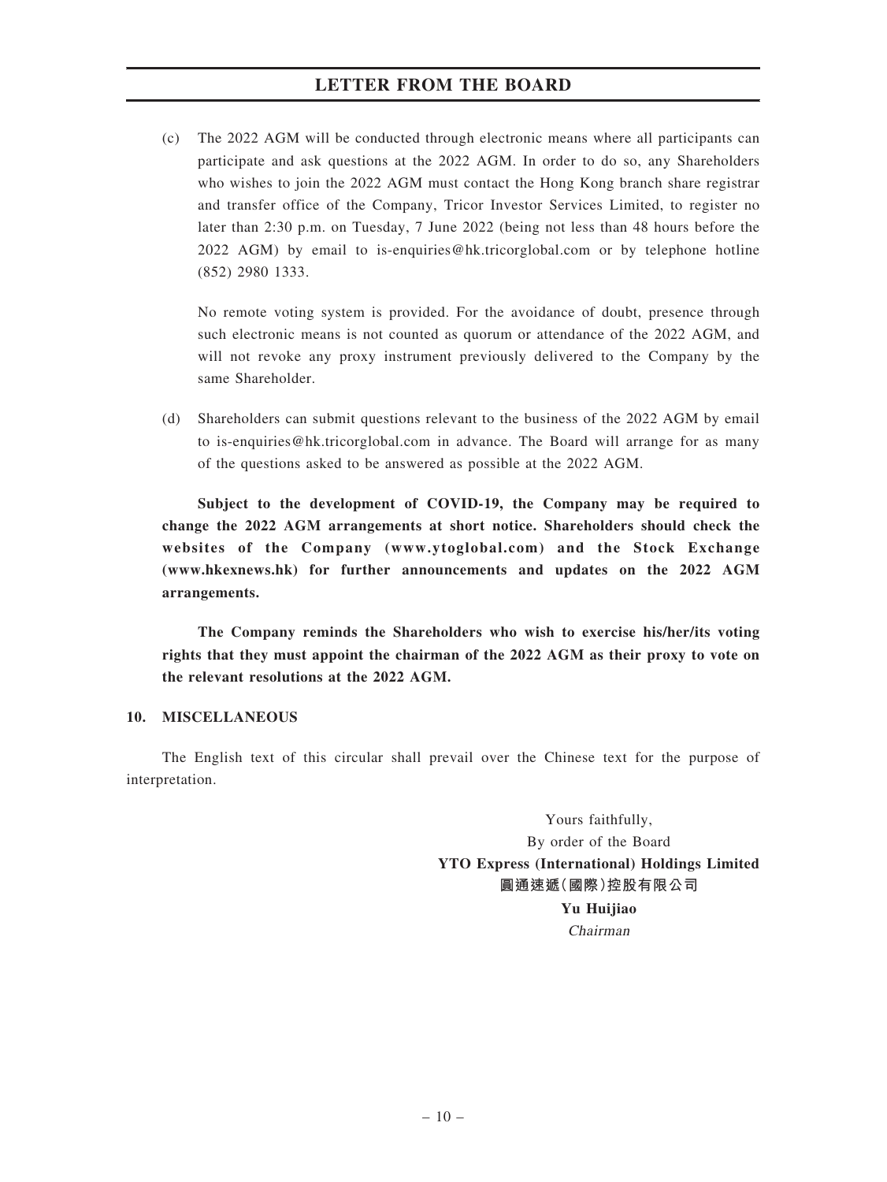(c) The 2022 AGM will be conducted through electronic means where all participants can participate and ask questions at the 2022 AGM. In order to do so, any Shareholders who wishes to join the 2022 AGM must contact the Hong Kong branch share registrar and transfer office of the Company, Tricor Investor Services Limited, to register no later than 2:30 p.m. on Tuesday, 7 June 2022 (being not less than 48 hours before the 2022 AGM) by email to is-enquiries@hk.tricorglobal.com or by telephone hotline (852) 2980 1333.

No remote voting system is provided. For the avoidance of doubt, presence through such electronic means is not counted as quorum or attendance of the 2022 AGM, and will not revoke any proxy instrument previously delivered to the Company by the same Shareholder.

(d) Shareholders can submit questions relevant to the business of the 2022 AGM by email to is-enquiries@hk.tricorglobal.com in advance. The Board will arrange for as many of the questions asked to be answered as possible at the 2022 AGM.

Subject to the development of COVID-19, the Company may be required to change the 2022 AGM arrangements at short notice. Shareholders should check the websites of the Company (www.ytoglobal.com) and the Stock Exchange (www.hkexnews.hk) for further announcements and updates on the 2022 AGM arrangements.

The Company reminds the Shareholders who wish to exercise his/her/its voting rights that they must appoint the chairman of the 2022 AGM as their proxy to vote on the relevant resolutions at the 2022 AGM.

#### 10. MISCELLANEOUS

The English text of this circular shall prevail over the Chinese text for the purpose of interpretation.

> Yours faithfully, By order of the Board YTO Express (International) Holdings Limited 圓通速遞(國際)控股有限公司 Yu Huijiao Chairman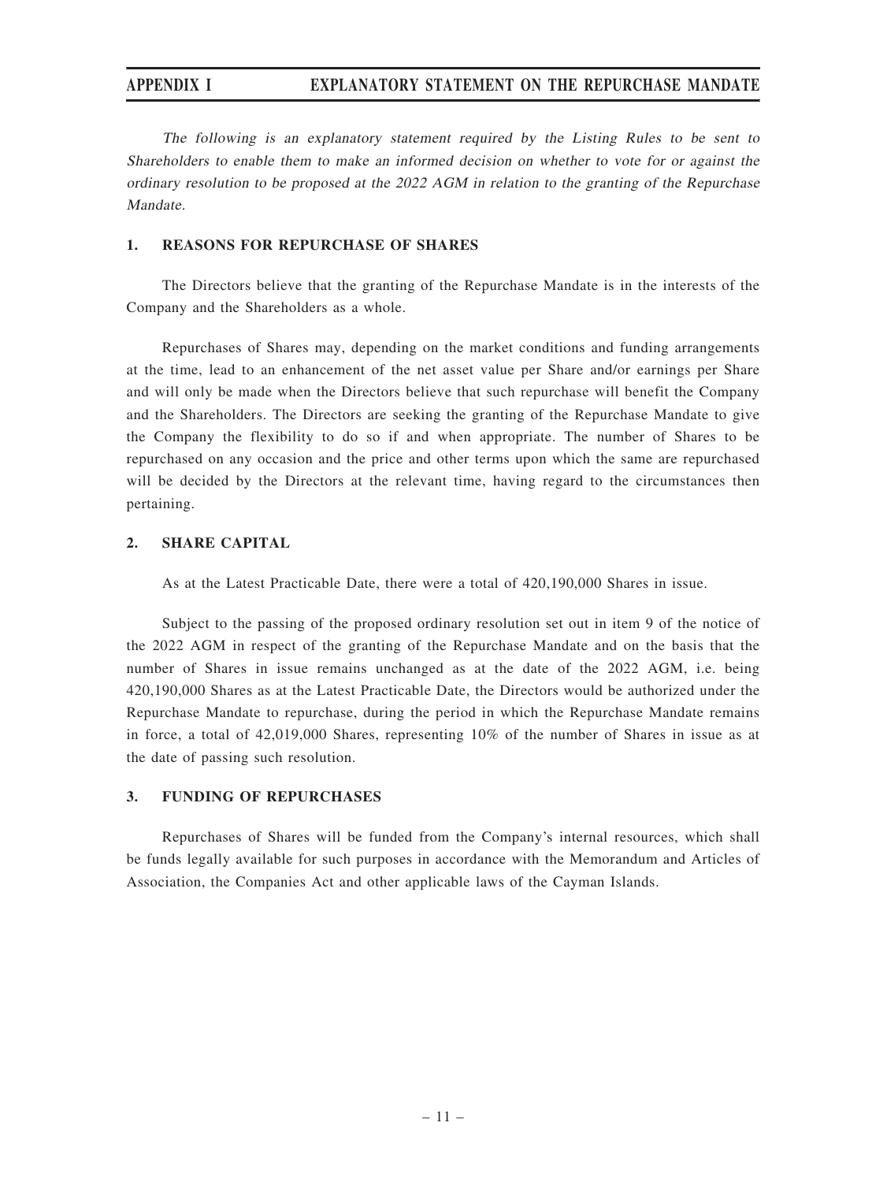## APPENDIX I EXPLANATORY STATEMENT ON THE REPURCHASE MANDATE

The following is an explanatory statement required by the Listing Rules to be sent to Shareholders to enable them to make an informed decision on whether to vote for or against the ordinary resolution to be proposed at the 2022 AGM in relation to the granting of the Repurchase Mandate.

#### 1. REASONS FOR REPURCHASE OF SHARES

The Directors believe that the granting of the Repurchase Mandate is in the interests of the Company and the Shareholders as a whole.

Repurchases of Shares may, depending on the market conditions and funding arrangements at the time, lead to an enhancement of the net asset value per Share and/or earnings per Share and will only be made when the Directors believe that such repurchase will benefit the Company and the Shareholders. The Directors are seeking the granting of the Repurchase Mandate to give the Company the flexibility to do so if and when appropriate. The number of Shares to be repurchased on any occasion and the price and other terms upon which the same are repurchased will be decided by the Directors at the relevant time, having regard to the circumstances then pertaining.

#### 2. SHARE CAPITAL

As at the Latest Practicable Date, there were a total of 420,190,000 Shares in issue.

Subject to the passing of the proposed ordinary resolution set out in item 9 of the notice of the 2022 AGM in respect of the granting of the Repurchase Mandate and on the basis that the number of Shares in issue remains unchanged as at the date of the 2022 AGM, i.e. being 420,190,000 Shares as at the Latest Practicable Date, the Directors would be authorized under the Repurchase Mandate to repurchase, during the period in which the Repurchase Mandate remains in force, a total of 42,019,000 Shares, representing 10% of the number of Shares in issue as at the date of passing such resolution.

#### 3. FUNDING OF REPURCHASES

Repurchases of Shares will be funded from the Company's internal resources, which shall be funds legally available for such purposes in accordance with the Memorandum and Articles of Association, the Companies Act and other applicable laws of the Cayman Islands.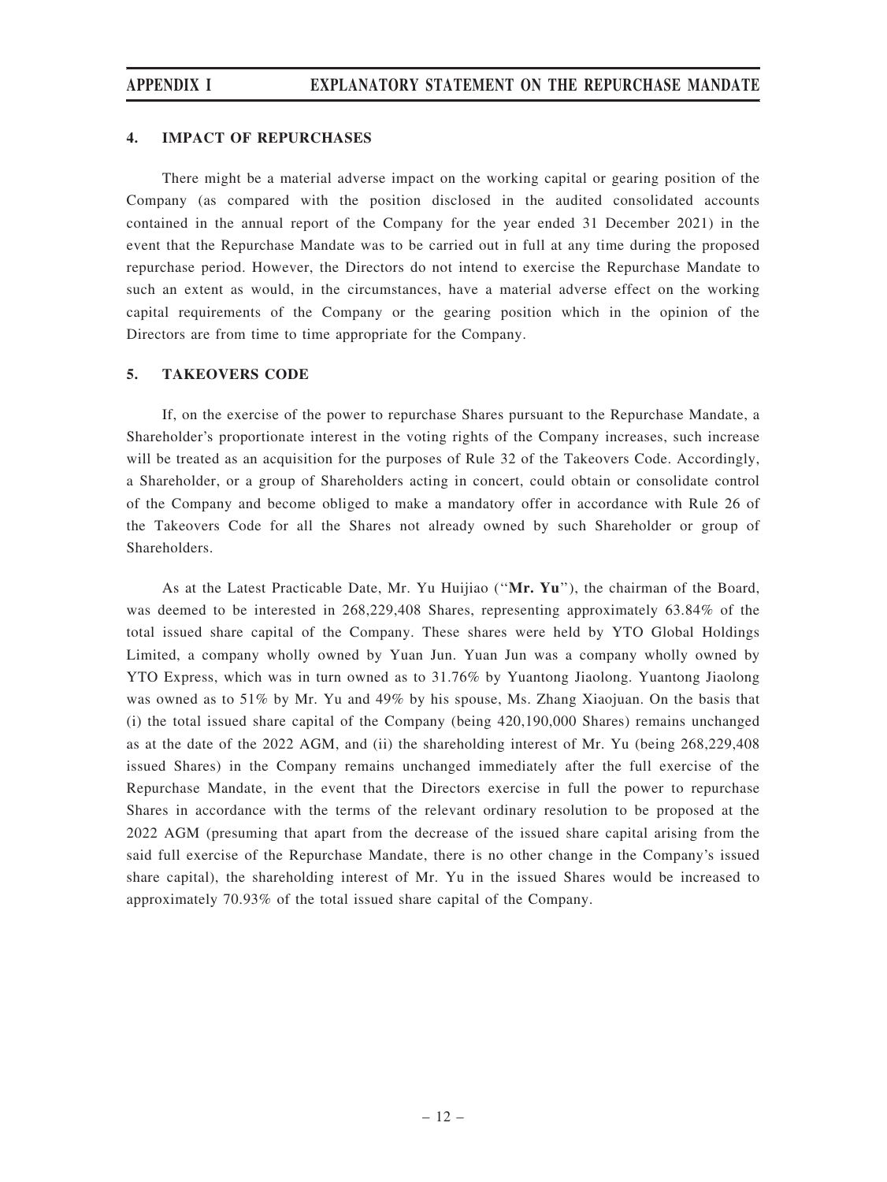#### 4. IMPACT OF REPURCHASES

There might be a material adverse impact on the working capital or gearing position of the Company (as compared with the position disclosed in the audited consolidated accounts contained in the annual report of the Company for the year ended 31 December 2021) in the event that the Repurchase Mandate was to be carried out in full at any time during the proposed repurchase period. However, the Directors do not intend to exercise the Repurchase Mandate to such an extent as would, in the circumstances, have a material adverse effect on the working capital requirements of the Company or the gearing position which in the opinion of the Directors are from time to time appropriate for the Company.

#### 5. TAKEOVERS CODE

If, on the exercise of the power to repurchase Shares pursuant to the Repurchase Mandate, a Shareholder's proportionate interest in the voting rights of the Company increases, such increase will be treated as an acquisition for the purposes of Rule 32 of the Takeovers Code. Accordingly, a Shareholder, or a group of Shareholders acting in concert, could obtain or consolidate control of the Company and become obliged to make a mandatory offer in accordance with Rule 26 of the Takeovers Code for all the Shares not already owned by such Shareholder or group of Shareholders.

As at the Latest Practicable Date, Mr. Yu Huijiao (''Mr. Yu''), the chairman of the Board, was deemed to be interested in 268,229,408 Shares, representing approximately 63.84% of the total issued share capital of the Company. These shares were held by YTO Global Holdings Limited, a company wholly owned by Yuan Jun. Yuan Jun was a company wholly owned by YTO Express, which was in turn owned as to 31.76% by Yuantong Jiaolong. Yuantong Jiaolong was owned as to 51% by Mr. Yu and 49% by his spouse, Ms. Zhang Xiaojuan. On the basis that (i) the total issued share capital of the Company (being 420,190,000 Shares) remains unchanged as at the date of the 2022 AGM, and (ii) the shareholding interest of Mr. Yu (being 268,229,408 issued Shares) in the Company remains unchanged immediately after the full exercise of the Repurchase Mandate, in the event that the Directors exercise in full the power to repurchase Shares in accordance with the terms of the relevant ordinary resolution to be proposed at the 2022 AGM (presuming that apart from the decrease of the issued share capital arising from the said full exercise of the Repurchase Mandate, there is no other change in the Company's issued share capital), the shareholding interest of Mr. Yu in the issued Shares would be increased to approximately 70.93% of the total issued share capital of the Company.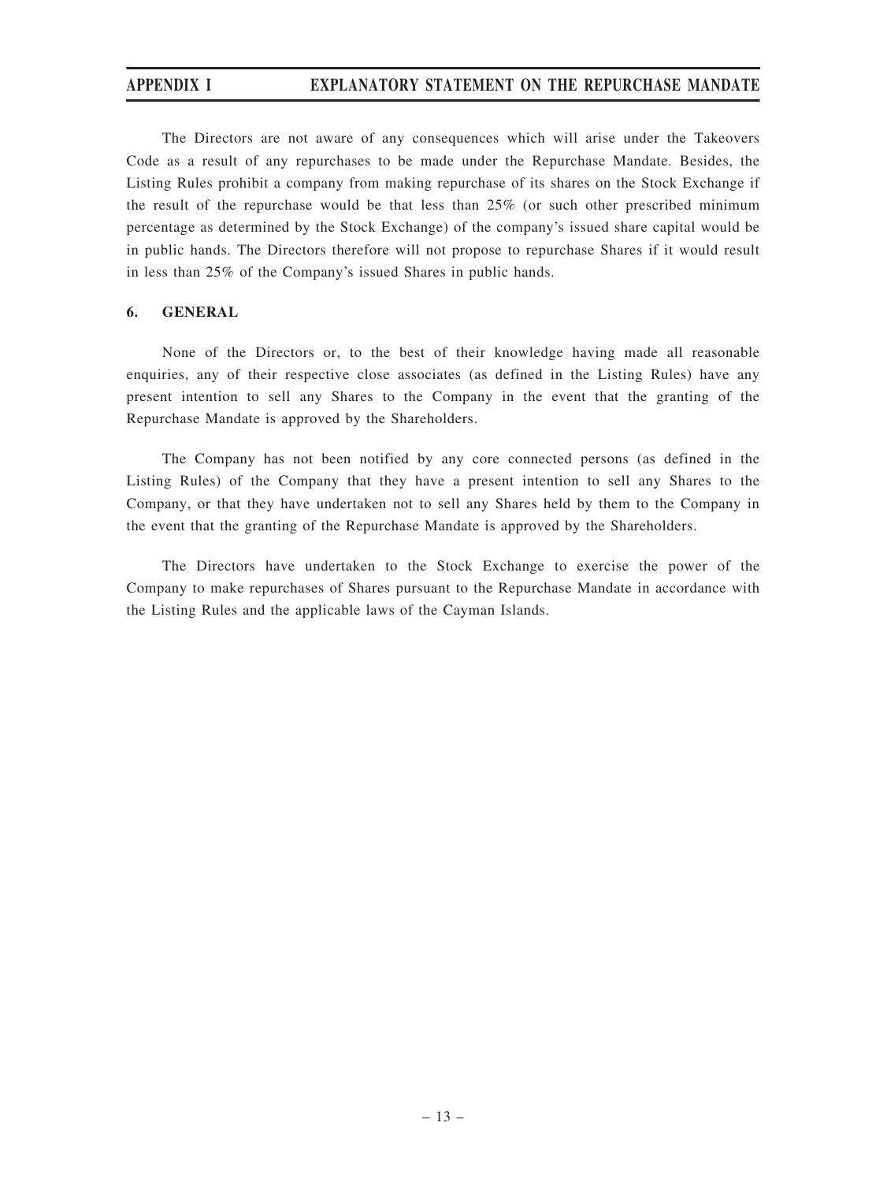## APPENDIX I EXPLANATORY STATEMENT ON THE REPURCHASE MANDATE

The Directors are not aware of any consequences which will arise under the Takeovers Code as a result of any repurchases to be made under the Repurchase Mandate. Besides, the Listing Rules prohibit a company from making repurchase of its shares on the Stock Exchange if the result of the repurchase would be that less than 25% (or such other prescribed minimum percentage as determined by the Stock Exchange) of the company's issued share capital would be in public hands. The Directors therefore will not propose to repurchase Shares if it would result in less than 25% of the Company's issued Shares in public hands.

#### 6. GENERAL

None of the Directors or, to the best of their knowledge having made all reasonable enquiries, any of their respective close associates (as defined in the Listing Rules) have any present intention to sell any Shares to the Company in the event that the granting of the Repurchase Mandate is approved by the Shareholders.

The Company has not been notified by any core connected persons (as defined in the Listing Rules) of the Company that they have a present intention to sell any Shares to the Company, or that they have undertaken not to sell any Shares held by them to the Company in the event that the granting of the Repurchase Mandate is approved by the Shareholders.

The Directors have undertaken to the Stock Exchange to exercise the power of the Company to make repurchases of Shares pursuant to the Repurchase Mandate in accordance with the Listing Rules and the applicable laws of the Cayman Islands.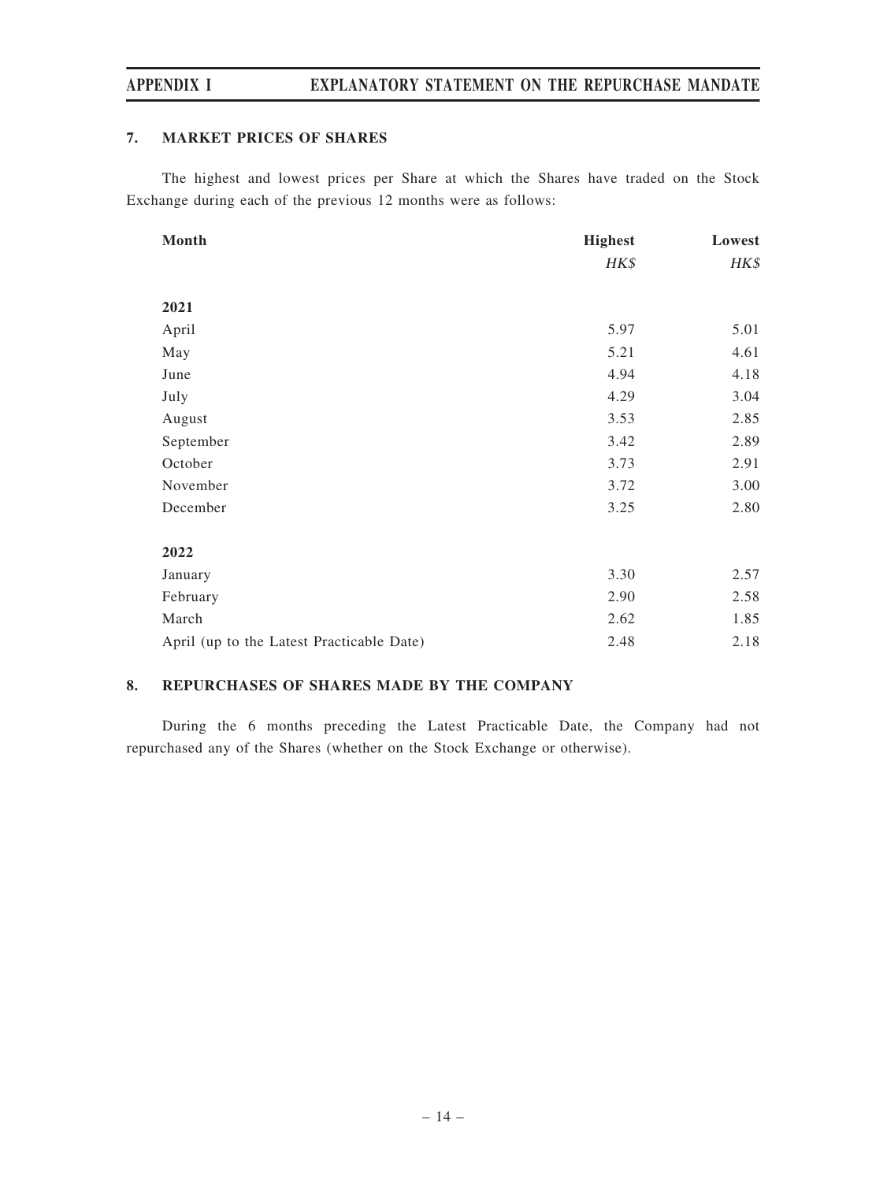## APPENDIX I EXPLANATORY STATEMENT ON THE REPURCHASE MANDATE

#### 7. MARKET PRICES OF SHARES

The highest and lowest prices per Share at which the Shares have traded on the Stock Exchange during each of the previous 12 months were as follows:

| Month                                     | <b>Highest</b> | Lowest |
|-------------------------------------------|----------------|--------|
|                                           | HK\$           | HK\$   |
|                                           |                |        |
| 2021                                      |                |        |
| April                                     | 5.97           | 5.01   |
| May                                       | 5.21           | 4.61   |
| June                                      | 4.94           | 4.18   |
| July                                      | 4.29           | 3.04   |
| August                                    | 3.53           | 2.85   |
| September                                 | 3.42           | 2.89   |
| October                                   | 3.73           | 2.91   |
| November                                  | 3.72           | 3.00   |
| December                                  | 3.25           | 2.80   |
|                                           |                |        |
| 2022                                      |                |        |
| January                                   | 3.30           | 2.57   |
| February                                  | 2.90           | 2.58   |
| March                                     | 2.62           | 1.85   |
| April (up to the Latest Practicable Date) | 2.48           | 2.18   |

#### 8. REPURCHASES OF SHARES MADE BY THE COMPANY

During the 6 months preceding the Latest Practicable Date, the Company had not repurchased any of the Shares (whether on the Stock Exchange or otherwise).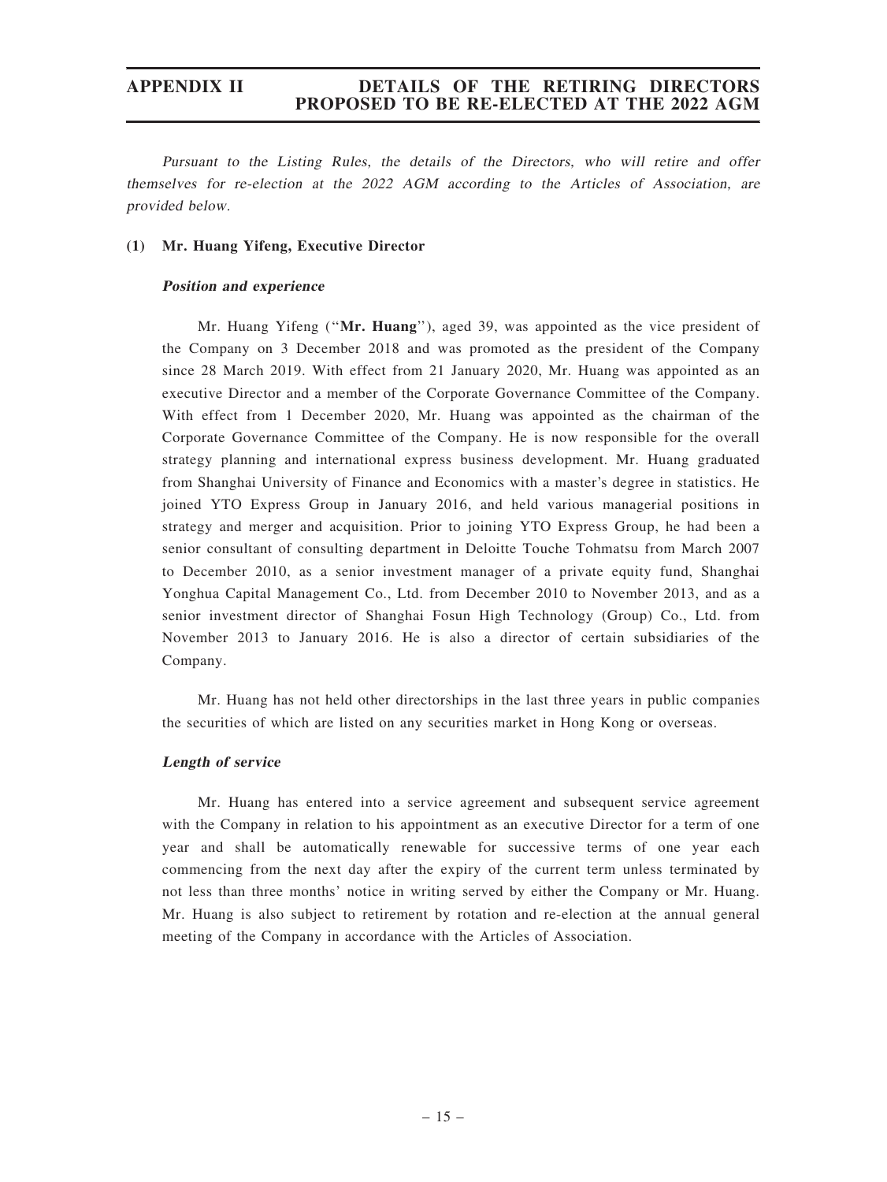Pursuant to the Listing Rules, the details of the Directors, who will retire and offer themselves for re-election at the 2022 AGM according to the Articles of Association, are provided below.

#### (1) Mr. Huang Yifeng, Executive Director

#### Position and experience

Mr. Huang Yifeng ("Mr. Huang"), aged 39, was appointed as the vice president of the Company on 3 December 2018 and was promoted as the president of the Company since 28 March 2019. With effect from 21 January 2020, Mr. Huang was appointed as an executive Director and a member of the Corporate Governance Committee of the Company. With effect from 1 December 2020, Mr. Huang was appointed as the chairman of the Corporate Governance Committee of the Company. He is now responsible for the overall strategy planning and international express business development. Mr. Huang graduated from Shanghai University of Finance and Economics with a master's degree in statistics. He joined YTO Express Group in January 2016, and held various managerial positions in strategy and merger and acquisition. Prior to joining YTO Express Group, he had been a senior consultant of consulting department in Deloitte Touche Tohmatsu from March 2007 to December 2010, as a senior investment manager of a private equity fund, Shanghai Yonghua Capital Management Co., Ltd. from December 2010 to November 2013, and as a senior investment director of Shanghai Fosun High Technology (Group) Co., Ltd. from November 2013 to January 2016. He is also a director of certain subsidiaries of the Company.

Mr. Huang has not held other directorships in the last three years in public companies the securities of which are listed on any securities market in Hong Kong or overseas.

#### Length of service

Mr. Huang has entered into a service agreement and subsequent service agreement with the Company in relation to his appointment as an executive Director for a term of one year and shall be automatically renewable for successive terms of one year each commencing from the next day after the expiry of the current term unless terminated by not less than three months' notice in writing served by either the Company or Mr. Huang. Mr. Huang is also subject to retirement by rotation and re-election at the annual general meeting of the Company in accordance with the Articles of Association.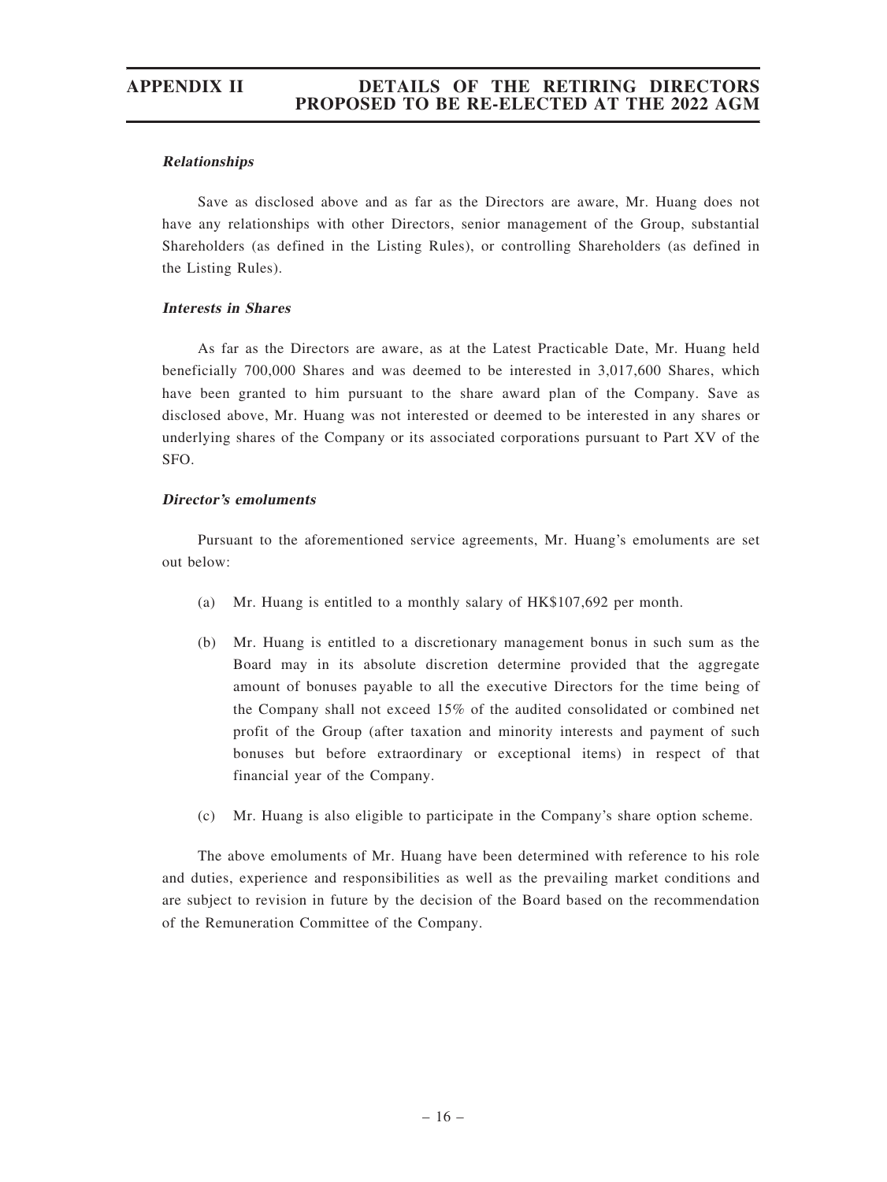#### Relationships

Save as disclosed above and as far as the Directors are aware, Mr. Huang does not have any relationships with other Directors, senior management of the Group, substantial Shareholders (as defined in the Listing Rules), or controlling Shareholders (as defined in the Listing Rules).

#### Interests in Shares

As far as the Directors are aware, as at the Latest Practicable Date, Mr. Huang held beneficially 700,000 Shares and was deemed to be interested in 3,017,600 Shares, which have been granted to him pursuant to the share award plan of the Company. Save as disclosed above, Mr. Huang was not interested or deemed to be interested in any shares or underlying shares of the Company or its associated corporations pursuant to Part XV of the SFO.

#### Director'<sup>s</sup> emoluments

Pursuant to the aforementioned service agreements, Mr. Huang's emoluments are set out below:

- (a) Mr. Huang is entitled to a monthly salary of HK\$107,692 per month.
- (b) Mr. Huang is entitled to a discretionary management bonus in such sum as the Board may in its absolute discretion determine provided that the aggregate amount of bonuses payable to all the executive Directors for the time being of the Company shall not exceed 15% of the audited consolidated or combined net profit of the Group (after taxation and minority interests and payment of such bonuses but before extraordinary or exceptional items) in respect of that financial year of the Company.
- (c) Mr. Huang is also eligible to participate in the Company's share option scheme.

The above emoluments of Mr. Huang have been determined with reference to his role and duties, experience and responsibilities as well as the prevailing market conditions and are subject to revision in future by the decision of the Board based on the recommendation of the Remuneration Committee of the Company.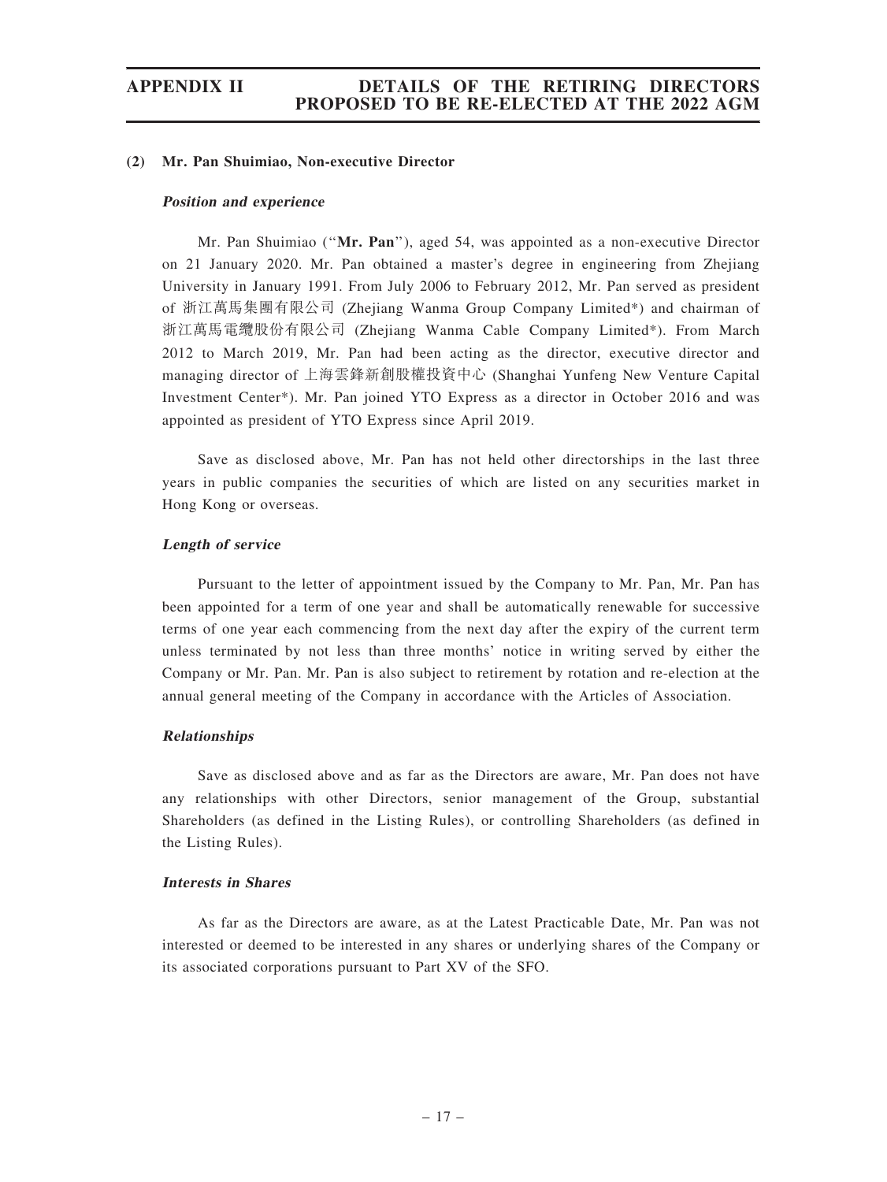#### (2) Mr. Pan Shuimiao, Non-executive Director

#### Position and experience

Mr. Pan Shuimiao (''Mr. Pan''), aged 54, was appointed as a non-executive Director on 21 January 2020. Mr. Pan obtained a master's degree in engineering from Zhejiang University in January 1991. From July 2006 to February 2012, Mr. Pan served as president of 浙江萬馬集團有限公司 (Zhejiang Wanma Group Company Limited\*) and chairman of 浙江萬馬電纜股份有限公司 (Zhejiang Wanma Cable Company Limited\*). From March 2012 to March 2019, Mr. Pan had been acting as the director, executive director and managing director of 上海雲鋒新創股權投資中心 (Shanghai Yunfeng New Venture Capital Investment Center\*). Mr. Pan joined YTO Express as a director in October 2016 and was appointed as president of YTO Express since April 2019.

Save as disclosed above, Mr. Pan has not held other directorships in the last three years in public companies the securities of which are listed on any securities market in Hong Kong or overseas.

#### Length of service

Pursuant to the letter of appointment issued by the Company to Mr. Pan, Mr. Pan has been appointed for a term of one year and shall be automatically renewable for successive terms of one year each commencing from the next day after the expiry of the current term unless terminated by not less than three months' notice in writing served by either the Company or Mr. Pan. Mr. Pan is also subject to retirement by rotation and re-election at the annual general meeting of the Company in accordance with the Articles of Association.

#### Relationships

Save as disclosed above and as far as the Directors are aware, Mr. Pan does not have any relationships with other Directors, senior management of the Group, substantial Shareholders (as defined in the Listing Rules), or controlling Shareholders (as defined in the Listing Rules).

#### Interests in Shares

As far as the Directors are aware, as at the Latest Practicable Date, Mr. Pan was not interested or deemed to be interested in any shares or underlying shares of the Company or its associated corporations pursuant to Part XV of the SFO.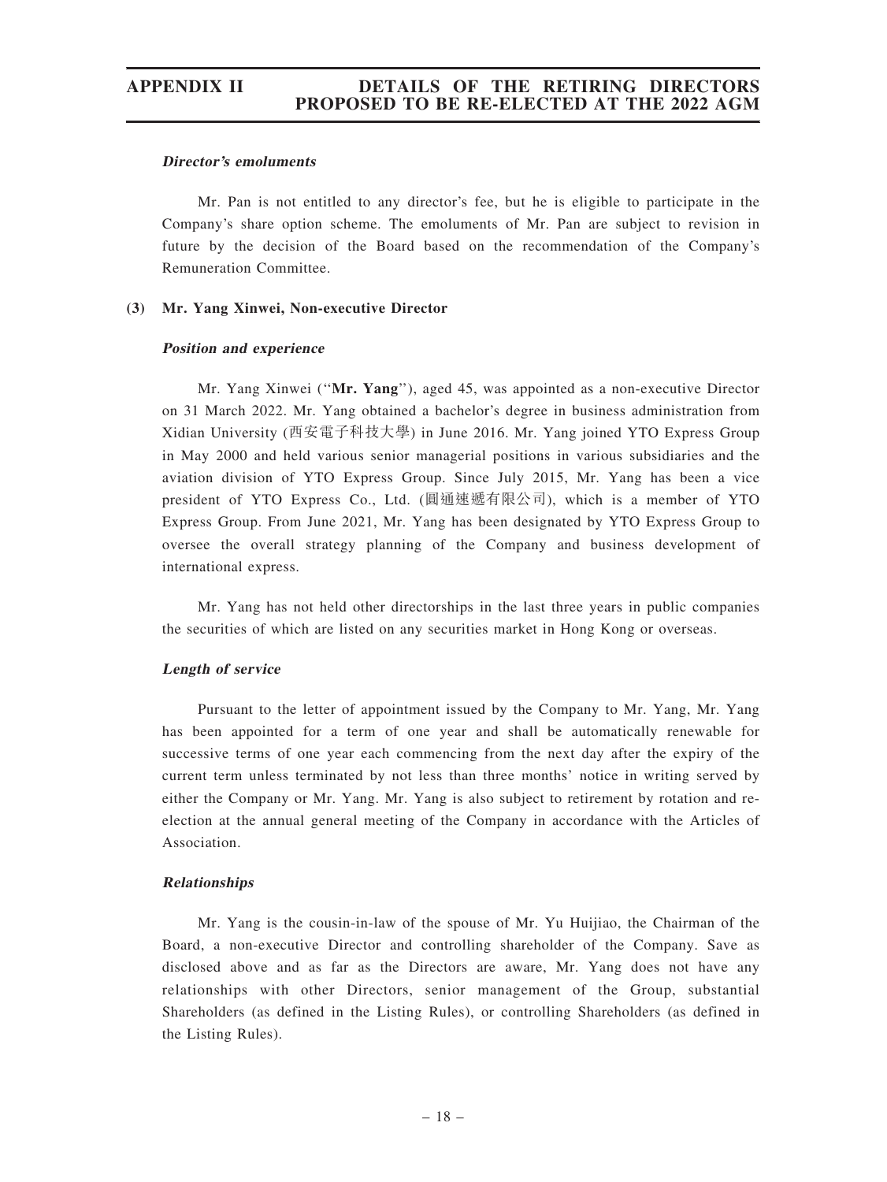#### Director'<sup>s</sup> emoluments

Mr. Pan is not entitled to any director's fee, but he is eligible to participate in the Company's share option scheme. The emoluments of Mr. Pan are subject to revision in future by the decision of the Board based on the recommendation of the Company's Remuneration Committee.

#### (3) Mr. Yang Xinwei, Non-executive Director

#### Position and experience

Mr. Yang Xinwei (''Mr. Yang''), aged 45, was appointed as a non-executive Director on 31 March 2022. Mr. Yang obtained a bachelor's degree in business administration from Xidian University (西安電子科技大學) in June 2016. Mr. Yang joined YTO Express Group in May 2000 and held various senior managerial positions in various subsidiaries and the aviation division of YTO Express Group. Since July 2015, Mr. Yang has been a vice president of YTO Express Co., Ltd. (圓通速遞有限公司), which is a member of YTO Express Group. From June 2021, Mr. Yang has been designated by YTO Express Group to oversee the overall strategy planning of the Company and business development of international express.

Mr. Yang has not held other directorships in the last three years in public companies the securities of which are listed on any securities market in Hong Kong or overseas.

#### Length of service

Pursuant to the letter of appointment issued by the Company to Mr. Yang, Mr. Yang has been appointed for a term of one year and shall be automatically renewable for successive terms of one year each commencing from the next day after the expiry of the current term unless terminated by not less than three months' notice in writing served by either the Company or Mr. Yang. Mr. Yang is also subject to retirement by rotation and reelection at the annual general meeting of the Company in accordance with the Articles of Association.

#### Relationships

Mr. Yang is the cousin-in-law of the spouse of Mr. Yu Huijiao, the Chairman of the Board, a non-executive Director and controlling shareholder of the Company. Save as disclosed above and as far as the Directors are aware, Mr. Yang does not have any relationships with other Directors, senior management of the Group, substantial Shareholders (as defined in the Listing Rules), or controlling Shareholders (as defined in the Listing Rules).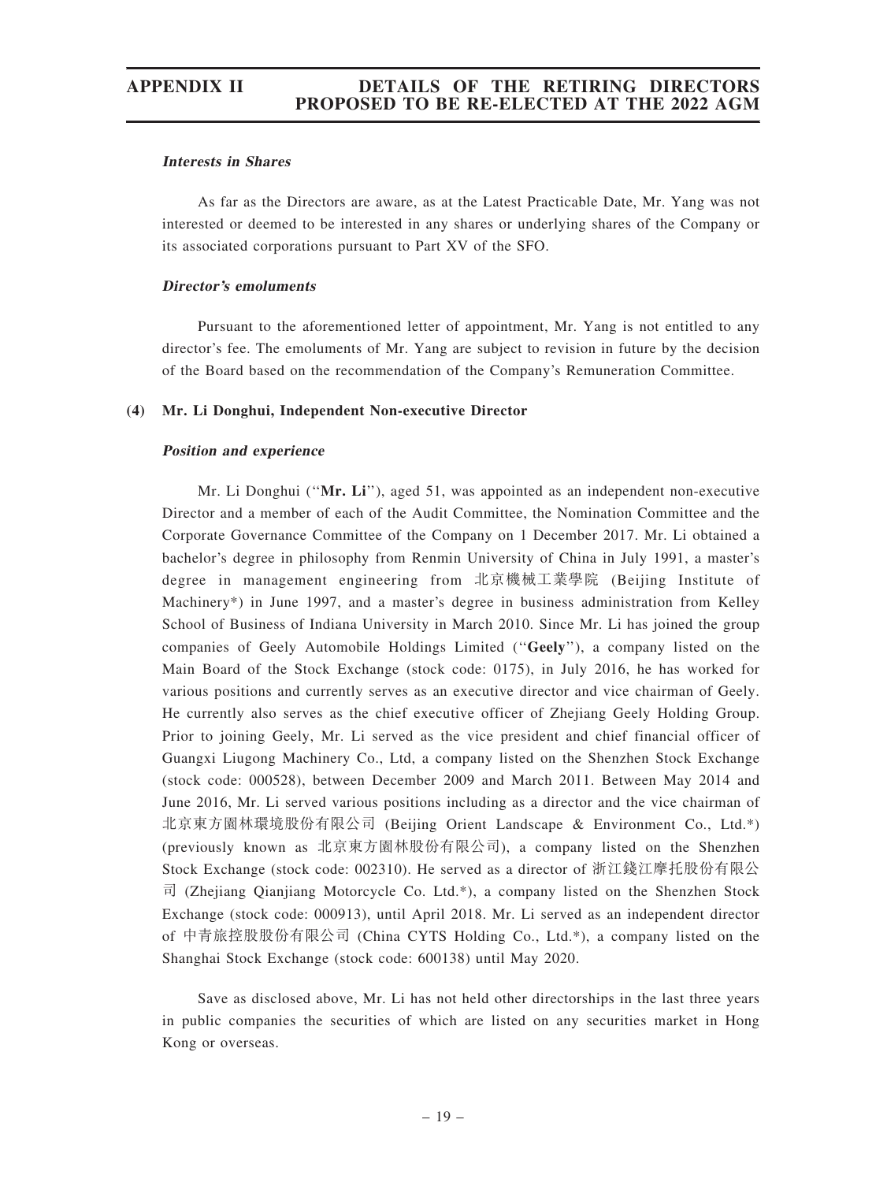#### Interests in Shares

As far as the Directors are aware, as at the Latest Practicable Date, Mr. Yang was not interested or deemed to be interested in any shares or underlying shares of the Company or its associated corporations pursuant to Part XV of the SFO.

#### Director'<sup>s</sup> emoluments

Pursuant to the aforementioned letter of appointment, Mr. Yang is not entitled to any director's fee. The emoluments of Mr. Yang are subject to revision in future by the decision of the Board based on the recommendation of the Company's Remuneration Committee.

#### (4) Mr. Li Donghui, Independent Non-executive Director

#### Position and experience

Mr. Li Donghui (" $Mr. Li$ "), aged 51, was appointed as an independent non-executive Director and a member of each of the Audit Committee, the Nomination Committee and the Corporate Governance Committee of the Company on 1 December 2017. Mr. Li obtained a bachelor's degree in philosophy from Renmin University of China in July 1991, a master's degree in management engineering from 北京機械工業學院 (Beijing Institute of Machinery\*) in June 1997, and a master's degree in business administration from Kelley School of Business of Indiana University in March 2010. Since Mr. Li has joined the group companies of Geely Automobile Holdings Limited (''Geely''), a company listed on the Main Board of the Stock Exchange (stock code: 0175), in July 2016, he has worked for various positions and currently serves as an executive director and vice chairman of Geely. He currently also serves as the chief executive officer of Zhejiang Geely Holding Group. Prior to joining Geely, Mr. Li served as the vice president and chief financial officer of Guangxi Liugong Machinery Co., Ltd, a company listed on the Shenzhen Stock Exchange (stock code: 000528), between December 2009 and March 2011. Between May 2014 and June 2016, Mr. Li served various positions including as a director and the vice chairman of 北京東方園林環境股份有限公司 (Beijing Orient Landscape & Environment Co., Ltd.\*) (previously known as 北京東方園林股份有限公司), a company listed on the Shenzhen Stock Exchange (stock code: 002310). He served as a director of 浙江錢江摩托股份有限公  $\vec{\mathbb{E}}$  (Zhejiang Qianjiang Motorcycle Co. Ltd.\*), a company listed on the Shenzhen Stock Exchange (stock code: 000913), until April 2018. Mr. Li served as an independent director of 中青旅控股股份有限公司 (China CYTS Holding Co., Ltd.\*), a company listed on the Shanghai Stock Exchange (stock code: 600138) until May 2020.

Save as disclosed above, Mr. Li has not held other directorships in the last three years in public companies the securities of which are listed on any securities market in Hong Kong or overseas.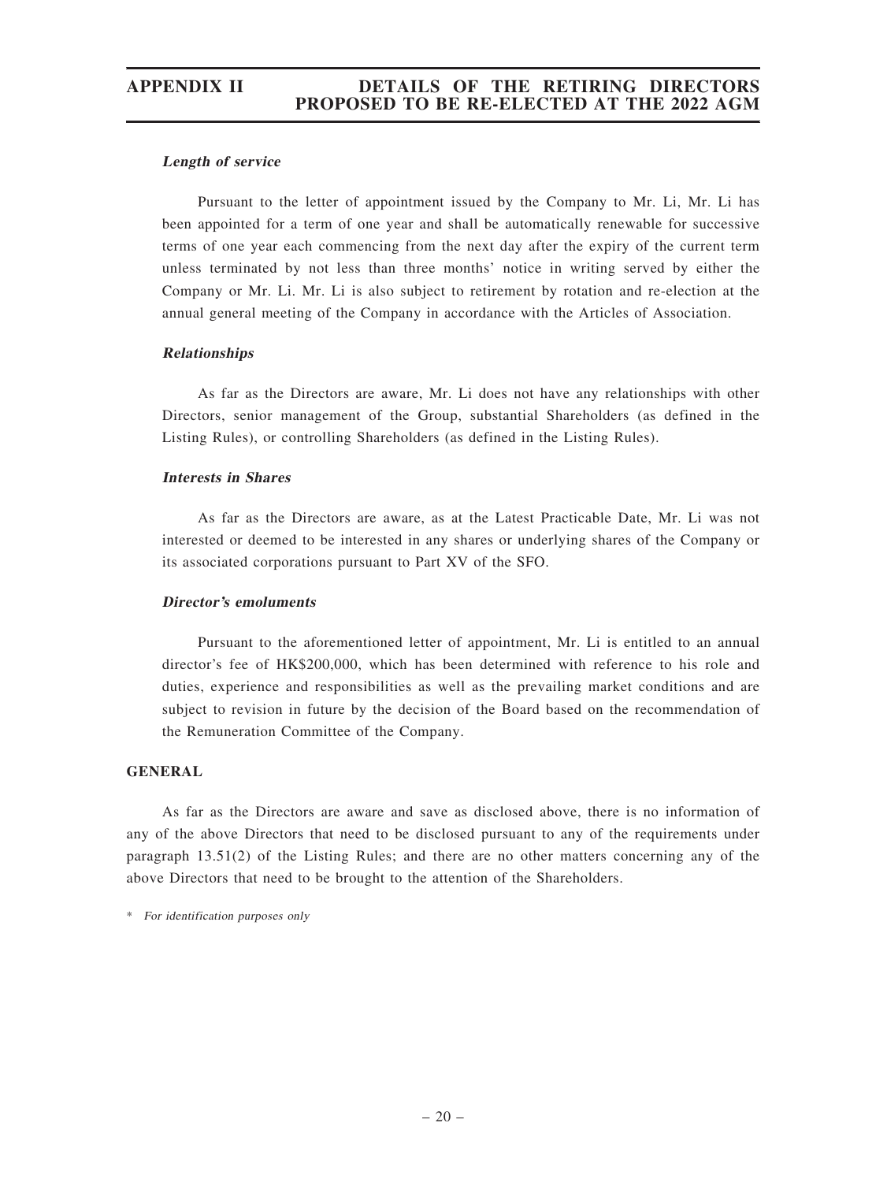#### Length of service

Pursuant to the letter of appointment issued by the Company to Mr. Li, Mr. Li has been appointed for a term of one year and shall be automatically renewable for successive terms of one year each commencing from the next day after the expiry of the current term unless terminated by not less than three months' notice in writing served by either the Company or Mr. Li. Mr. Li is also subject to retirement by rotation and re-election at the annual general meeting of the Company in accordance with the Articles of Association.

#### Relationships

As far as the Directors are aware, Mr. Li does not have any relationships with other Directors, senior management of the Group, substantial Shareholders (as defined in the Listing Rules), or controlling Shareholders (as defined in the Listing Rules).

#### Interests in Shares

As far as the Directors are aware, as at the Latest Practicable Date, Mr. Li was not interested or deemed to be interested in any shares or underlying shares of the Company or its associated corporations pursuant to Part XV of the SFO.

#### Director'<sup>s</sup> emoluments

Pursuant to the aforementioned letter of appointment, Mr. Li is entitled to an annual director's fee of HK\$200,000, which has been determined with reference to his role and duties, experience and responsibilities as well as the prevailing market conditions and are subject to revision in future by the decision of the Board based on the recommendation of the Remuneration Committee of the Company.

#### GENERAL

As far as the Directors are aware and save as disclosed above, there is no information of any of the above Directors that need to be disclosed pursuant to any of the requirements under paragraph 13.51(2) of the Listing Rules; and there are no other matters concerning any of the above Directors that need to be brought to the attention of the Shareholders.

\* For identification purposes only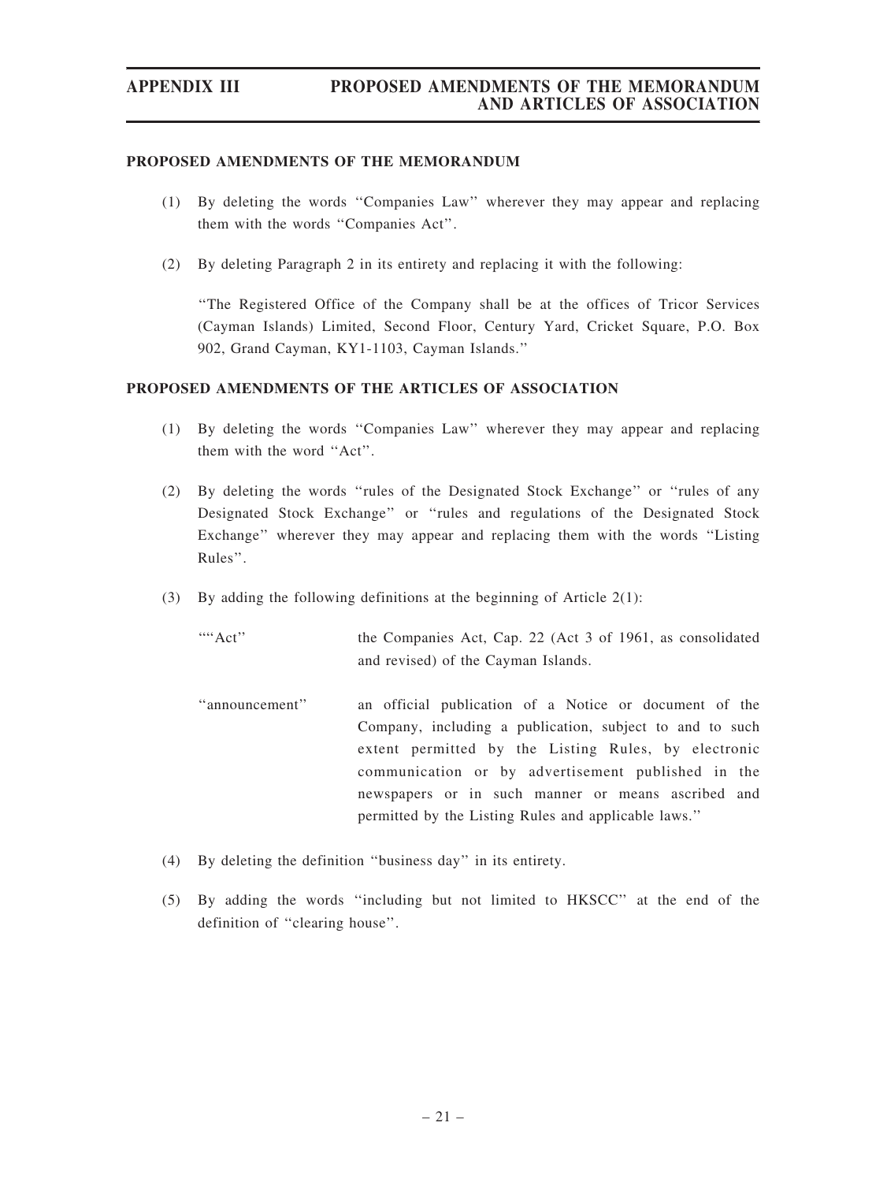#### PROPOSED AMENDMENTS OF THE MEMORANDUM

- (1) By deleting the words ''Companies Law'' wherever they may appear and replacing them with the words ''Companies Act''.
- (2) By deleting Paragraph 2 in its entirety and replacing it with the following:

''The Registered Office of the Company shall be at the offices of Tricor Services (Cayman Islands) Limited, Second Floor, Century Yard, Cricket Square, P.O. Box 902, Grand Cayman, KY1-1103, Cayman Islands.''

#### PROPOSED AMENDMENTS OF THE ARTICLES OF ASSOCIATION

- (1) By deleting the words ''Companies Law'' wherever they may appear and replacing them with the word ''Act''.
- (2) By deleting the words ''rules of the Designated Stock Exchange'' or ''rules of any Designated Stock Exchange'' or ''rules and regulations of the Designated Stock Exchange'' wherever they may appear and replacing them with the words ''Listing Rules''.
- (3) By adding the following definitions at the beginning of Article 2(1):

""Act" the Companies Act, Cap. 22 (Act 3 of 1961, as consolidated and revised) of the Cayman Islands.

- ''announcement'' an official publication of a Notice or document of the Company, including a publication, subject to and to such extent permitted by the Listing Rules, by electronic communication or by advertisement published in the newspapers or in such manner or means ascribed and permitted by the Listing Rules and applicable laws.''
- (4) By deleting the definition ''business day'' in its entirety.
- (5) By adding the words ''including but not limited to HKSCC'' at the end of the definition of ''clearing house''.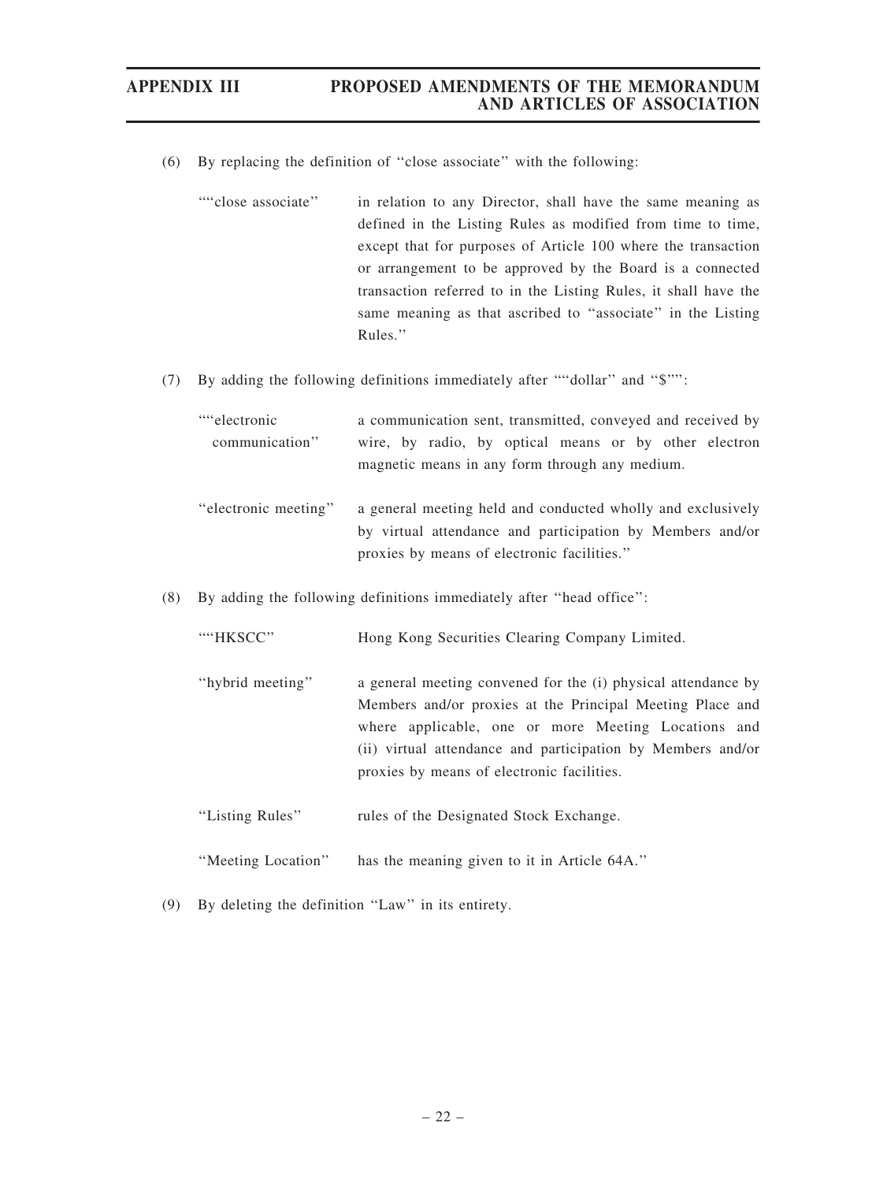- (6) By replacing the definition of ''close associate'' with the following:
	- ''''close associate'' in relation to any Director, shall have the same meaning as defined in the Listing Rules as modified from time to time, except that for purposes of Article 100 where the transaction or arrangement to be approved by the Board is a connected transaction referred to in the Listing Rules, it shall have the same meaning as that ascribed to ''associate'' in the Listing Rules.''
- (7) By adding the following definitions immediately after ''''dollar'' and ''\$'''':

| ""electronic"        | a communication sent, transmitted, conveyed and received by |
|----------------------|-------------------------------------------------------------|
| communication"       | wire, by radio, by optical means or by other electron       |
|                      | magnetic means in any form through any medium.              |
|                      |                                                             |
| "electronic meeting" | a general meeting held and conducted wholly and exclusively |
|                      | by virtual attendance and participation by Members and/or   |

proxies by means of electronic facilities.''

(8) By adding the following definitions immediately after ''head office'':

| "HKSCC"          | Hong Kong Securities Clearing Company Limited.                                                                                                                                                                                                                                                 |
|------------------|------------------------------------------------------------------------------------------------------------------------------------------------------------------------------------------------------------------------------------------------------------------------------------------------|
| "hybrid meeting" | a general meeting convened for the (i) physical attendance by<br>Members and/or proxies at the Principal Meeting Place and<br>where applicable, one or more Meeting Locations and<br>(ii) virtual attendance and participation by Members and/or<br>proxies by means of electronic facilities. |
| "Listing Rules"  | rules of the Designated Stock Exchange.                                                                                                                                                                                                                                                        |

- ''Meeting Location'' has the meaning given to it in Article 64A.''
- (9) By deleting the definition ''Law'' in its entirety.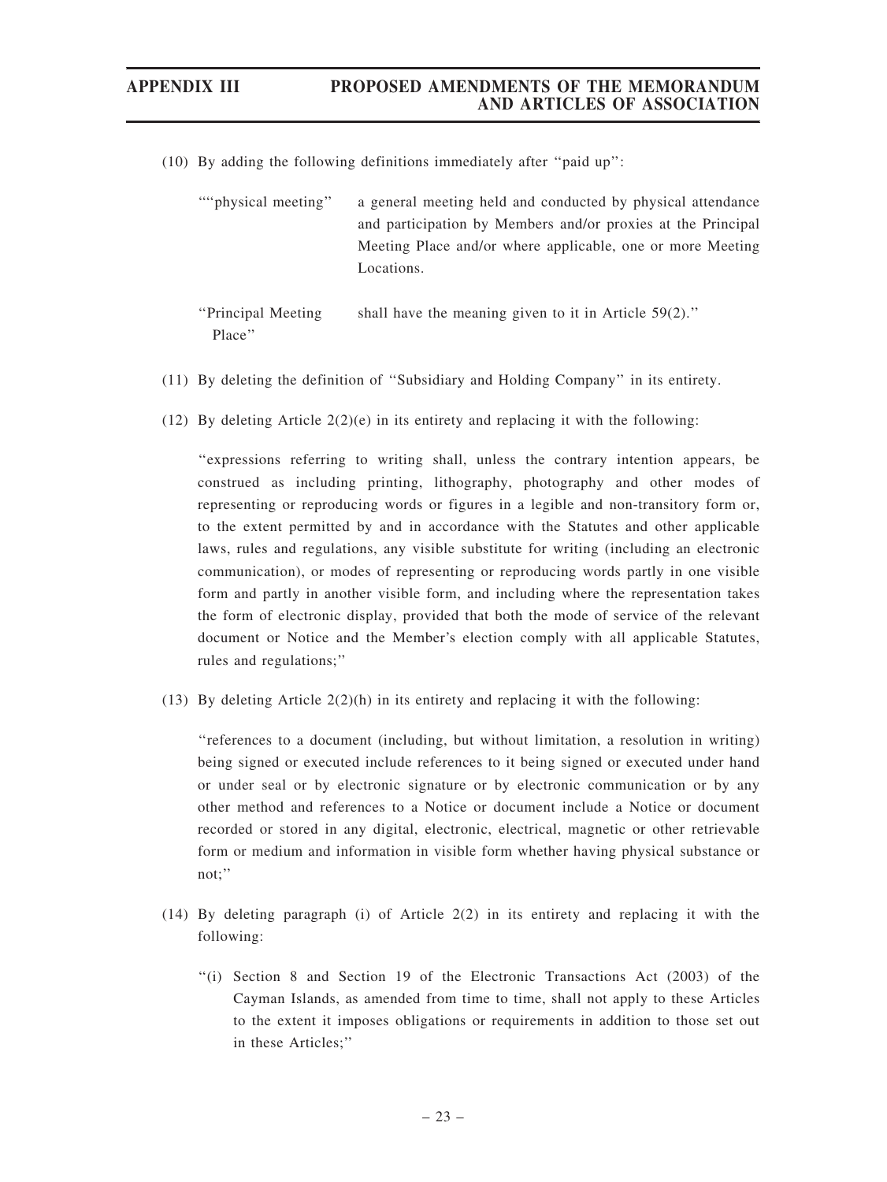- (10) By adding the following definitions immediately after ''paid up'':
	- ''''physical meeting'' a general meeting held and conducted by physical attendance and participation by Members and/or proxies at the Principal Meeting Place and/or where applicable, one or more Meeting Locations.

''Principal Meeting Place'' shall have the meaning given to it in Article 59(2).''

- (11) By deleting the definition of ''Subsidiary and Holding Company'' in its entirety.
- (12) By deleting Article  $2(2)(e)$  in its entirety and replacing it with the following:

''expressions referring to writing shall, unless the contrary intention appears, be construed as including printing, lithography, photography and other modes of representing or reproducing words or figures in a legible and non-transitory form or, to the extent permitted by and in accordance with the Statutes and other applicable laws, rules and regulations, any visible substitute for writing (including an electronic communication), or modes of representing or reproducing words partly in one visible form and partly in another visible form, and including where the representation takes the form of electronic display, provided that both the mode of service of the relevant document or Notice and the Member's election comply with all applicable Statutes, rules and regulations;''

(13) By deleting Article  $2(2)(h)$  in its entirety and replacing it with the following:

''references to a document (including, but without limitation, a resolution in writing) being signed or executed include references to it being signed or executed under hand or under seal or by electronic signature or by electronic communication or by any other method and references to a Notice or document include a Notice or document recorded or stored in any digital, electronic, electrical, magnetic or other retrievable form or medium and information in visible form whether having physical substance or not;''

- (14) By deleting paragraph (i) of Article 2(2) in its entirety and replacing it with the following:
	- ''(i) Section 8 and Section 19 of the Electronic Transactions Act (2003) of the Cayman Islands, as amended from time to time, shall not apply to these Articles to the extent it imposes obligations or requirements in addition to those set out in these Articles;''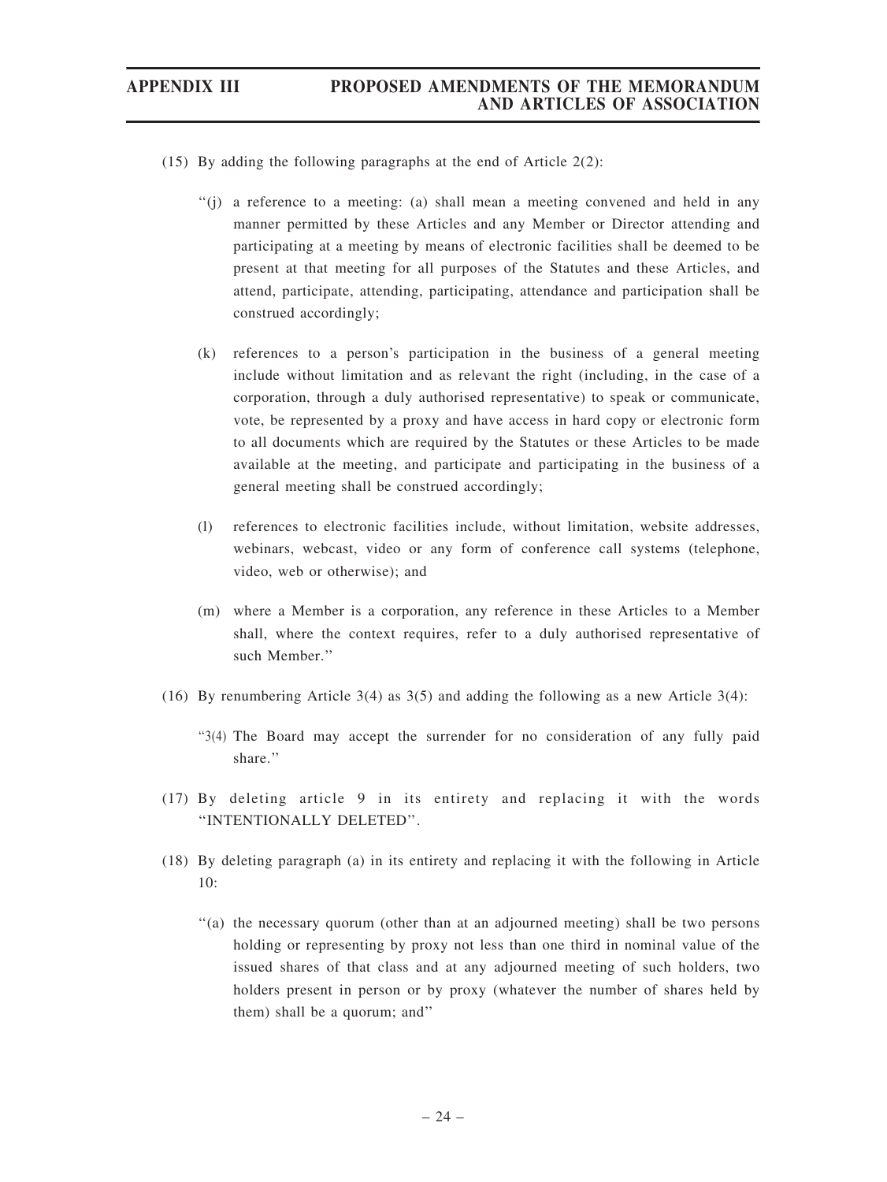(15) By adding the following paragraphs at the end of Article 2(2):

- ''(j) a reference to a meeting: (a) shall mean a meeting convened and held in any manner permitted by these Articles and any Member or Director attending and participating at a meeting by means of electronic facilities shall be deemed to be present at that meeting for all purposes of the Statutes and these Articles, and attend, participate, attending, participating, attendance and participation shall be construed accordingly;
- (k) references to a person's participation in the business of a general meeting include without limitation and as relevant the right (including, in the case of a corporation, through a duly authorised representative) to speak or communicate, vote, be represented by a proxy and have access in hard copy or electronic form to all documents which are required by the Statutes or these Articles to be made available at the meeting, and participate and participating in the business of a general meeting shall be construed accordingly;
- (l) references to electronic facilities include, without limitation, website addresses, webinars, webcast, video or any form of conference call systems (telephone, video, web or otherwise); and
- (m) where a Member is a corporation, any reference in these Articles to a Member shall, where the context requires, refer to a duly authorised representative of such Member.''
- (16) By renumbering Article 3(4) as  $3(5)$  and adding the following as a new Article 3(4):
	- ''3(4) The Board may accept the surrender for no consideration of any fully paid share.''
- (17) By deleting article 9 in its entirety and replacing it with the words ''INTENTIONALLY DELETED''.
- (18) By deleting paragraph (a) in its entirety and replacing it with the following in Article 10:
	- ''(a) the necessary quorum (other than at an adjourned meeting) shall be two persons holding or representing by proxy not less than one third in nominal value of the issued shares of that class and at any adjourned meeting of such holders, two holders present in person or by proxy (whatever the number of shares held by them) shall be a quorum; and''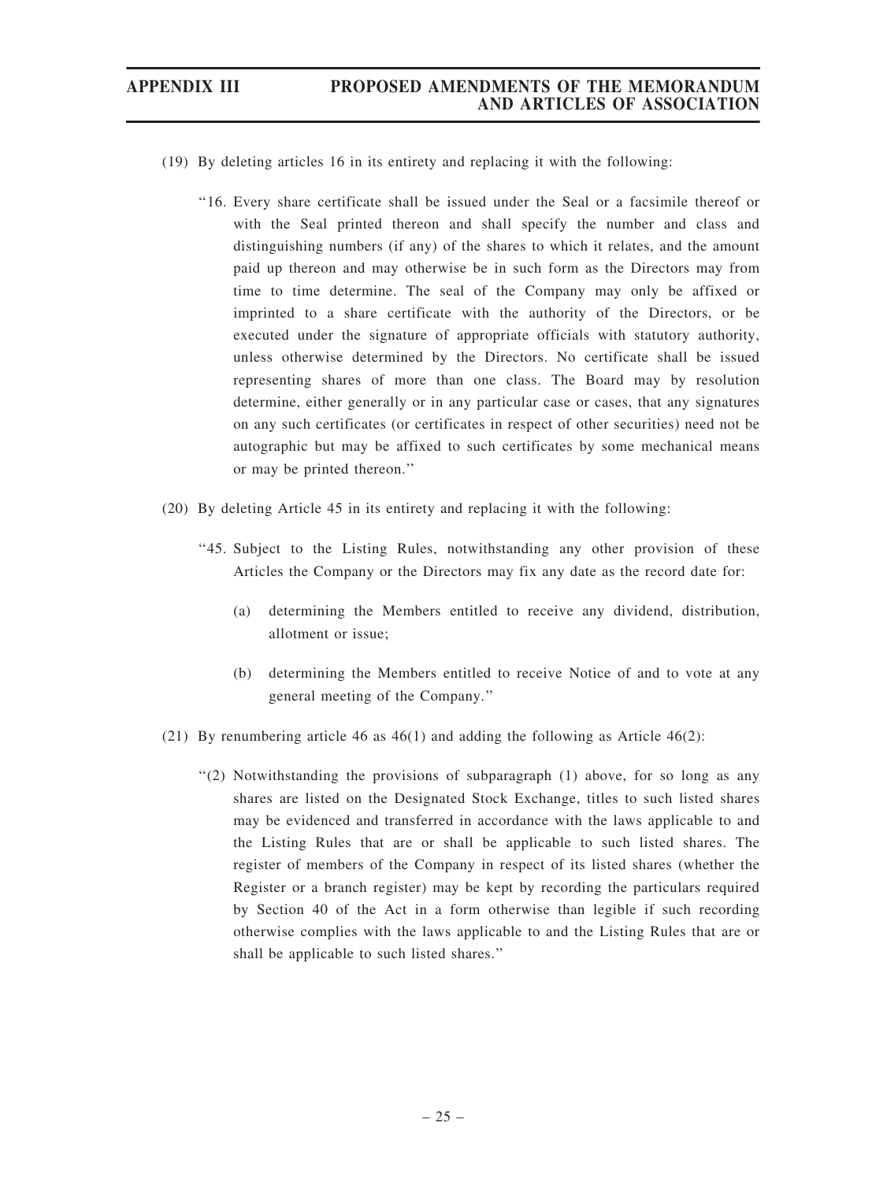- (19) By deleting articles 16 in its entirety and replacing it with the following:
	- ''16. Every share certificate shall be issued under the Seal or a facsimile thereof or with the Seal printed thereon and shall specify the number and class and distinguishing numbers (if any) of the shares to which it relates, and the amount paid up thereon and may otherwise be in such form as the Directors may from time to time determine. The seal of the Company may only be affixed or imprinted to a share certificate with the authority of the Directors, or be executed under the signature of appropriate officials with statutory authority, unless otherwise determined by the Directors. No certificate shall be issued representing shares of more than one class. The Board may by resolution determine, either generally or in any particular case or cases, that any signatures on any such certificates (or certificates in respect of other securities) need not be autographic but may be affixed to such certificates by some mechanical means or may be printed thereon.''
- (20) By deleting Article 45 in its entirety and replacing it with the following:
	- ''45. Subject to the Listing Rules, notwithstanding any other provision of these Articles the Company or the Directors may fix any date as the record date for:
		- (a) determining the Members entitled to receive any dividend, distribution, allotment or issue;
		- (b) determining the Members entitled to receive Notice of and to vote at any general meeting of the Company.''
- (21) By renumbering article 46 as 46(1) and adding the following as Article 46(2):
	- ''(2) Notwithstanding the provisions of subparagraph (1) above, for so long as any shares are listed on the Designated Stock Exchange, titles to such listed shares may be evidenced and transferred in accordance with the laws applicable to and the Listing Rules that are or shall be applicable to such listed shares. The register of members of the Company in respect of its listed shares (whether the Register or a branch register) may be kept by recording the particulars required by Section 40 of the Act in a form otherwise than legible if such recording otherwise complies with the laws applicable to and the Listing Rules that are or shall be applicable to such listed shares.''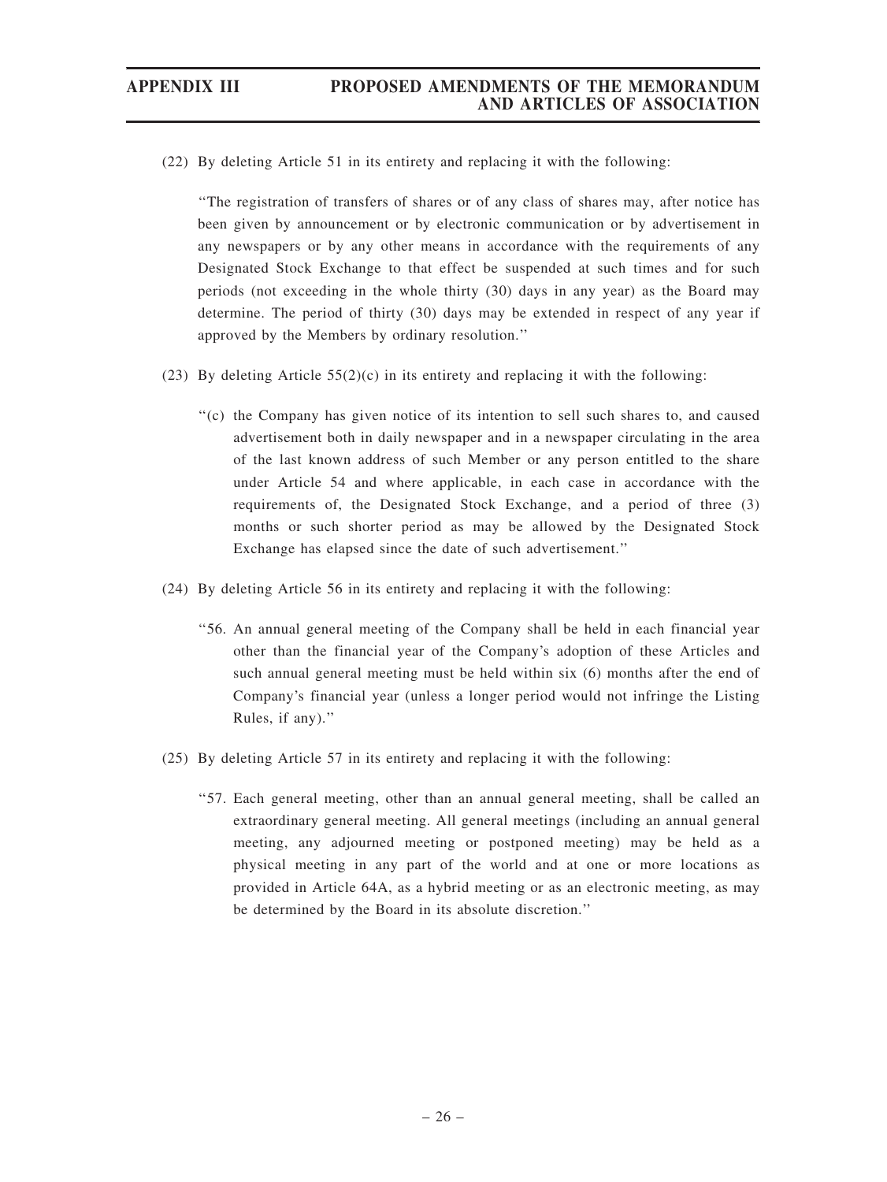(22) By deleting Article 51 in its entirety and replacing it with the following:

''The registration of transfers of shares or of any class of shares may, after notice has been given by announcement or by electronic communication or by advertisement in any newspapers or by any other means in accordance with the requirements of any Designated Stock Exchange to that effect be suspended at such times and for such periods (not exceeding in the whole thirty (30) days in any year) as the Board may determine. The period of thirty (30) days may be extended in respect of any year if approved by the Members by ordinary resolution.''

- (23) By deleting Article  $55(2)(c)$  in its entirety and replacing it with the following:
	- ''(c) the Company has given notice of its intention to sell such shares to, and caused advertisement both in daily newspaper and in a newspaper circulating in the area of the last known address of such Member or any person entitled to the share under Article 54 and where applicable, in each case in accordance with the requirements of, the Designated Stock Exchange, and a period of three (3) months or such shorter period as may be allowed by the Designated Stock Exchange has elapsed since the date of such advertisement.''
- (24) By deleting Article 56 in its entirety and replacing it with the following:
	- ''56. An annual general meeting of the Company shall be held in each financial year other than the financial year of the Company's adoption of these Articles and such annual general meeting must be held within six (6) months after the end of Company's financial year (unless a longer period would not infringe the Listing Rules, if any).''
- (25) By deleting Article 57 in its entirety and replacing it with the following:
	- ''57. Each general meeting, other than an annual general meeting, shall be called an extraordinary general meeting. All general meetings (including an annual general meeting, any adjourned meeting or postponed meeting) may be held as a physical meeting in any part of the world and at one or more locations as provided in Article 64A, as a hybrid meeting or as an electronic meeting, as may be determined by the Board in its absolute discretion.''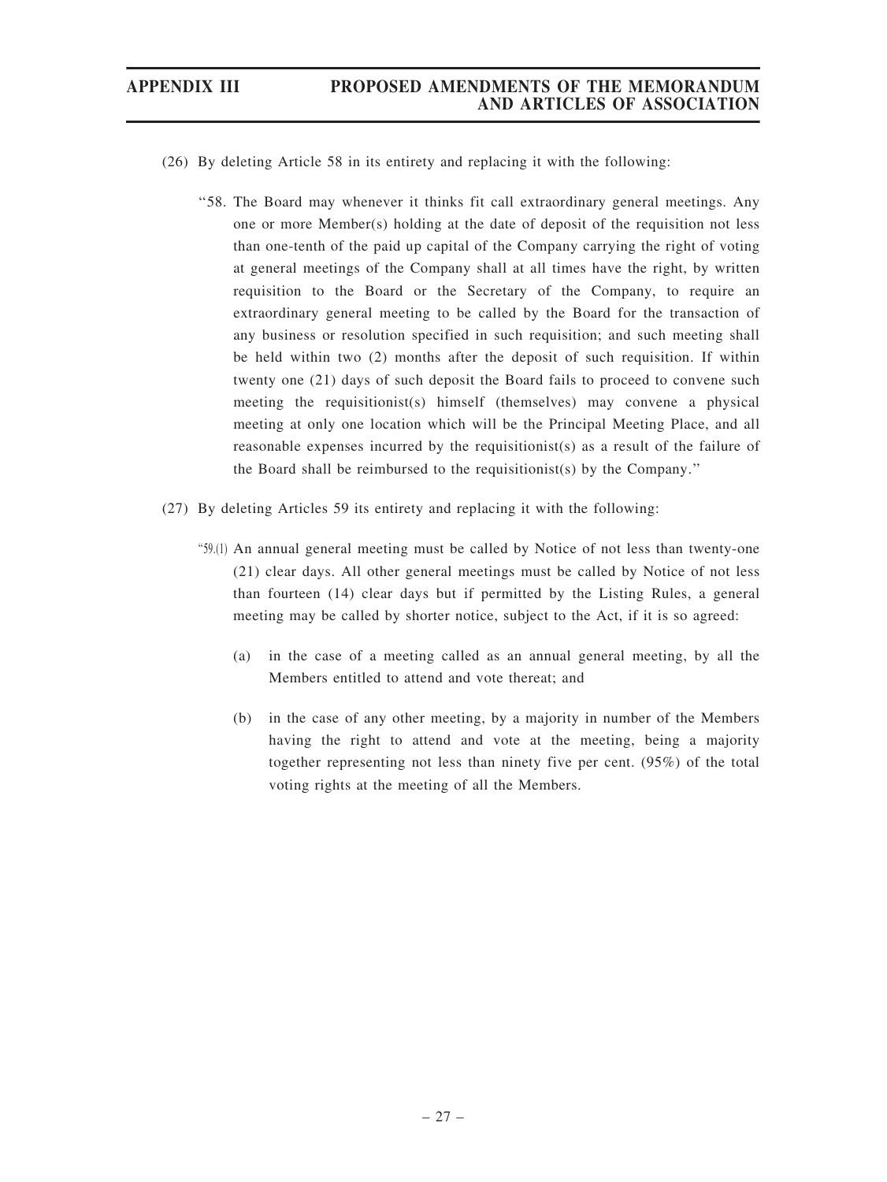- (26) By deleting Article 58 in its entirety and replacing it with the following:
	- ''58. The Board may whenever it thinks fit call extraordinary general meetings. Any one or more Member(s) holding at the date of deposit of the requisition not less than one-tenth of the paid up capital of the Company carrying the right of voting at general meetings of the Company shall at all times have the right, by written requisition to the Board or the Secretary of the Company, to require an extraordinary general meeting to be called by the Board for the transaction of any business or resolution specified in such requisition; and such meeting shall be held within two (2) months after the deposit of such requisition. If within twenty one (21) days of such deposit the Board fails to proceed to convene such meeting the requisitionist(s) himself (themselves) may convene a physical meeting at only one location which will be the Principal Meeting Place, and all reasonable expenses incurred by the requisitionist(s) as a result of the failure of the Board shall be reimbursed to the requisitionist(s) by the Company.''
- (27) By deleting Articles 59 its entirety and replacing it with the following:
	- ''59.(1) An annual general meeting must be called by Notice of not less than twenty-one (21) clear days. All other general meetings must be called by Notice of not less than fourteen (14) clear days but if permitted by the Listing Rules, a general meeting may be called by shorter notice, subject to the Act, if it is so agreed:
		- (a) in the case of a meeting called as an annual general meeting, by all the Members entitled to attend and vote thereat; and
		- (b) in the case of any other meeting, by a majority in number of the Members having the right to attend and vote at the meeting, being a majority together representing not less than ninety five per cent. (95%) of the total voting rights at the meeting of all the Members.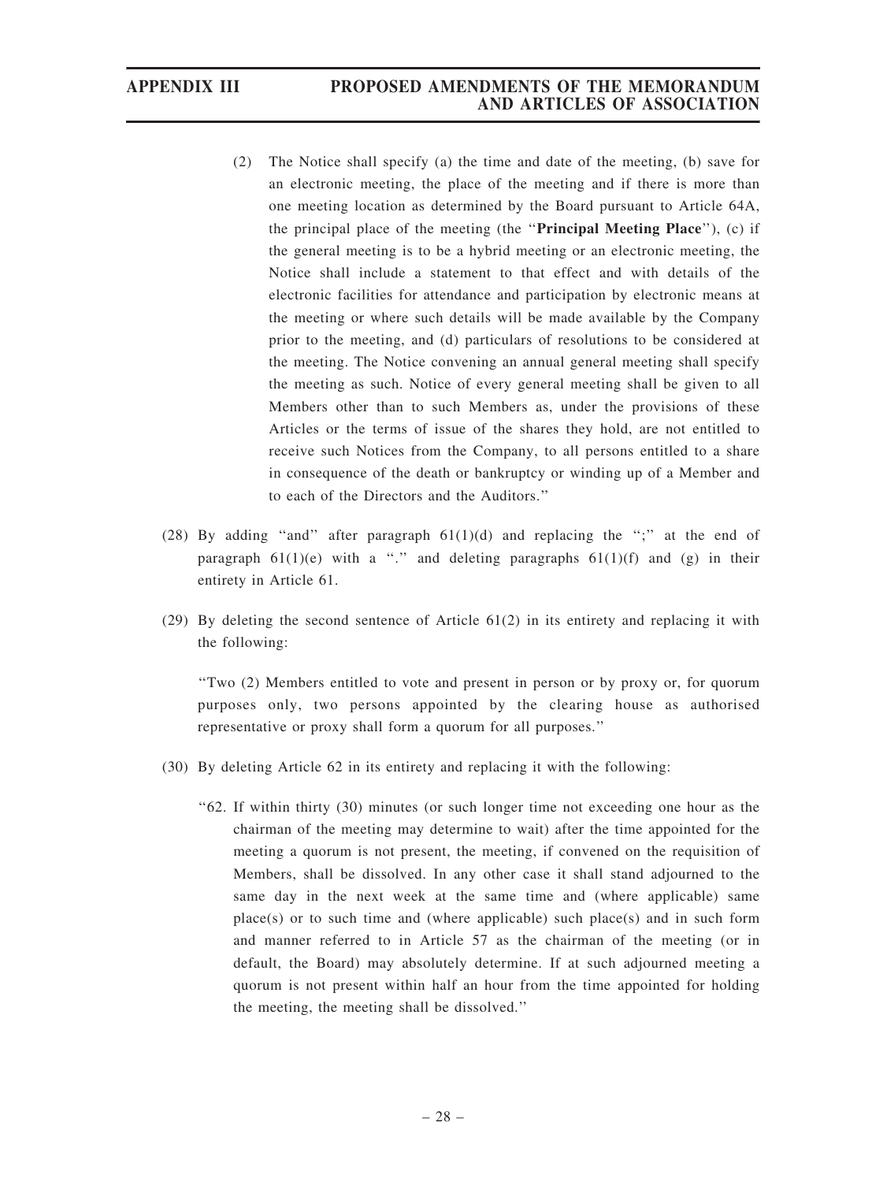- (2) The Notice shall specify (a) the time and date of the meeting, (b) save for an electronic meeting, the place of the meeting and if there is more than one meeting location as determined by the Board pursuant to Article 64A, the principal place of the meeting (the ''Principal Meeting Place''), (c) if the general meeting is to be a hybrid meeting or an electronic meeting, the Notice shall include a statement to that effect and with details of the electronic facilities for attendance and participation by electronic means at the meeting or where such details will be made available by the Company prior to the meeting, and (d) particulars of resolutions to be considered at the meeting. The Notice convening an annual general meeting shall specify the meeting as such. Notice of every general meeting shall be given to all Members other than to such Members as, under the provisions of these Articles or the terms of issue of the shares they hold, are not entitled to receive such Notices from the Company, to all persons entitled to a share in consequence of the death or bankruptcy or winding up of a Member and to each of the Directors and the Auditors.''
- (28) By adding "and" after paragraph  $61(1)(d)$  and replacing the ";" at the end of paragraph  $61(1)(e)$  with a "." and deleting paragraphs  $61(1)(f)$  and (g) in their entirety in Article 61.
- (29) By deleting the second sentence of Article 61(2) in its entirety and replacing it with the following:

''Two (2) Members entitled to vote and present in person or by proxy or, for quorum purposes only, two persons appointed by the clearing house as authorised representative or proxy shall form a quorum for all purposes.''

- (30) By deleting Article 62 in its entirety and replacing it with the following:
	- ''62. If within thirty (30) minutes (or such longer time not exceeding one hour as the chairman of the meeting may determine to wait) after the time appointed for the meeting a quorum is not present, the meeting, if convened on the requisition of Members, shall be dissolved. In any other case it shall stand adjourned to the same day in the next week at the same time and (where applicable) same  $place(s)$  or to such time and (where applicable) such place(s) and in such form and manner referred to in Article 57 as the chairman of the meeting (or in default, the Board) may absolutely determine. If at such adjourned meeting a quorum is not present within half an hour from the time appointed for holding the meeting, the meeting shall be dissolved.''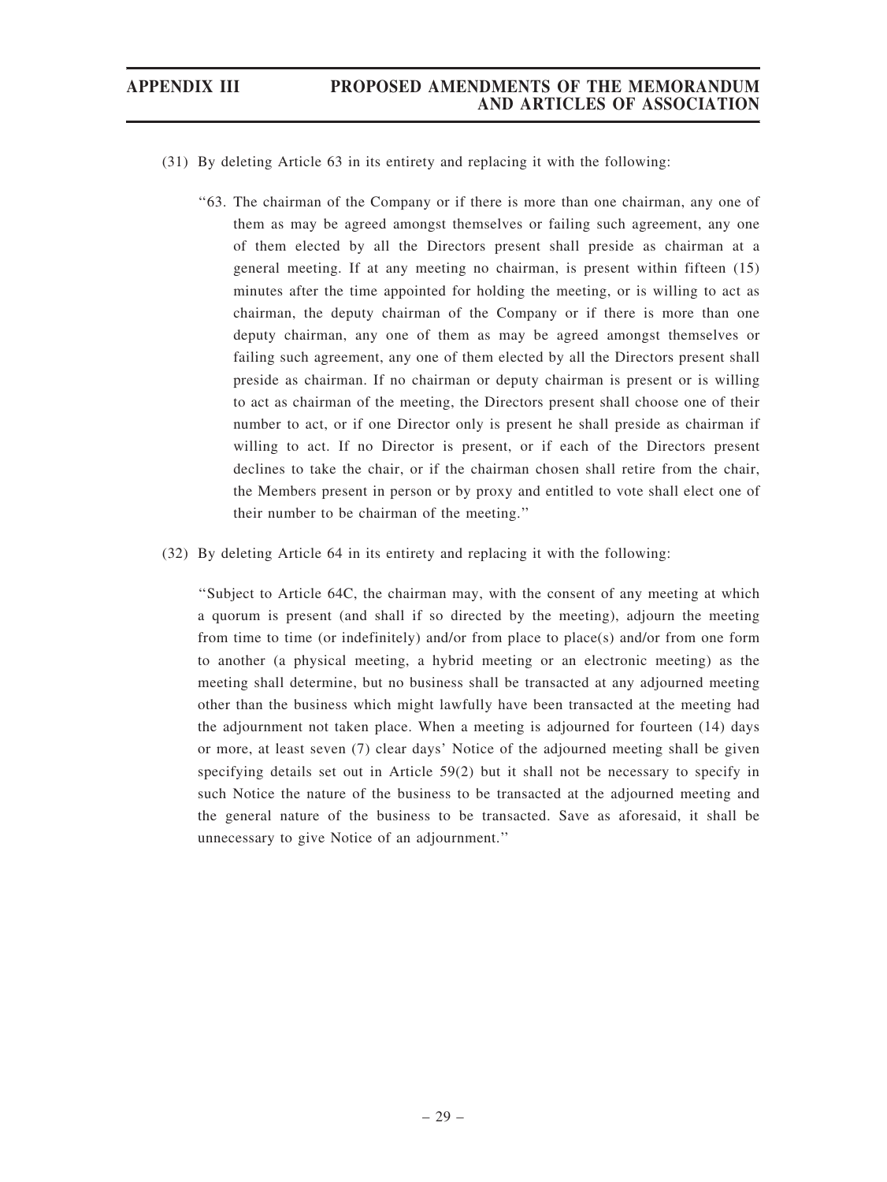- (31) By deleting Article 63 in its entirety and replacing it with the following:
	- ''63. The chairman of the Company or if there is more than one chairman, any one of them as may be agreed amongst themselves or failing such agreement, any one of them elected by all the Directors present shall preside as chairman at a general meeting. If at any meeting no chairman, is present within fifteen (15) minutes after the time appointed for holding the meeting, or is willing to act as chairman, the deputy chairman of the Company or if there is more than one deputy chairman, any one of them as may be agreed amongst themselves or failing such agreement, any one of them elected by all the Directors present shall preside as chairman. If no chairman or deputy chairman is present or is willing to act as chairman of the meeting, the Directors present shall choose one of their number to act, or if one Director only is present he shall preside as chairman if willing to act. If no Director is present, or if each of the Directors present declines to take the chair, or if the chairman chosen shall retire from the chair, the Members present in person or by proxy and entitled to vote shall elect one of their number to be chairman of the meeting.''
- (32) By deleting Article 64 in its entirety and replacing it with the following:

''Subject to Article 64C, the chairman may, with the consent of any meeting at which a quorum is present (and shall if so directed by the meeting), adjourn the meeting from time to time (or indefinitely) and/or from place to place(s) and/or from one form to another (a physical meeting, a hybrid meeting or an electronic meeting) as the meeting shall determine, but no business shall be transacted at any adjourned meeting other than the business which might lawfully have been transacted at the meeting had the adjournment not taken place. When a meeting is adjourned for fourteen (14) days or more, at least seven (7) clear days' Notice of the adjourned meeting shall be given specifying details set out in Article 59(2) but it shall not be necessary to specify in such Notice the nature of the business to be transacted at the adjourned meeting and the general nature of the business to be transacted. Save as aforesaid, it shall be unnecessary to give Notice of an adjournment.''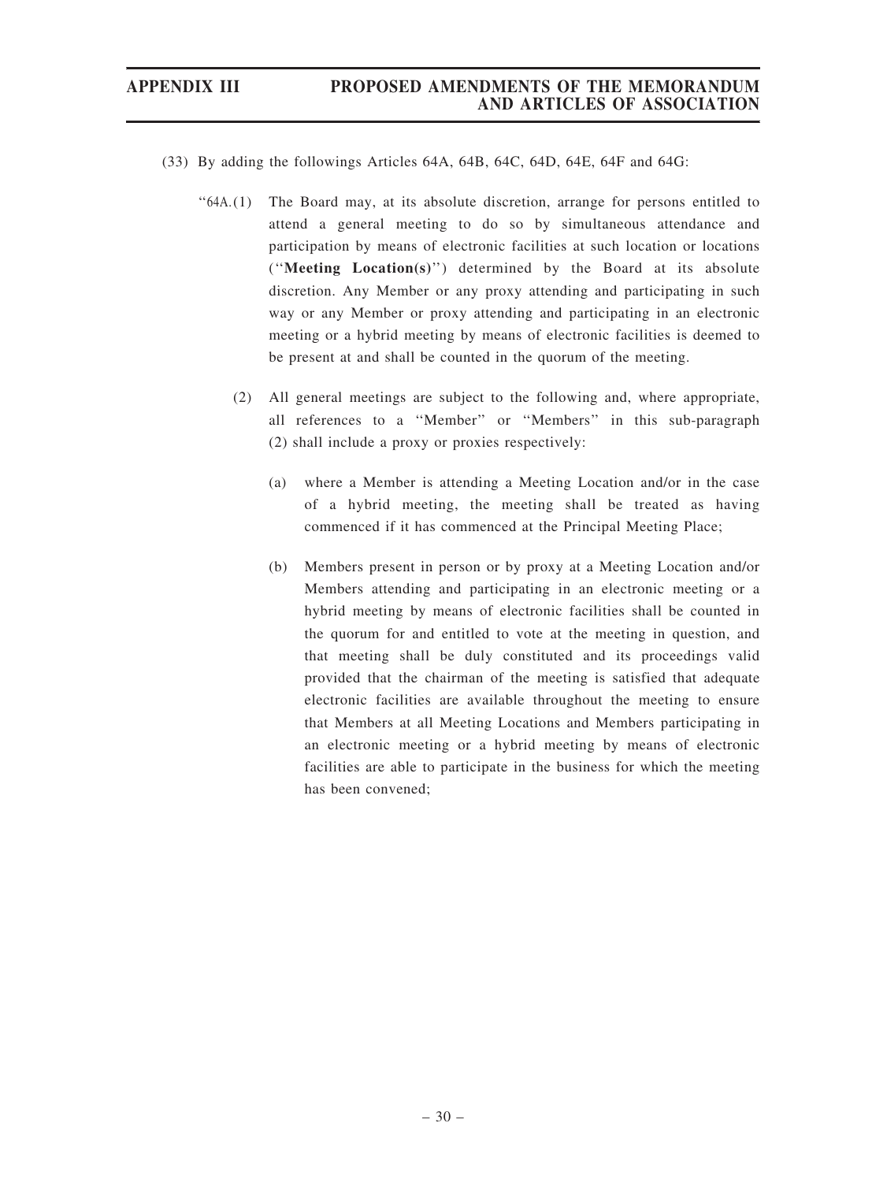- (33) By adding the followings Articles 64A, 64B, 64C, 64D, 64E, 64F and 64G:
	- ''64A.(1) The Board may, at its absolute discretion, arrange for persons entitled to attend a general meeting to do so by simultaneous attendance and participation by means of electronic facilities at such location or locations (''Meeting Location(s)'') determined by the Board at its absolute discretion. Any Member or any proxy attending and participating in such way or any Member or proxy attending and participating in an electronic meeting or a hybrid meeting by means of electronic facilities is deemed to be present at and shall be counted in the quorum of the meeting.
		- (2) All general meetings are subject to the following and, where appropriate, all references to a ''Member'' or ''Members'' in this sub-paragraph (2) shall include a proxy or proxies respectively:
			- (a) where a Member is attending a Meeting Location and/or in the case of a hybrid meeting, the meeting shall be treated as having commenced if it has commenced at the Principal Meeting Place;
			- (b) Members present in person or by proxy at a Meeting Location and/or Members attending and participating in an electronic meeting or a hybrid meeting by means of electronic facilities shall be counted in the quorum for and entitled to vote at the meeting in question, and that meeting shall be duly constituted and its proceedings valid provided that the chairman of the meeting is satisfied that adequate electronic facilities are available throughout the meeting to ensure that Members at all Meeting Locations and Members participating in an electronic meeting or a hybrid meeting by means of electronic facilities are able to participate in the business for which the meeting has been convened;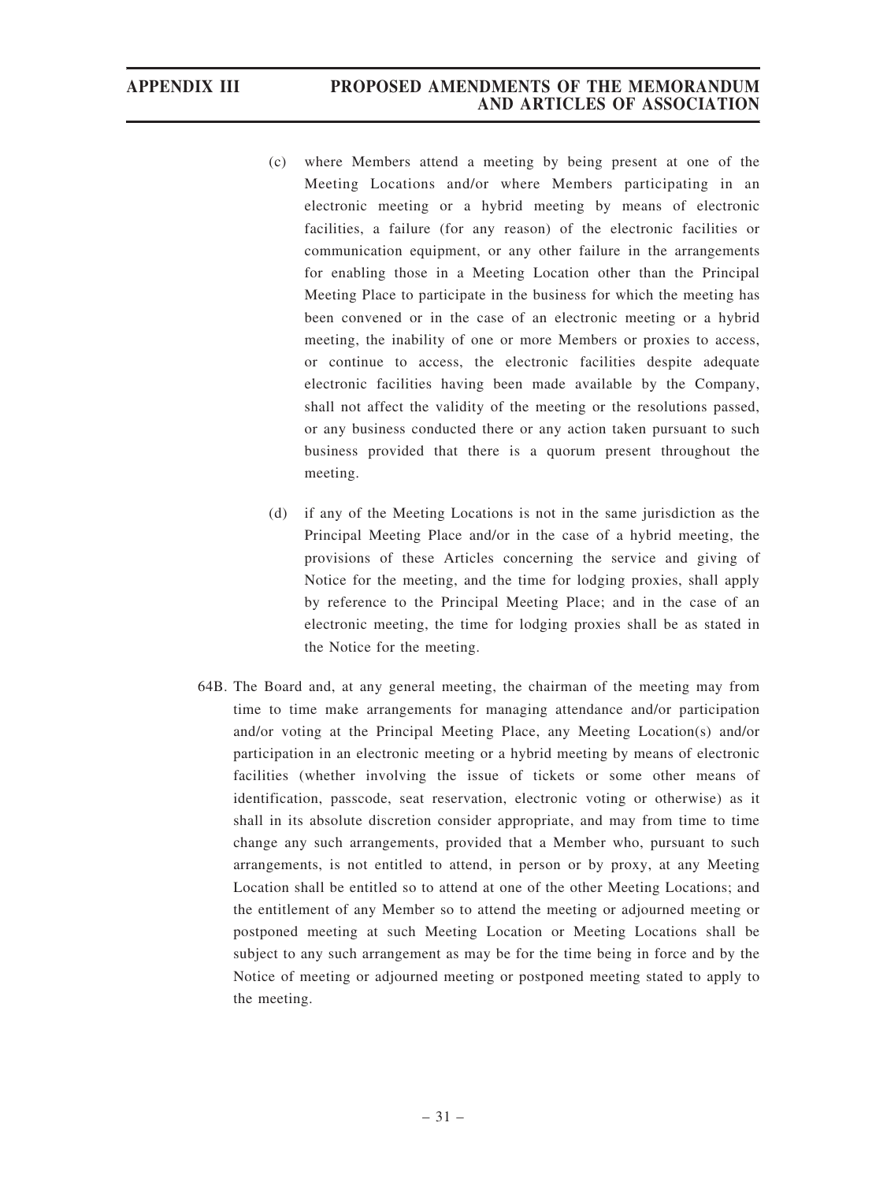- (c) where Members attend a meeting by being present at one of the Meeting Locations and/or where Members participating in an electronic meeting or a hybrid meeting by means of electronic facilities, a failure (for any reason) of the electronic facilities or communication equipment, or any other failure in the arrangements for enabling those in a Meeting Location other than the Principal Meeting Place to participate in the business for which the meeting has been convened or in the case of an electronic meeting or a hybrid meeting, the inability of one or more Members or proxies to access, or continue to access, the electronic facilities despite adequate electronic facilities having been made available by the Company, shall not affect the validity of the meeting or the resolutions passed, or any business conducted there or any action taken pursuant to such business provided that there is a quorum present throughout the meeting.
- (d) if any of the Meeting Locations is not in the same jurisdiction as the Principal Meeting Place and/or in the case of a hybrid meeting, the provisions of these Articles concerning the service and giving of Notice for the meeting, and the time for lodging proxies, shall apply by reference to the Principal Meeting Place; and in the case of an electronic meeting, the time for lodging proxies shall be as stated in the Notice for the meeting.
- 64B. The Board and, at any general meeting, the chairman of the meeting may from time to time make arrangements for managing attendance and/or participation and/or voting at the Principal Meeting Place, any Meeting Location(s) and/or participation in an electronic meeting or a hybrid meeting by means of electronic facilities (whether involving the issue of tickets or some other means of identification, passcode, seat reservation, electronic voting or otherwise) as it shall in its absolute discretion consider appropriate, and may from time to time change any such arrangements, provided that a Member who, pursuant to such arrangements, is not entitled to attend, in person or by proxy, at any Meeting Location shall be entitled so to attend at one of the other Meeting Locations; and the entitlement of any Member so to attend the meeting or adjourned meeting or postponed meeting at such Meeting Location or Meeting Locations shall be subject to any such arrangement as may be for the time being in force and by the Notice of meeting or adjourned meeting or postponed meeting stated to apply to the meeting.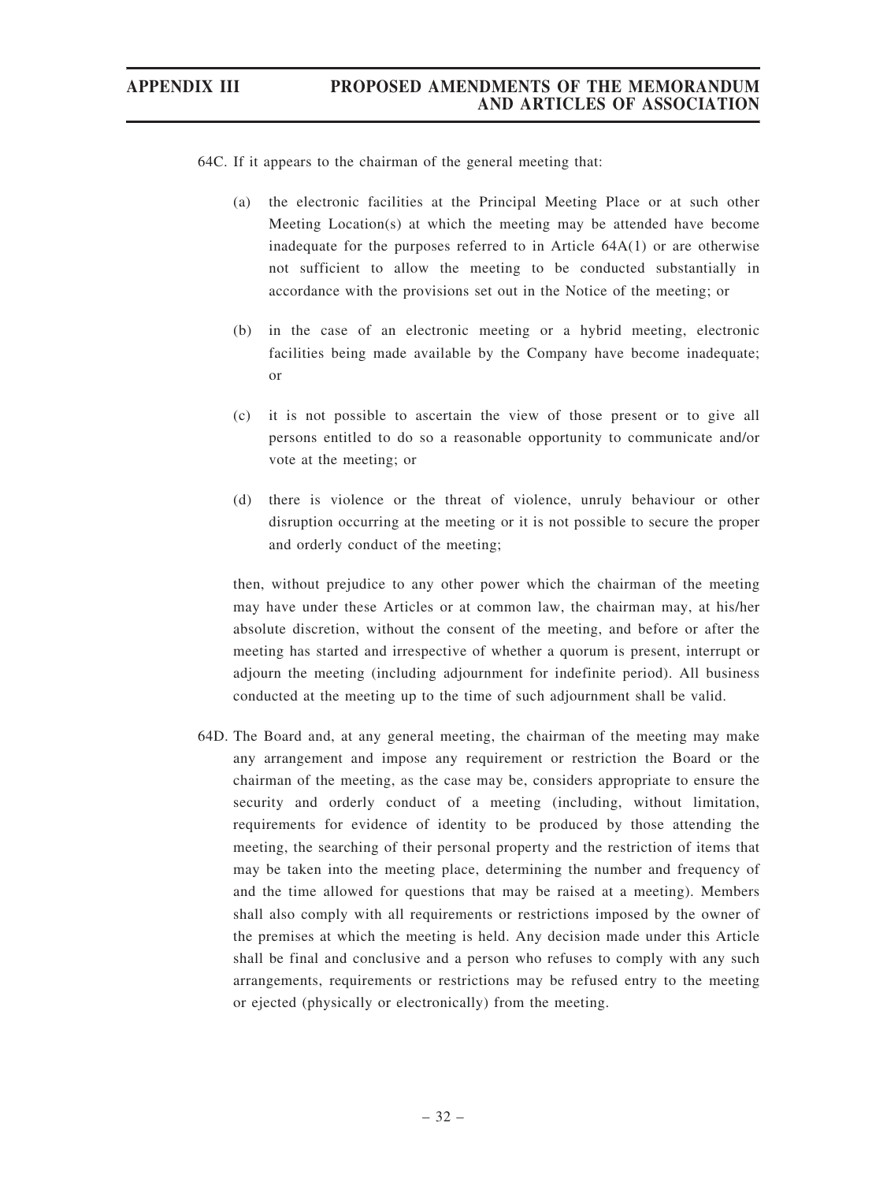64C. If it appears to the chairman of the general meeting that:

- (a) the electronic facilities at the Principal Meeting Place or at such other Meeting Location(s) at which the meeting may be attended have become inadequate for the purposes referred to in Article  $64A(1)$  or are otherwise not sufficient to allow the meeting to be conducted substantially in accordance with the provisions set out in the Notice of the meeting; or
- (b) in the case of an electronic meeting or a hybrid meeting, electronic facilities being made available by the Company have become inadequate; or
- (c) it is not possible to ascertain the view of those present or to give all persons entitled to do so a reasonable opportunity to communicate and/or vote at the meeting; or
- (d) there is violence or the threat of violence, unruly behaviour or other disruption occurring at the meeting or it is not possible to secure the proper and orderly conduct of the meeting;

then, without prejudice to any other power which the chairman of the meeting may have under these Articles or at common law, the chairman may, at his/her absolute discretion, without the consent of the meeting, and before or after the meeting has started and irrespective of whether a quorum is present, interrupt or adjourn the meeting (including adjournment for indefinite period). All business conducted at the meeting up to the time of such adjournment shall be valid.

64D. The Board and, at any general meeting, the chairman of the meeting may make any arrangement and impose any requirement or restriction the Board or the chairman of the meeting, as the case may be, considers appropriate to ensure the security and orderly conduct of a meeting (including, without limitation, requirements for evidence of identity to be produced by those attending the meeting, the searching of their personal property and the restriction of items that may be taken into the meeting place, determining the number and frequency of and the time allowed for questions that may be raised at a meeting). Members shall also comply with all requirements or restrictions imposed by the owner of the premises at which the meeting is held. Any decision made under this Article shall be final and conclusive and a person who refuses to comply with any such arrangements, requirements or restrictions may be refused entry to the meeting or ejected (physically or electronically) from the meeting.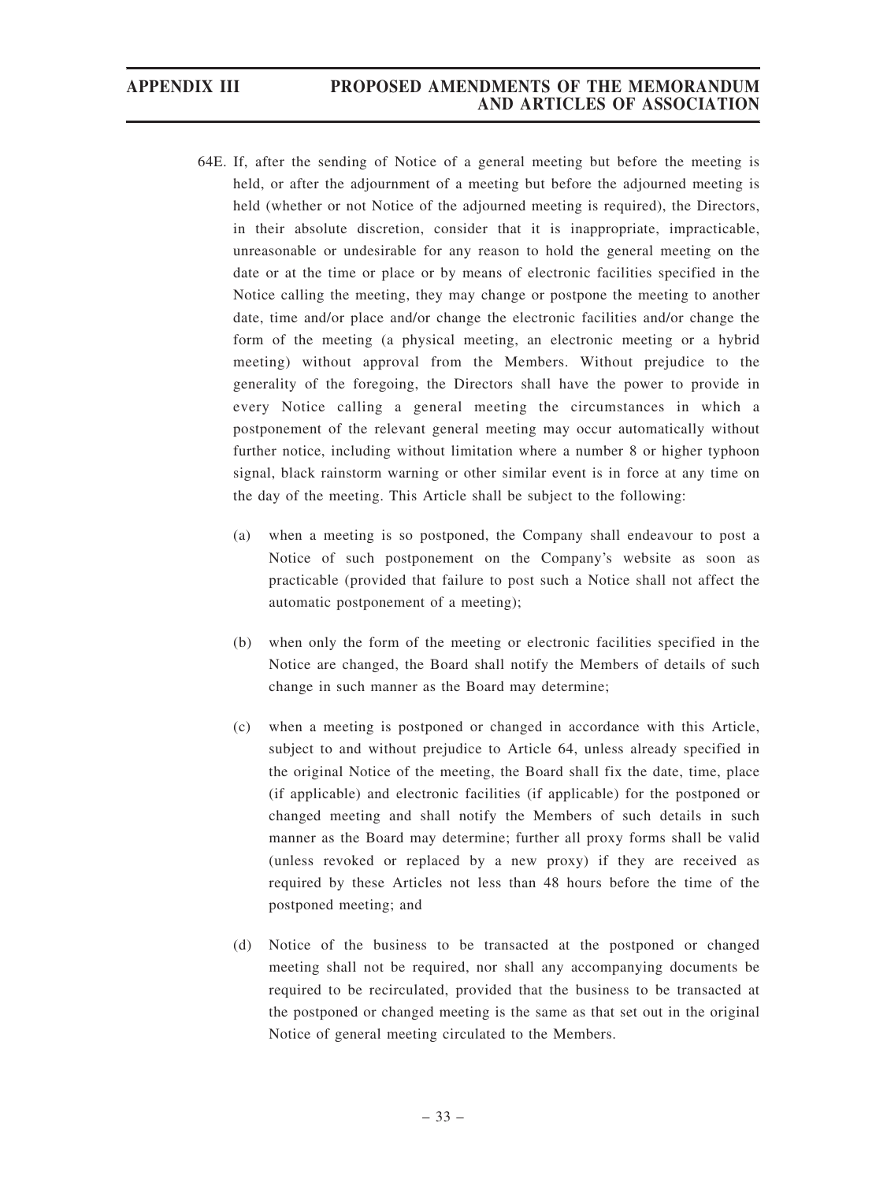- 64E. If, after the sending of Notice of a general meeting but before the meeting is held, or after the adjournment of a meeting but before the adjourned meeting is held (whether or not Notice of the adjourned meeting is required), the Directors, in their absolute discretion, consider that it is inappropriate, impracticable, unreasonable or undesirable for any reason to hold the general meeting on the date or at the time or place or by means of electronic facilities specified in the Notice calling the meeting, they may change or postpone the meeting to another date, time and/or place and/or change the electronic facilities and/or change the form of the meeting (a physical meeting, an electronic meeting or a hybrid meeting) without approval from the Members. Without prejudice to the generality of the foregoing, the Directors shall have the power to provide in every Notice calling a general meeting the circumstances in which a postponement of the relevant general meeting may occur automatically without further notice, including without limitation where a number 8 or higher typhoon signal, black rainstorm warning or other similar event is in force at any time on the day of the meeting. This Article shall be subject to the following:
	- (a) when a meeting is so postponed, the Company shall endeavour to post a Notice of such postponement on the Company's website as soon as practicable (provided that failure to post such a Notice shall not affect the automatic postponement of a meeting);
	- (b) when only the form of the meeting or electronic facilities specified in the Notice are changed, the Board shall notify the Members of details of such change in such manner as the Board may determine;
	- (c) when a meeting is postponed or changed in accordance with this Article, subject to and without prejudice to Article 64, unless already specified in the original Notice of the meeting, the Board shall fix the date, time, place (if applicable) and electronic facilities (if applicable) for the postponed or changed meeting and shall notify the Members of such details in such manner as the Board may determine; further all proxy forms shall be valid (unless revoked or replaced by a new proxy) if they are received as required by these Articles not less than 48 hours before the time of the postponed meeting; and
	- (d) Notice of the business to be transacted at the postponed or changed meeting shall not be required, nor shall any accompanying documents be required to be recirculated, provided that the business to be transacted at the postponed or changed meeting is the same as that set out in the original Notice of general meeting circulated to the Members.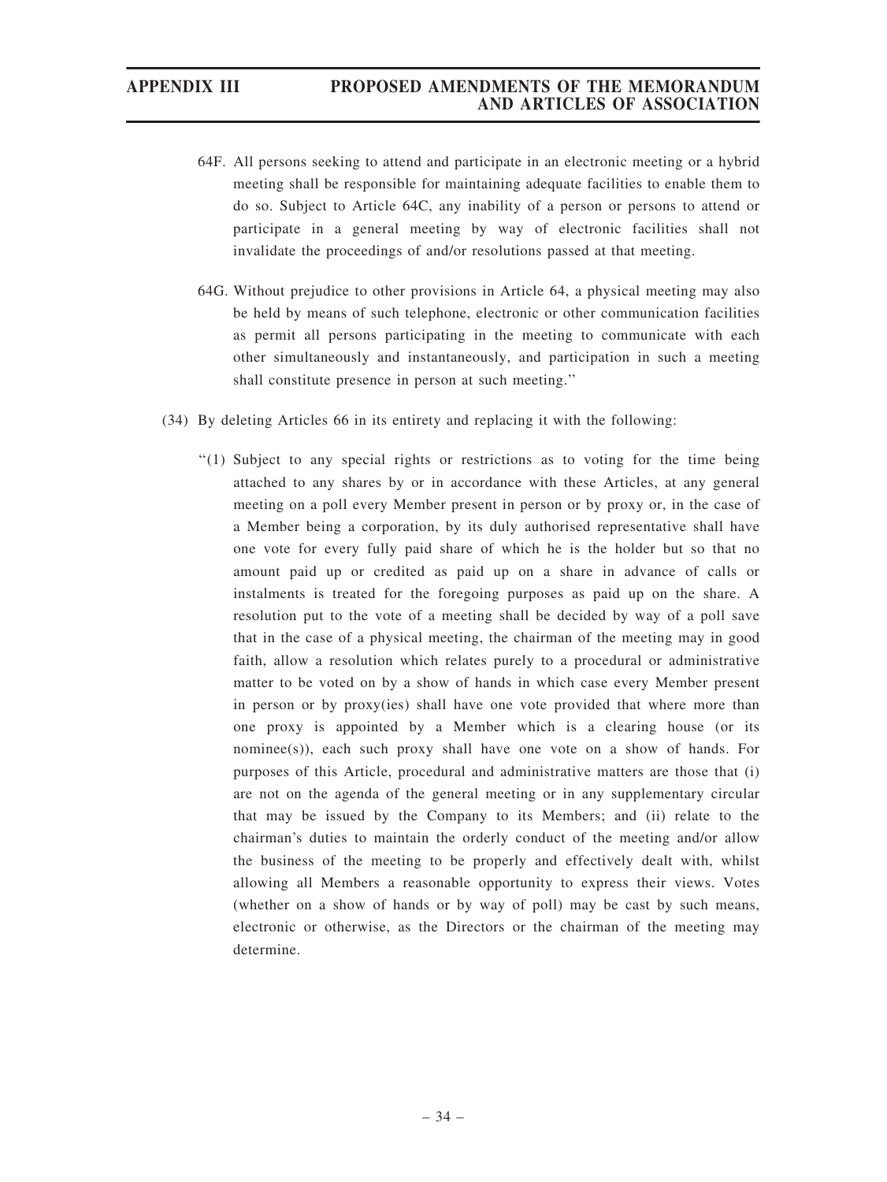- 64F. All persons seeking to attend and participate in an electronic meeting or a hybrid meeting shall be responsible for maintaining adequate facilities to enable them to do so. Subject to Article 64C, any inability of a person or persons to attend or participate in a general meeting by way of electronic facilities shall not invalidate the proceedings of and/or resolutions passed at that meeting.
- 64G. Without prejudice to other provisions in Article 64, a physical meeting may also be held by means of such telephone, electronic or other communication facilities as permit all persons participating in the meeting to communicate with each other simultaneously and instantaneously, and participation in such a meeting shall constitute presence in person at such meeting.''
- (34) By deleting Articles 66 in its entirety and replacing it with the following:
	- ''(1) Subject to any special rights or restrictions as to voting for the time being attached to any shares by or in accordance with these Articles, at any general meeting on a poll every Member present in person or by proxy or, in the case of a Member being a corporation, by its duly authorised representative shall have one vote for every fully paid share of which he is the holder but so that no amount paid up or credited as paid up on a share in advance of calls or instalments is treated for the foregoing purposes as paid up on the share. A resolution put to the vote of a meeting shall be decided by way of a poll save that in the case of a physical meeting, the chairman of the meeting may in good faith, allow a resolution which relates purely to a procedural or administrative matter to be voted on by a show of hands in which case every Member present in person or by proxy(ies) shall have one vote provided that where more than one proxy is appointed by a Member which is a clearing house (or its nominee(s)), each such proxy shall have one vote on a show of hands. For purposes of this Article, procedural and administrative matters are those that (i) are not on the agenda of the general meeting or in any supplementary circular that may be issued by the Company to its Members; and (ii) relate to the chairman's duties to maintain the orderly conduct of the meeting and/or allow the business of the meeting to be properly and effectively dealt with, whilst allowing all Members a reasonable opportunity to express their views. Votes (whether on a show of hands or by way of poll) may be cast by such means, electronic or otherwise, as the Directors or the chairman of the meeting may determine.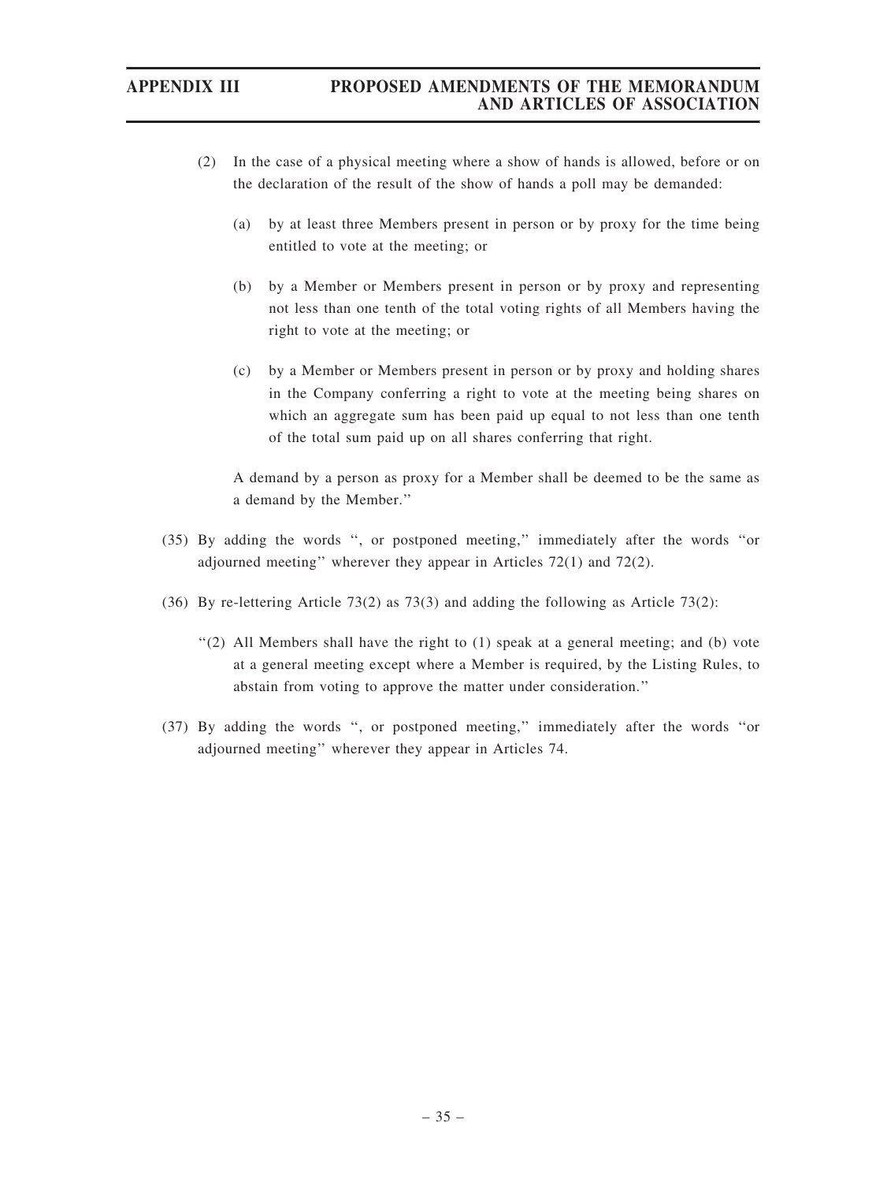- (2) In the case of a physical meeting where a show of hands is allowed, before or on the declaration of the result of the show of hands a poll may be demanded:
	- (a) by at least three Members present in person or by proxy for the time being entitled to vote at the meeting; or
	- (b) by a Member or Members present in person or by proxy and representing not less than one tenth of the total voting rights of all Members having the right to vote at the meeting; or
	- (c) by a Member or Members present in person or by proxy and holding shares in the Company conferring a right to vote at the meeting being shares on which an aggregate sum has been paid up equal to not less than one tenth of the total sum paid up on all shares conferring that right.

A demand by a person as proxy for a Member shall be deemed to be the same as a demand by the Member.''

- (35) By adding the words '', or postponed meeting,'' immediately after the words ''or adjourned meeting'' wherever they appear in Articles 72(1) and 72(2).
- (36) By re-lettering Article 73(2) as 73(3) and adding the following as Article 73(2):
	- ''(2) All Members shall have the right to (1) speak at a general meeting; and (b) vote at a general meeting except where a Member is required, by the Listing Rules, to abstain from voting to approve the matter under consideration.''
- (37) By adding the words '', or postponed meeting,'' immediately after the words ''or adjourned meeting'' wherever they appear in Articles 74.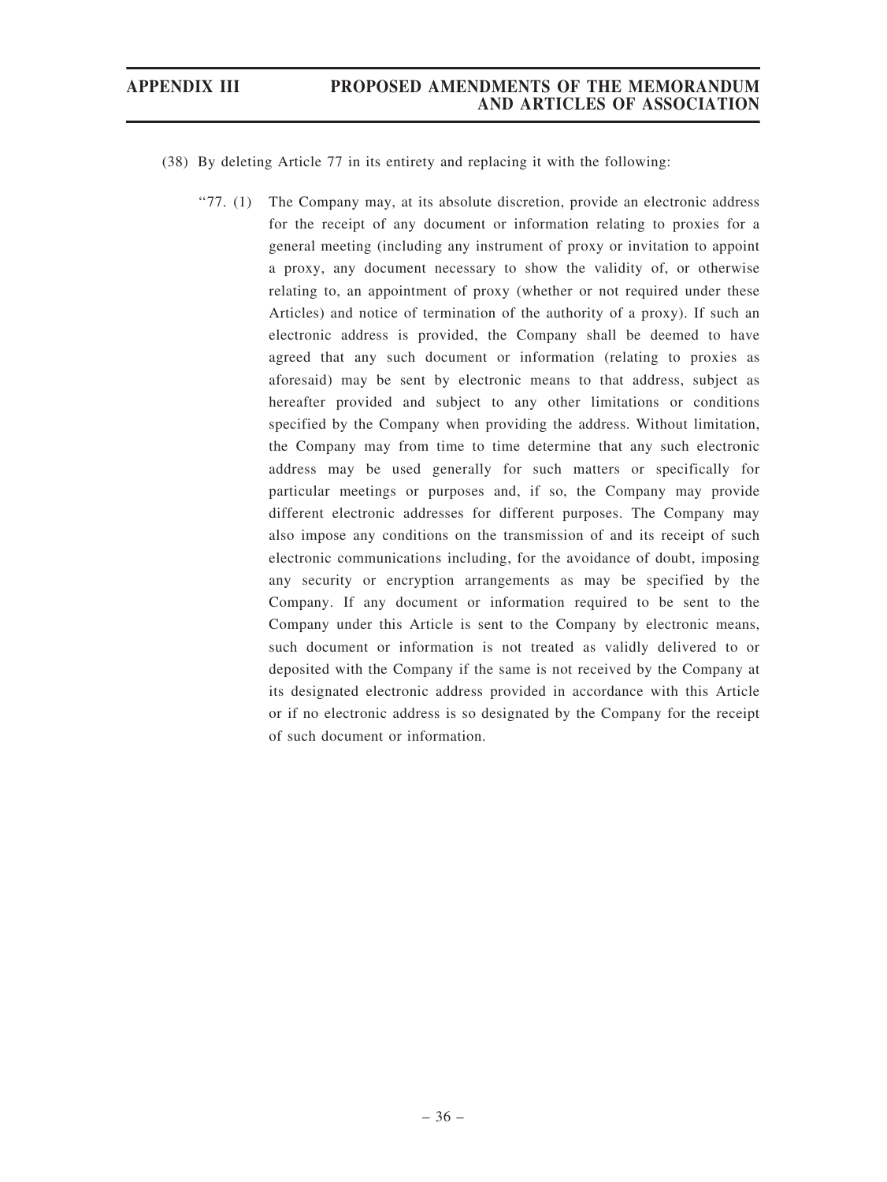- (38) By deleting Article 77 in its entirety and replacing it with the following:
	- ''77. (1) The Company may, at its absolute discretion, provide an electronic address for the receipt of any document or information relating to proxies for a general meeting (including any instrument of proxy or invitation to appoint a proxy, any document necessary to show the validity of, or otherwise relating to, an appointment of proxy (whether or not required under these Articles) and notice of termination of the authority of a proxy). If such an electronic address is provided, the Company shall be deemed to have agreed that any such document or information (relating to proxies as aforesaid) may be sent by electronic means to that address, subject as hereafter provided and subject to any other limitations or conditions specified by the Company when providing the address. Without limitation, the Company may from time to time determine that any such electronic address may be used generally for such matters or specifically for particular meetings or purposes and, if so, the Company may provide different electronic addresses for different purposes. The Company may also impose any conditions on the transmission of and its receipt of such electronic communications including, for the avoidance of doubt, imposing any security or encryption arrangements as may be specified by the Company. If any document or information required to be sent to the Company under this Article is sent to the Company by electronic means, such document or information is not treated as validly delivered to or deposited with the Company if the same is not received by the Company at its designated electronic address provided in accordance with this Article or if no electronic address is so designated by the Company for the receipt of such document or information.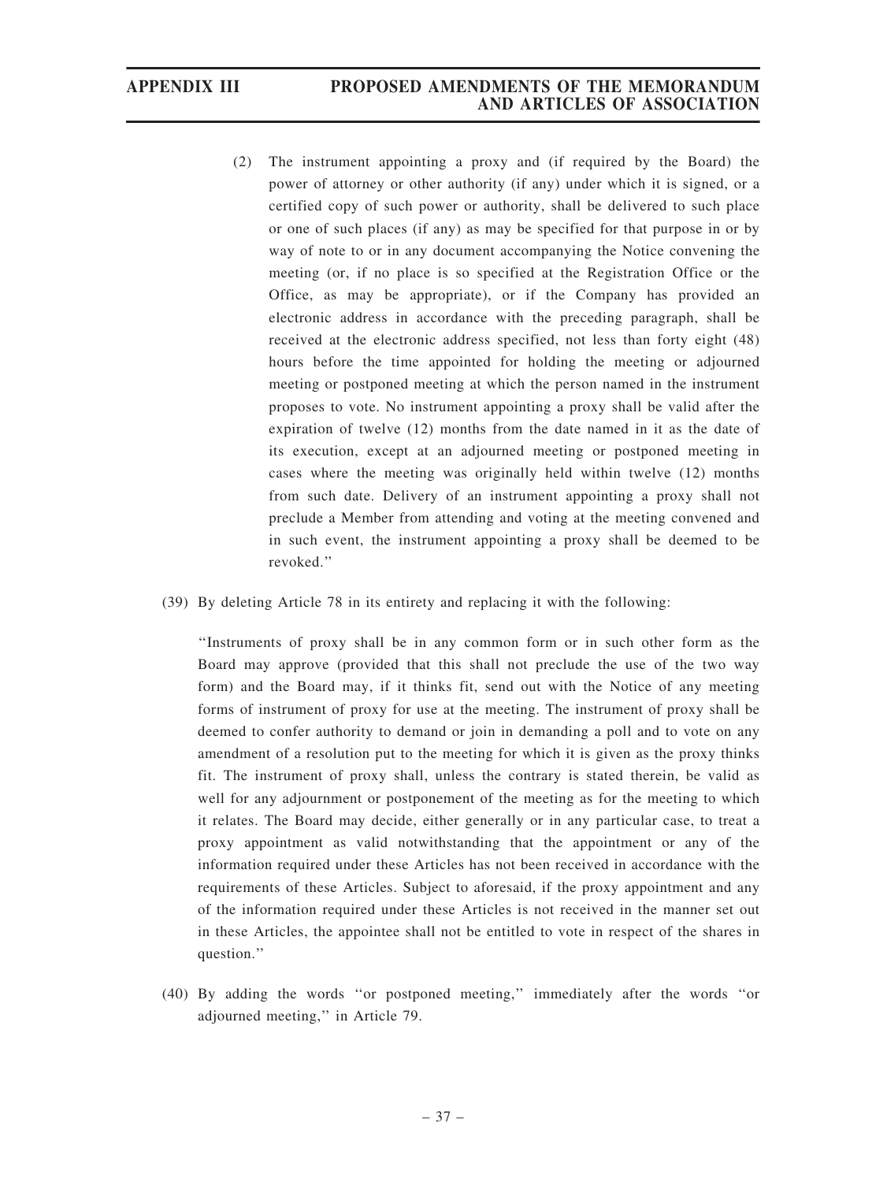## APPENDIX III PROPOSED AMENDMENTS OF THE MEMORANDUM AND ARTICLES OF ASSOCIATION

- (2) The instrument appointing a proxy and (if required by the Board) the power of attorney or other authority (if any) under which it is signed, or a certified copy of such power or authority, shall be delivered to such place or one of such places (if any) as may be specified for that purpose in or by way of note to or in any document accompanying the Notice convening the meeting (or, if no place is so specified at the Registration Office or the Office, as may be appropriate), or if the Company has provided an electronic address in accordance with the preceding paragraph, shall be received at the electronic address specified, not less than forty eight (48) hours before the time appointed for holding the meeting or adjourned meeting or postponed meeting at which the person named in the instrument proposes to vote. No instrument appointing a proxy shall be valid after the expiration of twelve (12) months from the date named in it as the date of its execution, except at an adjourned meeting or postponed meeting in cases where the meeting was originally held within twelve (12) months from such date. Delivery of an instrument appointing a proxy shall not preclude a Member from attending and voting at the meeting convened and in such event, the instrument appointing a proxy shall be deemed to be revoked.''
- (39) By deleting Article 78 in its entirety and replacing it with the following:

''Instruments of proxy shall be in any common form or in such other form as the Board may approve (provided that this shall not preclude the use of the two way form) and the Board may, if it thinks fit, send out with the Notice of any meeting forms of instrument of proxy for use at the meeting. The instrument of proxy shall be deemed to confer authority to demand or join in demanding a poll and to vote on any amendment of a resolution put to the meeting for which it is given as the proxy thinks fit. The instrument of proxy shall, unless the contrary is stated therein, be valid as well for any adjournment or postponement of the meeting as for the meeting to which it relates. The Board may decide, either generally or in any particular case, to treat a proxy appointment as valid notwithstanding that the appointment or any of the information required under these Articles has not been received in accordance with the requirements of these Articles. Subject to aforesaid, if the proxy appointment and any of the information required under these Articles is not received in the manner set out in these Articles, the appointee shall not be entitled to vote in respect of the shares in question.''

(40) By adding the words ''or postponed meeting,'' immediately after the words ''or adjourned meeting,'' in Article 79.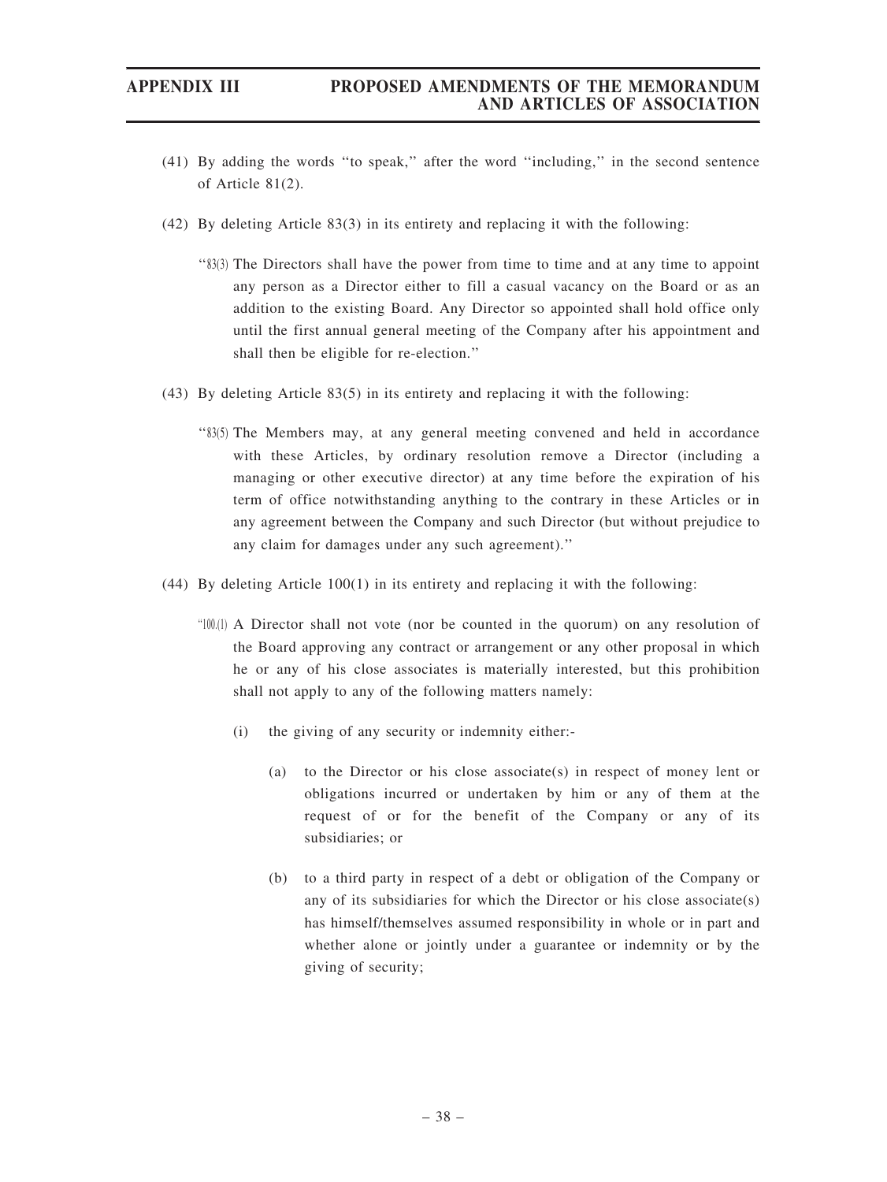- (41) By adding the words ''to speak,'' after the word ''including,'' in the second sentence of Article 81(2).
- (42) By deleting Article 83(3) in its entirety and replacing it with the following:
	- ''83(3) The Directors shall have the power from time to time and at any time to appoint any person as a Director either to fill a casual vacancy on the Board or as an addition to the existing Board. Any Director so appointed shall hold office only until the first annual general meeting of the Company after his appointment and shall then be eligible for re-election.''
- (43) By deleting Article 83(5) in its entirety and replacing it with the following:
	- ''83(5) The Members may, at any general meeting convened and held in accordance with these Articles, by ordinary resolution remove a Director (including a managing or other executive director) at any time before the expiration of his term of office notwithstanding anything to the contrary in these Articles or in any agreement between the Company and such Director (but without prejudice to any claim for damages under any such agreement).''
- (44) By deleting Article 100(1) in its entirety and replacing it with the following:
	- ''100.(1) A Director shall not vote (nor be counted in the quorum) on any resolution of the Board approving any contract or arrangement or any other proposal in which he or any of his close associates is materially interested, but this prohibition shall not apply to any of the following matters namely:
		- (i) the giving of any security or indemnity either:-
			- (a) to the Director or his close associate(s) in respect of money lent or obligations incurred or undertaken by him or any of them at the request of or for the benefit of the Company or any of its subsidiaries; or
			- (b) to a third party in respect of a debt or obligation of the Company or any of its subsidiaries for which the Director or his close associate(s) has himself/themselves assumed responsibility in whole or in part and whether alone or jointly under a guarantee or indemnity or by the giving of security;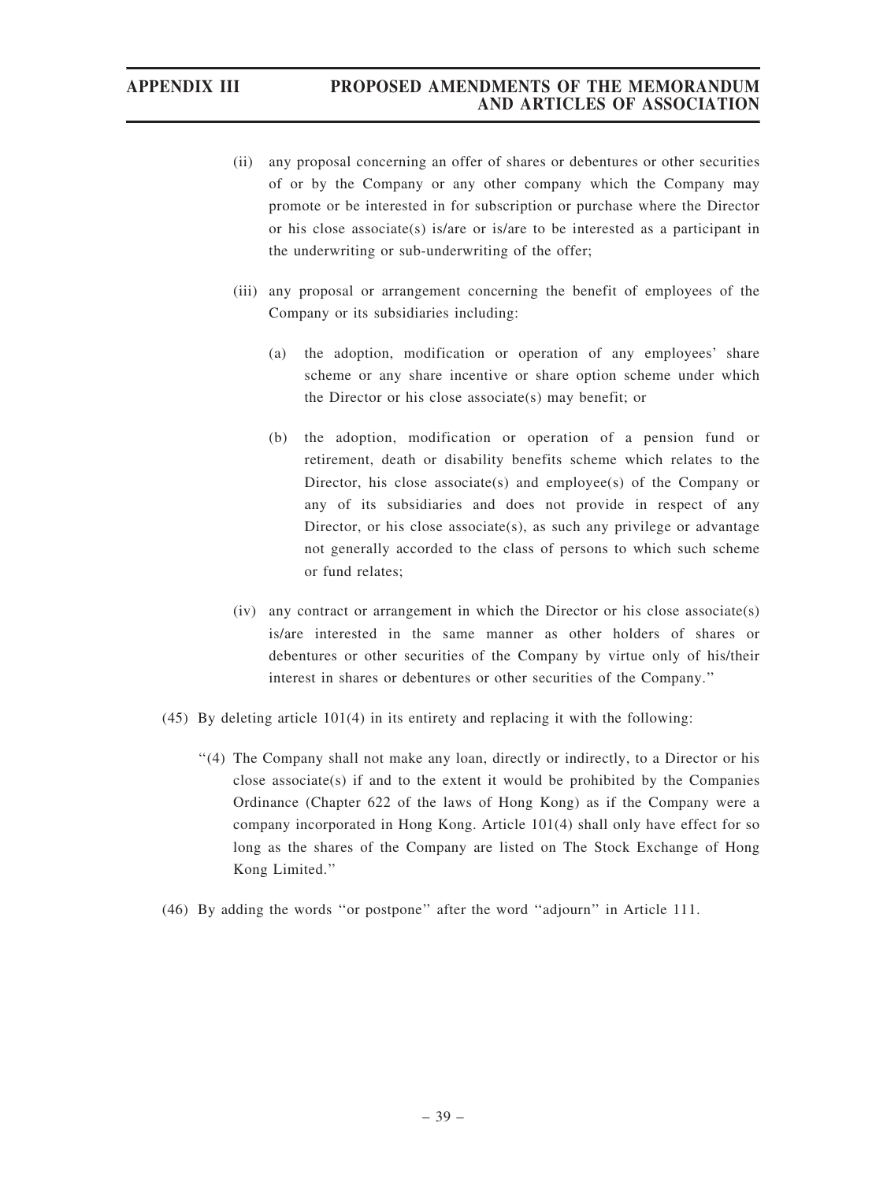- (ii) any proposal concerning an offer of shares or debentures or other securities of or by the Company or any other company which the Company may promote or be interested in for subscription or purchase where the Director or his close associate(s) is/are or is/are to be interested as a participant in the underwriting or sub-underwriting of the offer;
- (iii) any proposal or arrangement concerning the benefit of employees of the Company or its subsidiaries including:
	- (a) the adoption, modification or operation of any employees' share scheme or any share incentive or share option scheme under which the Director or his close associate(s) may benefit; or
	- (b) the adoption, modification or operation of a pension fund or retirement, death or disability benefits scheme which relates to the Director, his close associate(s) and employee(s) of the Company or any of its subsidiaries and does not provide in respect of any Director, or his close associate(s), as such any privilege or advantage not generally accorded to the class of persons to which such scheme or fund relates;
- (iv) any contract or arrangement in which the Director or his close associate(s) is/are interested in the same manner as other holders of shares or debentures or other securities of the Company by virtue only of his/their interest in shares or debentures or other securities of the Company.''
- (45) By deleting article 101(4) in its entirety and replacing it with the following:
	- ''(4) The Company shall not make any loan, directly or indirectly, to a Director or his close associate(s) if and to the extent it would be prohibited by the Companies Ordinance (Chapter 622 of the laws of Hong Kong) as if the Company were a company incorporated in Hong Kong. Article 101(4) shall only have effect for so long as the shares of the Company are listed on The Stock Exchange of Hong Kong Limited.''
- (46) By adding the words ''or postpone'' after the word ''adjourn'' in Article 111.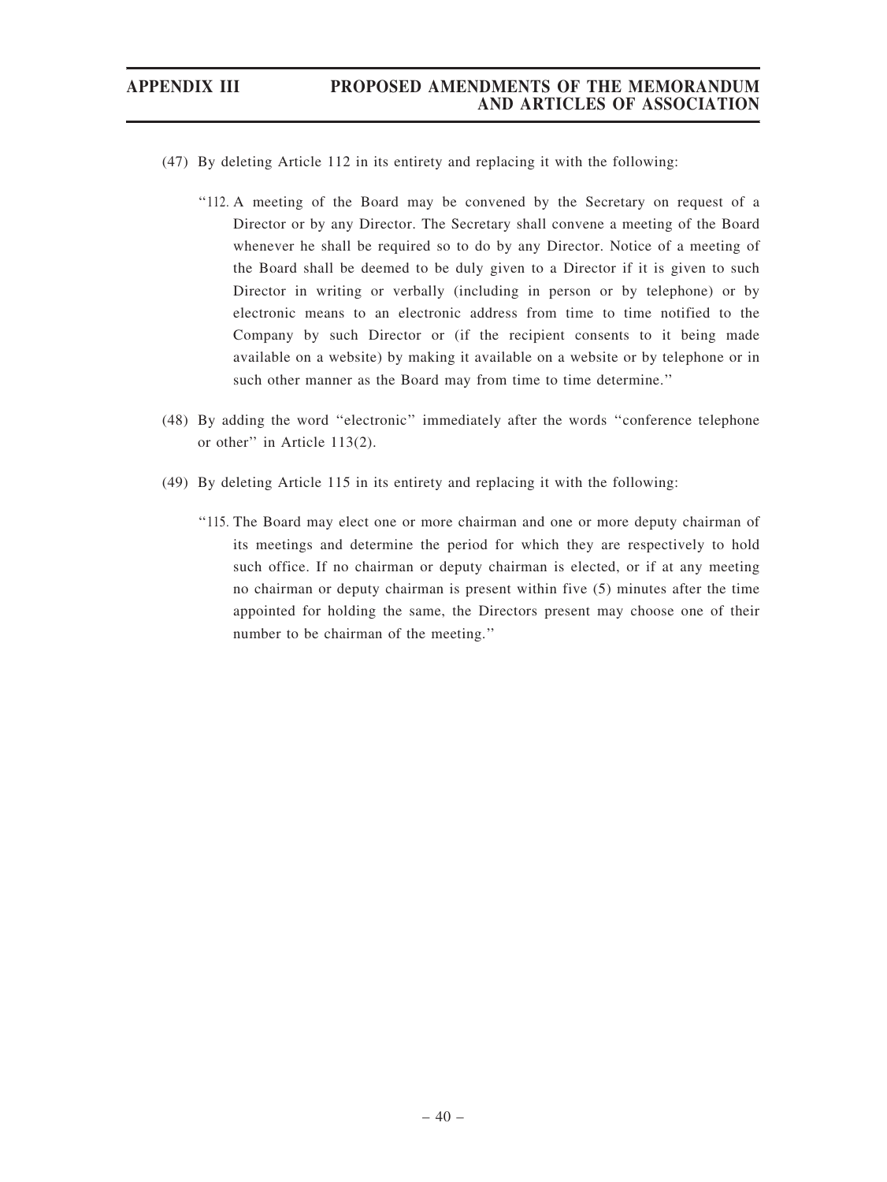- (47) By deleting Article 112 in its entirety and replacing it with the following:
	- ''112. A meeting of the Board may be convened by the Secretary on request of a Director or by any Director. The Secretary shall convene a meeting of the Board whenever he shall be required so to do by any Director. Notice of a meeting of the Board shall be deemed to be duly given to a Director if it is given to such Director in writing or verbally (including in person or by telephone) or by electronic means to an electronic address from time to time notified to the Company by such Director or (if the recipient consents to it being made available on a website) by making it available on a website or by telephone or in such other manner as the Board may from time to time determine.''
- (48) By adding the word ''electronic'' immediately after the words ''conference telephone or other'' in Article 113(2).
- (49) By deleting Article 115 in its entirety and replacing it with the following:
	- ''115. The Board may elect one or more chairman and one or more deputy chairman of its meetings and determine the period for which they are respectively to hold such office. If no chairman or deputy chairman is elected, or if at any meeting no chairman or deputy chairman is present within five (5) minutes after the time appointed for holding the same, the Directors present may choose one of their number to be chairman of the meeting.''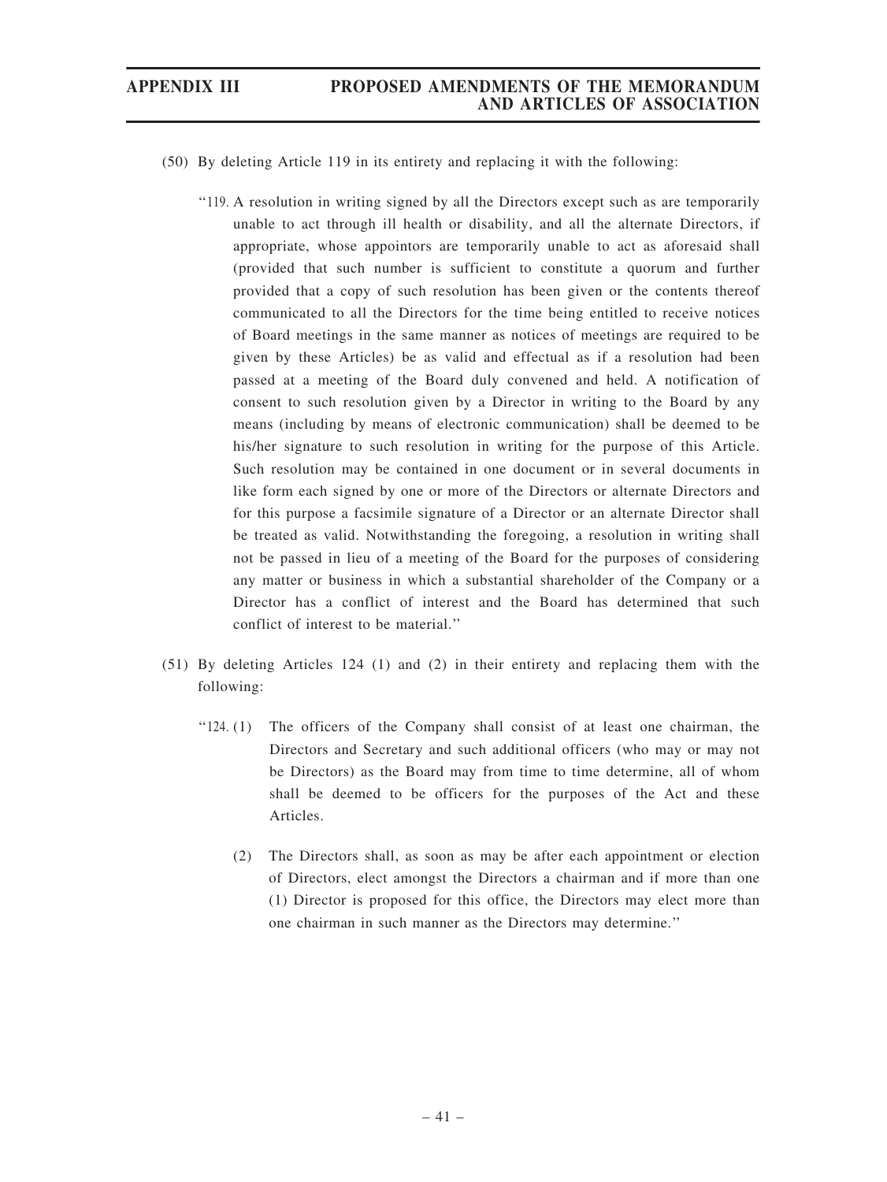- (50) By deleting Article 119 in its entirety and replacing it with the following:
	- ''119. A resolution in writing signed by all the Directors except such as are temporarily unable to act through ill health or disability, and all the alternate Directors, if appropriate, whose appointors are temporarily unable to act as aforesaid shall (provided that such number is sufficient to constitute a quorum and further provided that a copy of such resolution has been given or the contents thereof communicated to all the Directors for the time being entitled to receive notices of Board meetings in the same manner as notices of meetings are required to be given by these Articles) be as valid and effectual as if a resolution had been passed at a meeting of the Board duly convened and held. A notification of consent to such resolution given by a Director in writing to the Board by any means (including by means of electronic communication) shall be deemed to be his/her signature to such resolution in writing for the purpose of this Article. Such resolution may be contained in one document or in several documents in like form each signed by one or more of the Directors or alternate Directors and for this purpose a facsimile signature of a Director or an alternate Director shall be treated as valid. Notwithstanding the foregoing, a resolution in writing shall not be passed in lieu of a meeting of the Board for the purposes of considering any matter or business in which a substantial shareholder of the Company or a Director has a conflict of interest and the Board has determined that such conflict of interest to be material.''
- (51) By deleting Articles 124 (1) and (2) in their entirety and replacing them with the following:
	- ''124. (1) The officers of the Company shall consist of at least one chairman, the Directors and Secretary and such additional officers (who may or may not be Directors) as the Board may from time to time determine, all of whom shall be deemed to be officers for the purposes of the Act and these Articles.
		- (2) The Directors shall, as soon as may be after each appointment or election of Directors, elect amongst the Directors a chairman and if more than one (1) Director is proposed for this office, the Directors may elect more than one chairman in such manner as the Directors may determine.''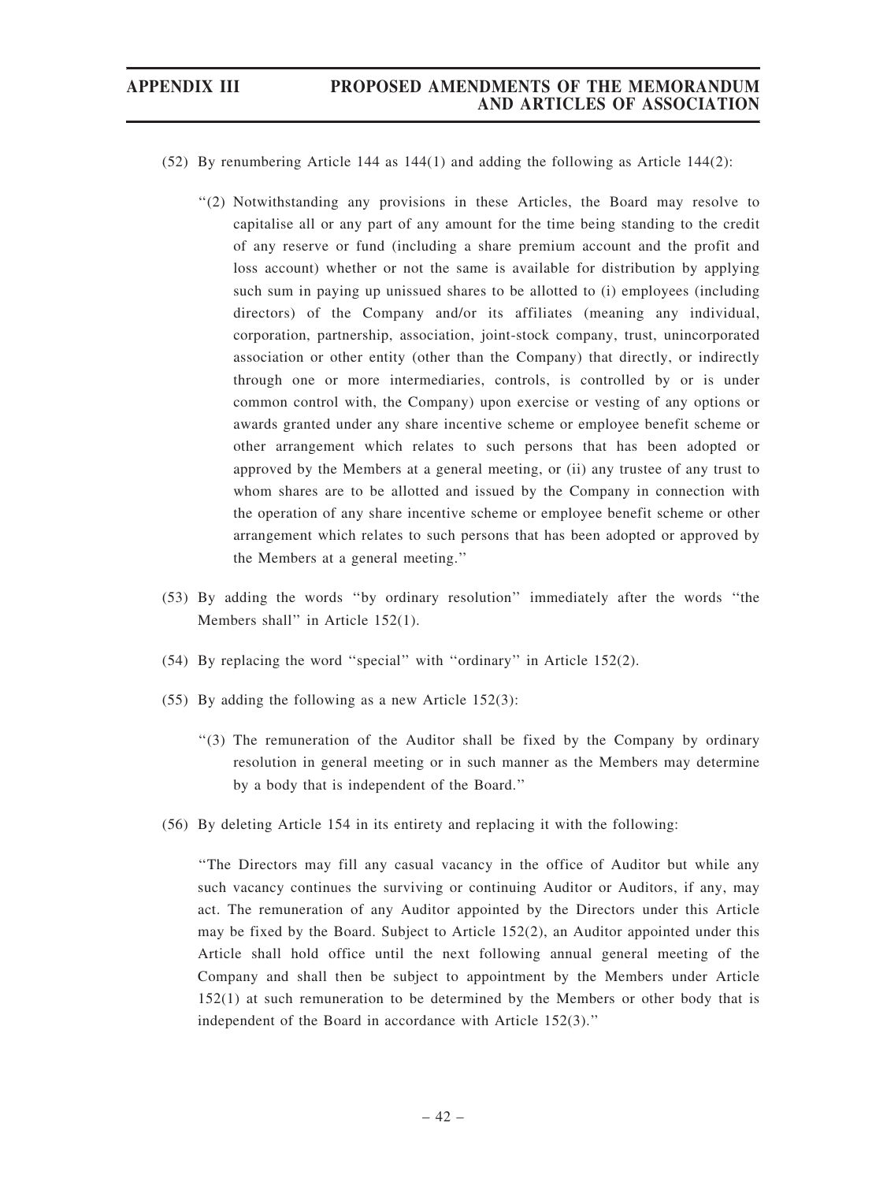- (52) By renumbering Article 144 as 144(1) and adding the following as Article 144(2):
	- ''(2) Notwithstanding any provisions in these Articles, the Board may resolve to capitalise all or any part of any amount for the time being standing to the credit of any reserve or fund (including a share premium account and the profit and loss account) whether or not the same is available for distribution by applying such sum in paying up unissued shares to be allotted to (i) employees (including directors) of the Company and/or its affiliates (meaning any individual, corporation, partnership, association, joint-stock company, trust, unincorporated association or other entity (other than the Company) that directly, or indirectly through one or more intermediaries, controls, is controlled by or is under common control with, the Company) upon exercise or vesting of any options or awards granted under any share incentive scheme or employee benefit scheme or other arrangement which relates to such persons that has been adopted or approved by the Members at a general meeting, or (ii) any trustee of any trust to whom shares are to be allotted and issued by the Company in connection with the operation of any share incentive scheme or employee benefit scheme or other arrangement which relates to such persons that has been adopted or approved by the Members at a general meeting.''
- (53) By adding the words ''by ordinary resolution'' immediately after the words ''the Members shall" in Article 152(1).
- (54) By replacing the word ''special'' with ''ordinary'' in Article 152(2).
- (55) By adding the following as a new Article 152(3):
	- ''(3) The remuneration of the Auditor shall be fixed by the Company by ordinary resolution in general meeting or in such manner as the Members may determine by a body that is independent of the Board.''
- (56) By deleting Article 154 in its entirety and replacing it with the following:

''The Directors may fill any casual vacancy in the office of Auditor but while any such vacancy continues the surviving or continuing Auditor or Auditors, if any, may act. The remuneration of any Auditor appointed by the Directors under this Article may be fixed by the Board. Subject to Article 152(2), an Auditor appointed under this Article shall hold office until the next following annual general meeting of the Company and shall then be subject to appointment by the Members under Article 152(1) at such remuneration to be determined by the Members or other body that is independent of the Board in accordance with Article 152(3).''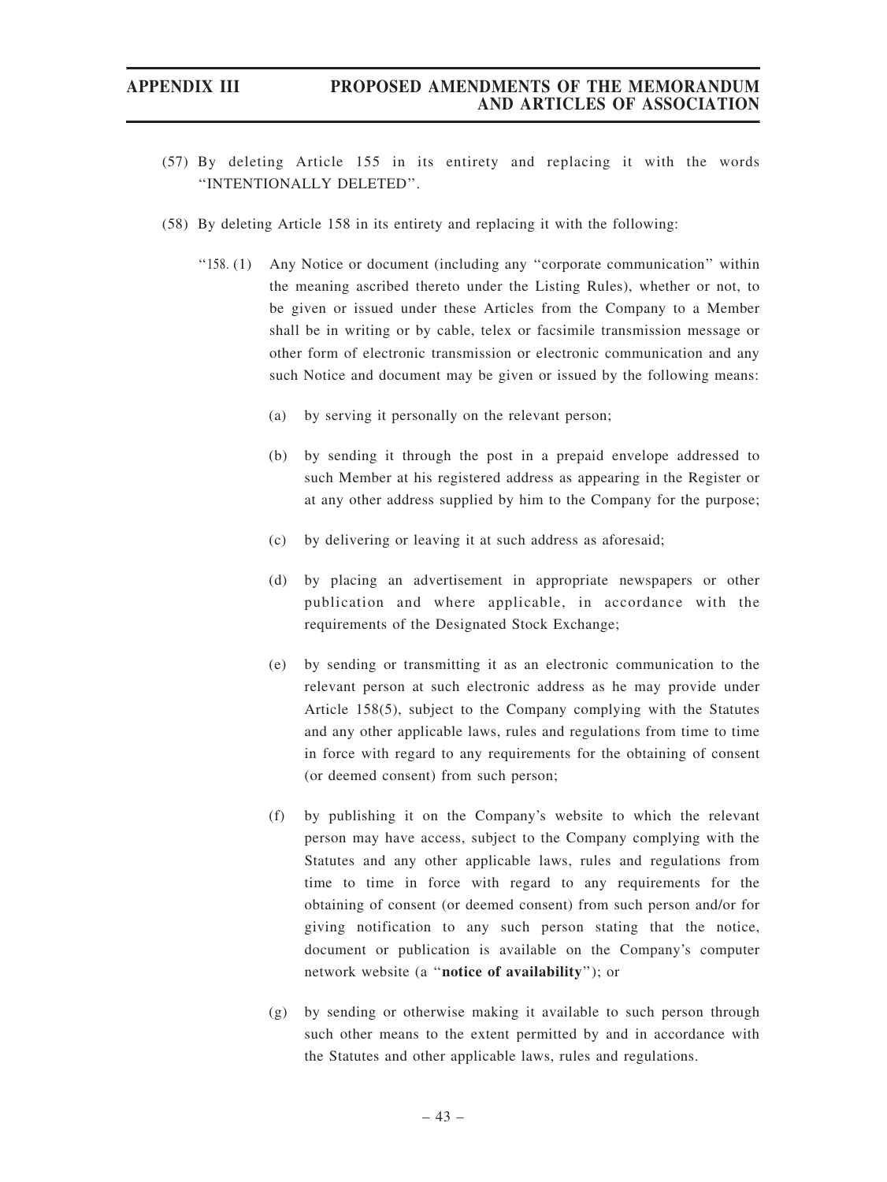- (57) By deleting Article 155 in its entirety and replacing it with the words ''INTENTIONALLY DELETED''.
- (58) By deleting Article 158 in its entirety and replacing it with the following:
	- ''158. (1) Any Notice or document (including any ''corporate communication'' within the meaning ascribed thereto under the Listing Rules), whether or not, to be given or issued under these Articles from the Company to a Member shall be in writing or by cable, telex or facsimile transmission message or other form of electronic transmission or electronic communication and any such Notice and document may be given or issued by the following means:
		- (a) by serving it personally on the relevant person;
		- (b) by sending it through the post in a prepaid envelope addressed to such Member at his registered address as appearing in the Register or at any other address supplied by him to the Company for the purpose;
		- (c) by delivering or leaving it at such address as aforesaid;
		- (d) by placing an advertisement in appropriate newspapers or other publication and where applicable, in accordance with the requirements of the Designated Stock Exchange;
		- (e) by sending or transmitting it as an electronic communication to the relevant person at such electronic address as he may provide under Article 158(5), subject to the Company complying with the Statutes and any other applicable laws, rules and regulations from time to time in force with regard to any requirements for the obtaining of consent (or deemed consent) from such person;
		- (f) by publishing it on the Company's website to which the relevant person may have access, subject to the Company complying with the Statutes and any other applicable laws, rules and regulations from time to time in force with regard to any requirements for the obtaining of consent (or deemed consent) from such person and/or for giving notification to any such person stating that the notice, document or publication is available on the Company's computer network website (a ''notice of availability''); or
		- (g) by sending or otherwise making it available to such person through such other means to the extent permitted by and in accordance with the Statutes and other applicable laws, rules and regulations.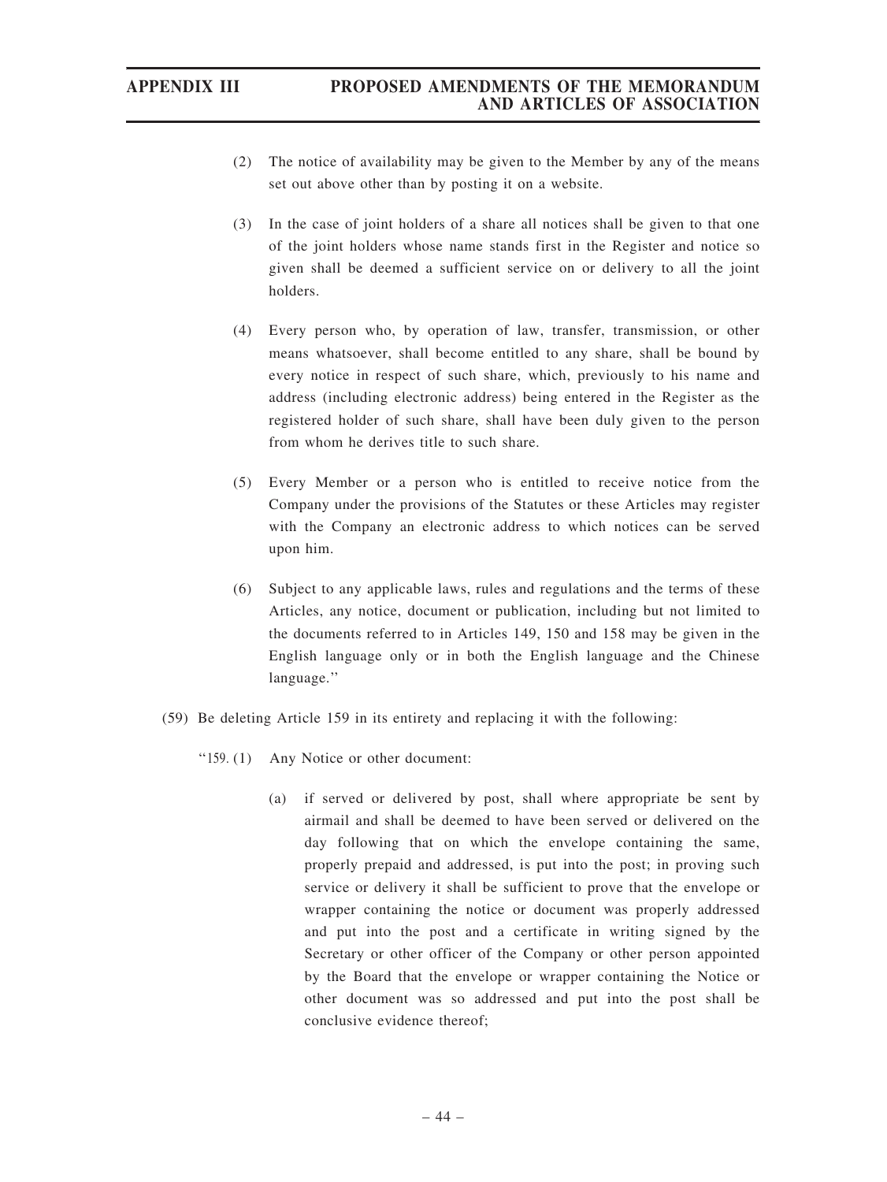- (2) The notice of availability may be given to the Member by any of the means set out above other than by posting it on a website.
- (3) In the case of joint holders of a share all notices shall be given to that one of the joint holders whose name stands first in the Register and notice so given shall be deemed a sufficient service on or delivery to all the joint holders.
- (4) Every person who, by operation of law, transfer, transmission, or other means whatsoever, shall become entitled to any share, shall be bound by every notice in respect of such share, which, previously to his name and address (including electronic address) being entered in the Register as the registered holder of such share, shall have been duly given to the person from whom he derives title to such share.
- (5) Every Member or a person who is entitled to receive notice from the Company under the provisions of the Statutes or these Articles may register with the Company an electronic address to which notices can be served upon him.
- (6) Subject to any applicable laws, rules and regulations and the terms of these Articles, any notice, document or publication, including but not limited to the documents referred to in Articles 149, 150 and 158 may be given in the English language only or in both the English language and the Chinese language.''
- (59) Be deleting Article 159 in its entirety and replacing it with the following:
	- ''159. (1) Any Notice or other document:
		- (a) if served or delivered by post, shall where appropriate be sent by airmail and shall be deemed to have been served or delivered on the day following that on which the envelope containing the same, properly prepaid and addressed, is put into the post; in proving such service or delivery it shall be sufficient to prove that the envelope or wrapper containing the notice or document was properly addressed and put into the post and a certificate in writing signed by the Secretary or other officer of the Company or other person appointed by the Board that the envelope or wrapper containing the Notice or other document was so addressed and put into the post shall be conclusive evidence thereof;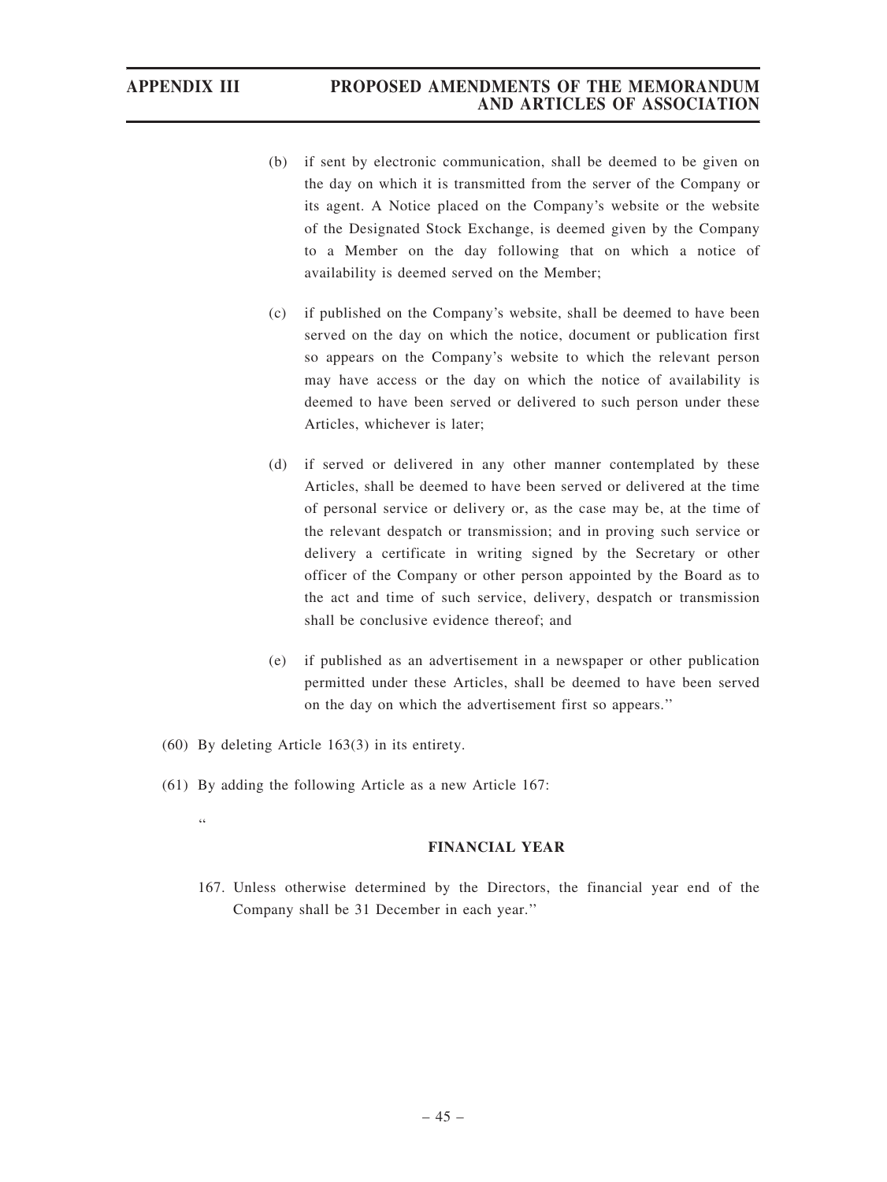- (b) if sent by electronic communication, shall be deemed to be given on the day on which it is transmitted from the server of the Company or its agent. A Notice placed on the Company's website or the website of the Designated Stock Exchange, is deemed given by the Company to a Member on the day following that on which a notice of availability is deemed served on the Member;
- (c) if published on the Company's website, shall be deemed to have been served on the day on which the notice, document or publication first so appears on the Company's website to which the relevant person may have access or the day on which the notice of availability is deemed to have been served or delivered to such person under these Articles, whichever is later;
- (d) if served or delivered in any other manner contemplated by these Articles, shall be deemed to have been served or delivered at the time of personal service or delivery or, as the case may be, at the time of the relevant despatch or transmission; and in proving such service or delivery a certificate in writing signed by the Secretary or other officer of the Company or other person appointed by the Board as to the act and time of such service, delivery, despatch or transmission shall be conclusive evidence thereof; and
- (e) if published as an advertisement in a newspaper or other publication permitted under these Articles, shall be deemed to have been served on the day on which the advertisement first so appears.''
- (60) By deleting Article 163(3) in its entirety.
- (61) By adding the following Article as a new Article 167:

''

#### FINANCIAL YEAR

167. Unless otherwise determined by the Directors, the financial year end of the Company shall be 31 December in each year.''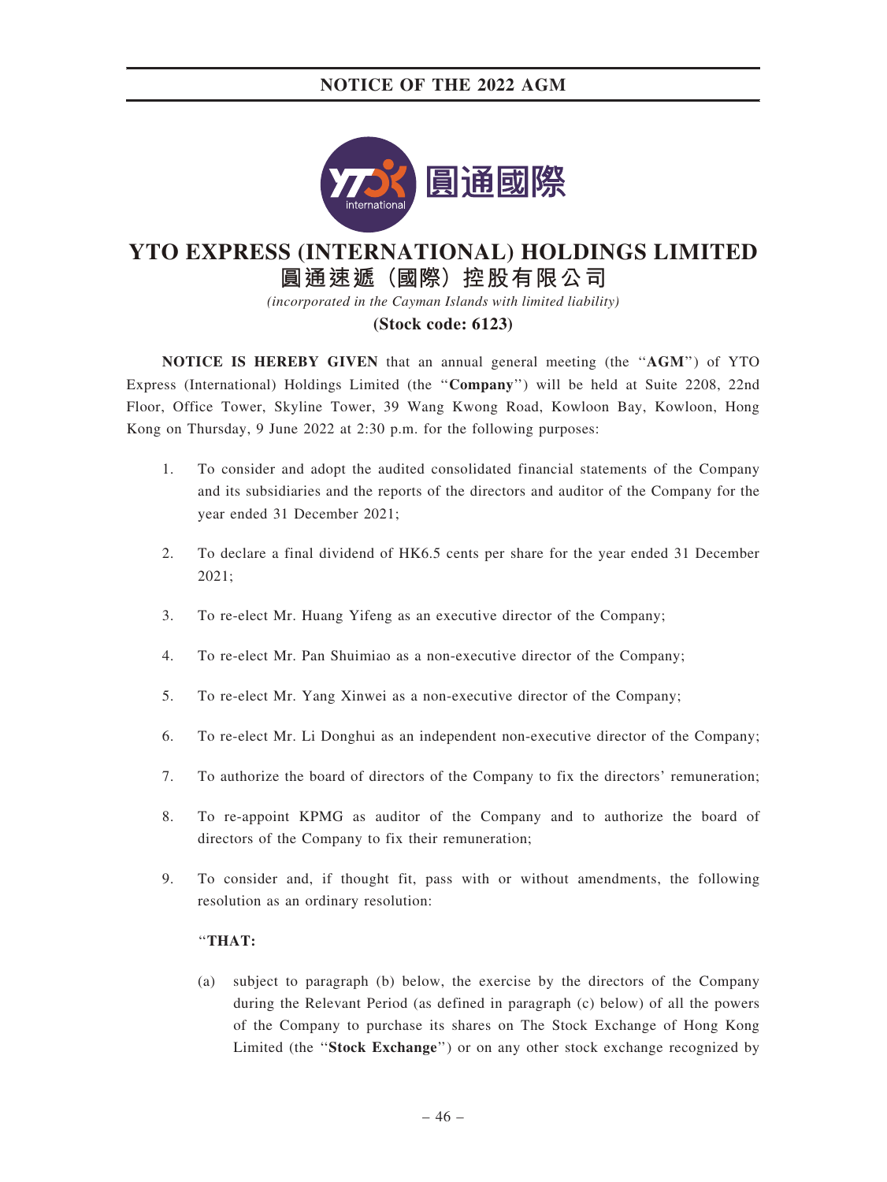

# **YTO EXPRESS (INTERNATIONAL) HOLDINGS LIMITED**

**圓通速遞(國際)控股有限公司**

*(incorporated in the Cayman Islands with limited liability)*

#### **(Stock code: 6123)**

NOTICE IS HEREBY GIVEN that an annual general meeting (the ''AGM'') of YTO Express (International) Holdings Limited (the ''Company'') will be held at Suite 2208, 22nd Floor, Office Tower, Skyline Tower, 39 Wang Kwong Road, Kowloon Bay, Kowloon, Hong Kong on Thursday, 9 June 2022 at 2:30 p.m. for the following purposes:

- 1. To consider and adopt the audited consolidated financial statements of the Company and its subsidiaries and the reports of the directors and auditor of the Company for the year ended 31 December 2021;
- 2. To declare a final dividend of HK6.5 cents per share for the year ended 31 December 2021;
- 3. To re-elect Mr. Huang Yifeng as an executive director of the Company;
- 4. To re-elect Mr. Pan Shuimiao as a non-executive director of the Company;
- 5. To re-elect Mr. Yang Xinwei as a non-executive director of the Company;
- 6. To re-elect Mr. Li Donghui as an independent non-executive director of the Company;
- 7. To authorize the board of directors of the Company to fix the directors' remuneration;
- 8. To re-appoint KPMG as auditor of the Company and to authorize the board of directors of the Company to fix their remuneration;
- 9. To consider and, if thought fit, pass with or without amendments, the following resolution as an ordinary resolution:

#### ''THAT:

(a) subject to paragraph (b) below, the exercise by the directors of the Company during the Relevant Period (as defined in paragraph (c) below) of all the powers of the Company to purchase its shares on The Stock Exchange of Hong Kong Limited (the ''Stock Exchange'') or on any other stock exchange recognized by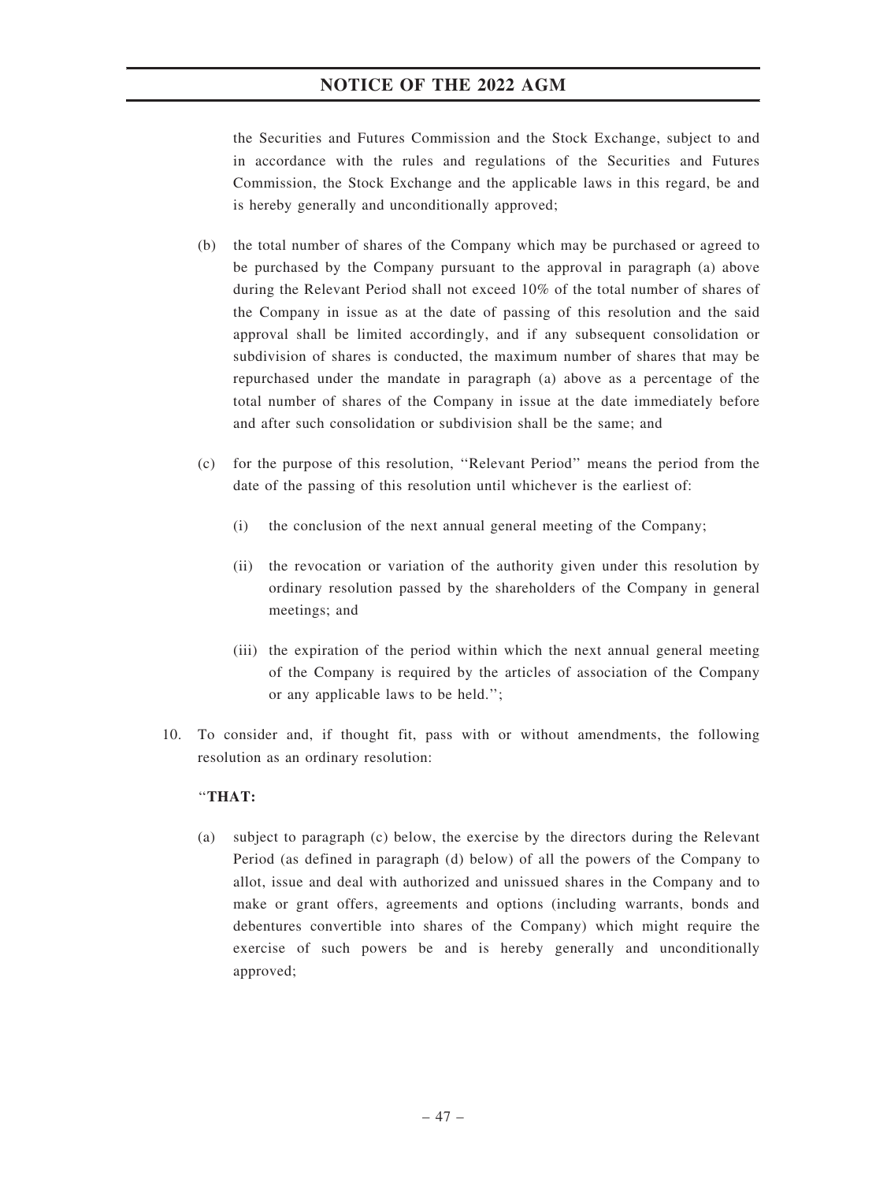the Securities and Futures Commission and the Stock Exchange, subject to and in accordance with the rules and regulations of the Securities and Futures Commission, the Stock Exchange and the applicable laws in this regard, be and is hereby generally and unconditionally approved;

- (b) the total number of shares of the Company which may be purchased or agreed to be purchased by the Company pursuant to the approval in paragraph (a) above during the Relevant Period shall not exceed 10% of the total number of shares of the Company in issue as at the date of passing of this resolution and the said approval shall be limited accordingly, and if any subsequent consolidation or subdivision of shares is conducted, the maximum number of shares that may be repurchased under the mandate in paragraph (a) above as a percentage of the total number of shares of the Company in issue at the date immediately before and after such consolidation or subdivision shall be the same; and
- (c) for the purpose of this resolution, ''Relevant Period'' means the period from the date of the passing of this resolution until whichever is the earliest of:
	- (i) the conclusion of the next annual general meeting of the Company;
	- (ii) the revocation or variation of the authority given under this resolution by ordinary resolution passed by the shareholders of the Company in general meetings; and
	- (iii) the expiration of the period within which the next annual general meeting of the Company is required by the articles of association of the Company or any applicable laws to be held.'';
- 10. To consider and, if thought fit, pass with or without amendments, the following resolution as an ordinary resolution:

#### ''THAT:

(a) subject to paragraph (c) below, the exercise by the directors during the Relevant Period (as defined in paragraph (d) below) of all the powers of the Company to allot, issue and deal with authorized and unissued shares in the Company and to make or grant offers, agreements and options (including warrants, bonds and debentures convertible into shares of the Company) which might require the exercise of such powers be and is hereby generally and unconditionally approved;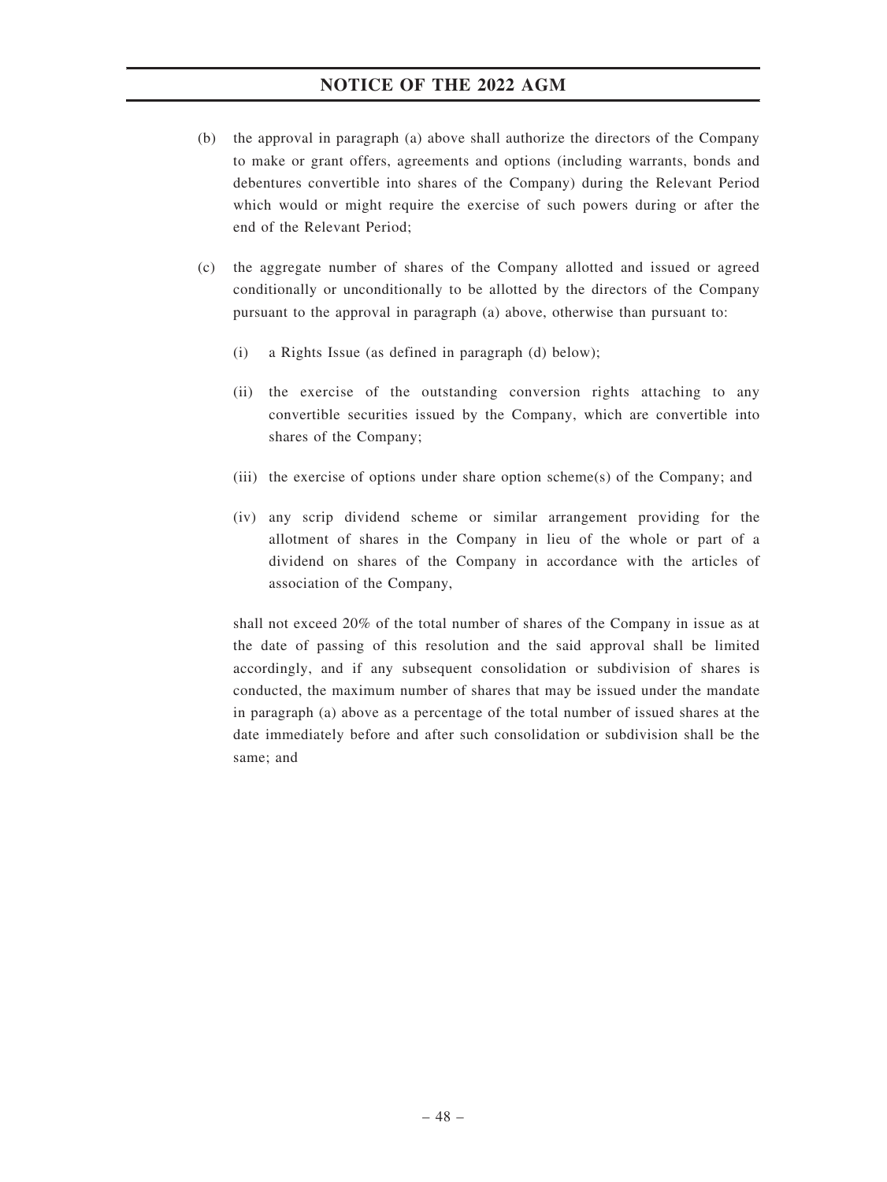- (b) the approval in paragraph (a) above shall authorize the directors of the Company to make or grant offers, agreements and options (including warrants, bonds and debentures convertible into shares of the Company) during the Relevant Period which would or might require the exercise of such powers during or after the end of the Relevant Period;
- (c) the aggregate number of shares of the Company allotted and issued or agreed conditionally or unconditionally to be allotted by the directors of the Company pursuant to the approval in paragraph (a) above, otherwise than pursuant to:
	- (i) a Rights Issue (as defined in paragraph (d) below);
	- (ii) the exercise of the outstanding conversion rights attaching to any convertible securities issued by the Company, which are convertible into shares of the Company;
	- (iii) the exercise of options under share option scheme(s) of the Company; and
	- (iv) any scrip dividend scheme or similar arrangement providing for the allotment of shares in the Company in lieu of the whole or part of a dividend on shares of the Company in accordance with the articles of association of the Company,

shall not exceed 20% of the total number of shares of the Company in issue as at the date of passing of this resolution and the said approval shall be limited accordingly, and if any subsequent consolidation or subdivision of shares is conducted, the maximum number of shares that may be issued under the mandate in paragraph (a) above as a percentage of the total number of issued shares at the date immediately before and after such consolidation or subdivision shall be the same; and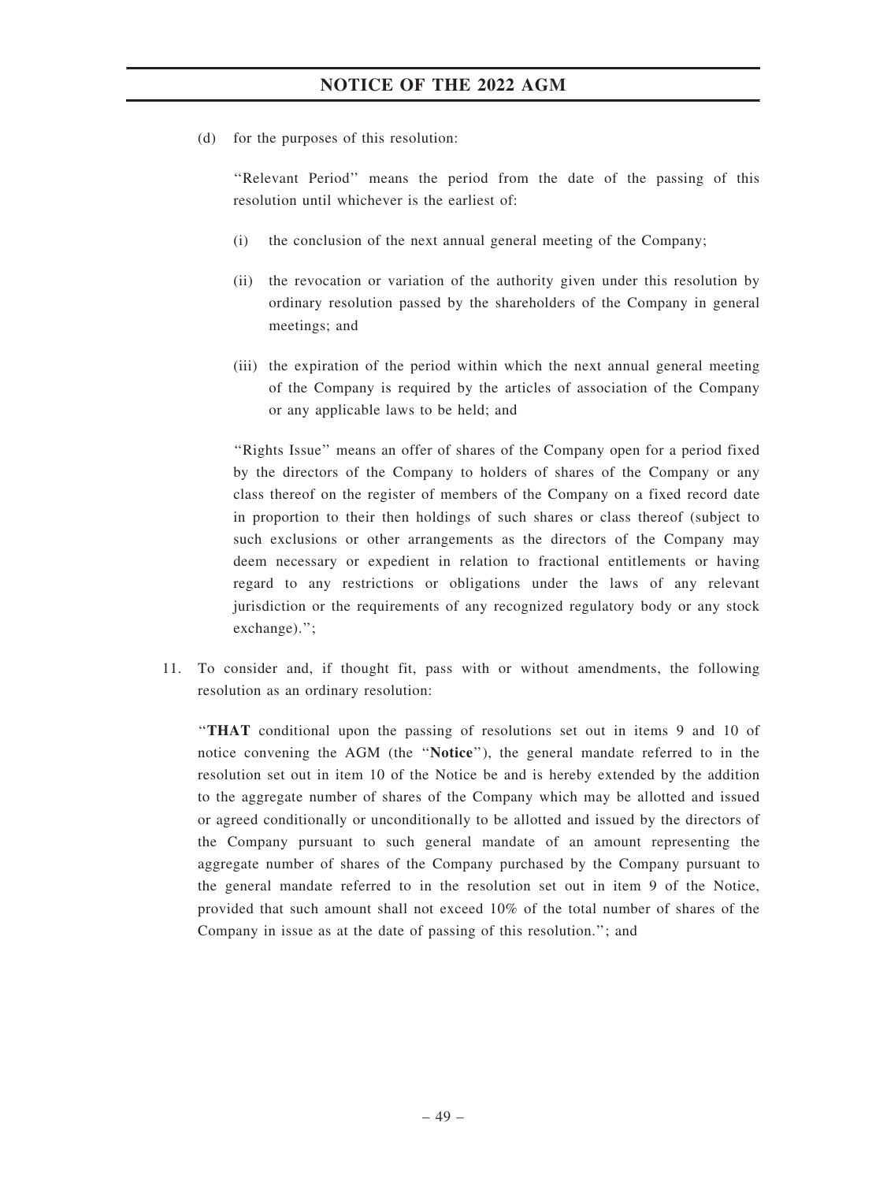(d) for the purposes of this resolution:

''Relevant Period'' means the period from the date of the passing of this resolution until whichever is the earliest of:

- (i) the conclusion of the next annual general meeting of the Company;
- (ii) the revocation or variation of the authority given under this resolution by ordinary resolution passed by the shareholders of the Company in general meetings; and
- (iii) the expiration of the period within which the next annual general meeting of the Company is required by the articles of association of the Company or any applicable laws to be held; and

''Rights Issue'' means an offer of shares of the Company open for a period fixed by the directors of the Company to holders of shares of the Company or any class thereof on the register of members of the Company on a fixed record date in proportion to their then holdings of such shares or class thereof (subject to such exclusions or other arrangements as the directors of the Company may deem necessary or expedient in relation to fractional entitlements or having regard to any restrictions or obligations under the laws of any relevant jurisdiction or the requirements of any recognized regulatory body or any stock exchange).'';

11. To consider and, if thought fit, pass with or without amendments, the following resolution as an ordinary resolution:

''THAT conditional upon the passing of resolutions set out in items 9 and 10 of notice convening the AGM (the ''Notice''), the general mandate referred to in the resolution set out in item 10 of the Notice be and is hereby extended by the addition to the aggregate number of shares of the Company which may be allotted and issued or agreed conditionally or unconditionally to be allotted and issued by the directors of the Company pursuant to such general mandate of an amount representing the aggregate number of shares of the Company purchased by the Company pursuant to the general mandate referred to in the resolution set out in item 9 of the Notice, provided that such amount shall not exceed 10% of the total number of shares of the Company in issue as at the date of passing of this resolution.''; and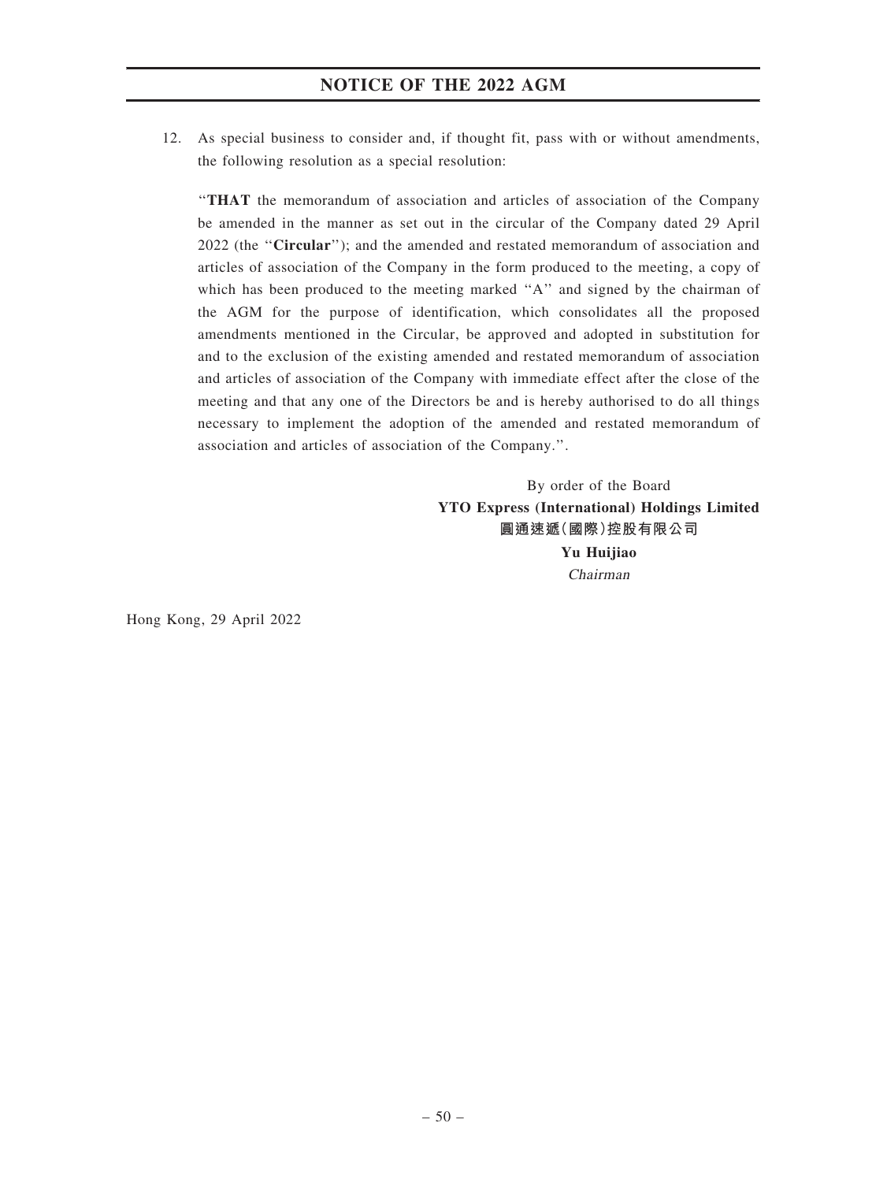12. As special business to consider and, if thought fit, pass with or without amendments, the following resolution as a special resolution:

''THAT the memorandum of association and articles of association of the Company be amended in the manner as set out in the circular of the Company dated 29 April 2022 (the ''Circular''); and the amended and restated memorandum of association and articles of association of the Company in the form produced to the meeting, a copy of which has been produced to the meeting marked "A" and signed by the chairman of the AGM for the purpose of identification, which consolidates all the proposed amendments mentioned in the Circular, be approved and adopted in substitution for and to the exclusion of the existing amended and restated memorandum of association and articles of association of the Company with immediate effect after the close of the meeting and that any one of the Directors be and is hereby authorised to do all things necessary to implement the adoption of the amended and restated memorandum of association and articles of association of the Company.''.

> By order of the Board YTO Express (International) Holdings Limited 圓通速遞(國際)控股有限公司 Yu Huijiao Chairman

Hong Kong, 29 April 2022